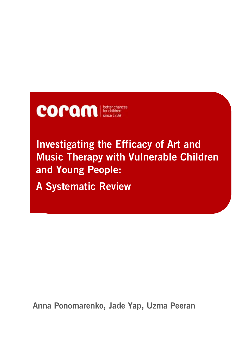

# **Investigating the Efficacy of Art and Music Therapy with Vulnerable Children and Young People:**

**A Systematic Review**

**Anna Ponomarenko, Jade Yap, Uzma Peeran**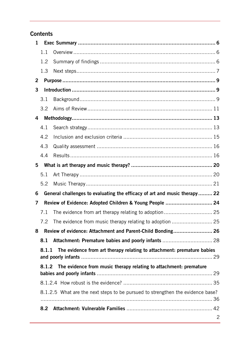# **Contents**

| 1                                                                               |                                                                                |                                                                           |   |  |
|---------------------------------------------------------------------------------|--------------------------------------------------------------------------------|---------------------------------------------------------------------------|---|--|
|                                                                                 | 1.1                                                                            |                                                                           |   |  |
|                                                                                 | 1.2                                                                            |                                                                           |   |  |
|                                                                                 | 1.3                                                                            |                                                                           |   |  |
| 2                                                                               |                                                                                |                                                                           |   |  |
| 3                                                                               |                                                                                |                                                                           |   |  |
|                                                                                 | 3.1                                                                            |                                                                           |   |  |
|                                                                                 | $3.2^{\circ}$                                                                  |                                                                           |   |  |
| 4                                                                               |                                                                                |                                                                           |   |  |
|                                                                                 | 4.1                                                                            |                                                                           |   |  |
|                                                                                 | 4.2                                                                            |                                                                           |   |  |
|                                                                                 | 4.3                                                                            |                                                                           |   |  |
|                                                                                 | 4.4                                                                            |                                                                           |   |  |
| 5                                                                               |                                                                                |                                                                           |   |  |
|                                                                                 | 5.1                                                                            |                                                                           |   |  |
|                                                                                 | 5.2                                                                            |                                                                           |   |  |
| 6                                                                               |                                                                                | General challenges to evaluating the efficacy of art and music therapy 22 |   |  |
| 7                                                                               |                                                                                | Review of Evidence: Adopted Children & Young People  24                   |   |  |
|                                                                                 | 7.1                                                                            |                                                                           |   |  |
|                                                                                 | 7.2                                                                            |                                                                           |   |  |
| 8                                                                               |                                                                                | Review of evidence: Attachment and Parent-Child Bonding 26                |   |  |
|                                                                                 | 8.1                                                                            |                                                                           |   |  |
| The evidence from art therapy relating to attachment: premature babies<br>8.1.1 |                                                                                |                                                                           |   |  |
|                                                                                 | The evidence from music therapy relating to attachment: premature<br>8.1.2     |                                                                           |   |  |
|                                                                                 |                                                                                |                                                                           |   |  |
|                                                                                 |                                                                                |                                                                           |   |  |
|                                                                                 | 8.1.2.5 What are the next steps to be pursued to strengthen the evidence base? |                                                                           |   |  |
|                                                                                 | 8.2                                                                            |                                                                           |   |  |
|                                                                                 |                                                                                |                                                                           | 2 |  |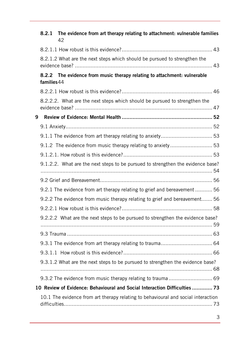|   | 8.2.1      | The evidence from art therapy relating to attachment: vulnerable families<br>42   |  |
|---|------------|-----------------------------------------------------------------------------------|--|
|   |            |                                                                                   |  |
|   |            | 8.2.1.2 What are the next steps which should be pursued to strengthen the         |  |
|   | families44 | 8.2.2 The evidence from music therapy relating to attachment: vulnerable          |  |
|   |            |                                                                                   |  |
|   |            | 8.2.2.2. What are the next steps which should be pursued to strengthen the        |  |
| 9 |            |                                                                                   |  |
|   |            |                                                                                   |  |
|   |            |                                                                                   |  |
|   |            |                                                                                   |  |
|   |            |                                                                                   |  |
|   |            | 9.1.2.2. What are the next steps to be pursued to strengthen the evidence base?   |  |
|   |            |                                                                                   |  |
|   |            | 9.2.1 The evidence from art therapy relating to grief and bereavement  56         |  |
|   |            | 9.2.2 The evidence from music therapy relating to grief and bereavement 56        |  |
|   |            |                                                                                   |  |
|   |            | 9.2.2.2 What are the next steps to be pursued to strengthen the evidence base?    |  |
|   |            |                                                                                   |  |
|   |            |                                                                                   |  |
|   |            |                                                                                   |  |
|   |            | 9.3.1.2 What are the next steps to be pursued to strengthen the evidence base?    |  |
|   |            |                                                                                   |  |
|   |            | 10 Review of Evidence: Behavioural and Social Interaction Difficulties  73        |  |
|   |            | 10.1 The evidence from art therapy relating to behavioural and social interaction |  |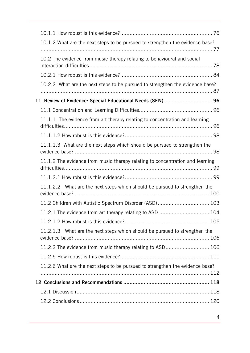| 10.1.2 What are the next steps to be pursued to strengthen the evidence base? |  |
|-------------------------------------------------------------------------------|--|
|                                                                               |  |
| 10.2 The evidence from music therapy relating to behavioural and social       |  |
|                                                                               |  |
| 10.2.2 What are the next steps to be pursued to strengthen the evidence base? |  |
| 11 Review of Evidence: Special Educational Needs (SEN) 96                     |  |
|                                                                               |  |
| 11.1.1 The evidence from art therapy relating to concentration and learning   |  |
|                                                                               |  |
| 11.1.1.3 What are the next steps which should be pursued to strengthen the    |  |
| 11.1.2 The evidence from music therapy relating to concentration and learning |  |
|                                                                               |  |
| 11.1.2.2 What are the next steps which should be pursued to strengthen the    |  |
| 11.2 Children with Autistic Spectrum Disorder (ASD) 103                       |  |
| 11.2.1 The evidence from art therapy relating to ASD  104                     |  |
|                                                                               |  |
| 11.2.1.3 What are the next steps which should be pursued to strengthen the    |  |
| 11.2.2 The evidence from music therapy relating to ASD 106                    |  |
|                                                                               |  |
| 11.2.6 What are the next steps to be pursued to strengthen the evidence base? |  |
|                                                                               |  |
|                                                                               |  |
|                                                                               |  |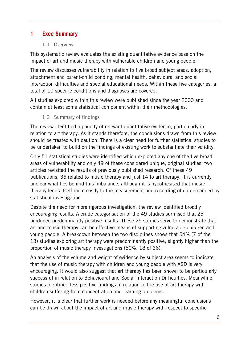# <span id="page-5-1"></span><span id="page-5-0"></span>**1 Exec Summary**

## 1.1 Overview

This systematic review evaluates the existing quantitative evidence base on the impact of art and music therapy with vulnerable children and young people.

The review discusses vulnerability in relation to five broad subject areas: adoption, attachment and parent-child bonding, mental health, behavioural and social interaction difficulties and special educational needs. Within these five categories, a total of 10 specific conditions and diagnoses are covered.

All studies explored within this review were published since the year 2000 and contain at least some statistical component within their methodologies.

1.2 Summary of findings

<span id="page-5-2"></span>The review identified a paucity of relevant quantitative evidence, particularly in relation to art therapy. As it stands therefore, the conclusions drawn from this review should be treated with caution. There is a clear need for further statistical studies to be undertaken to build on the findings of existing work to substantiate their validity.

Only 51 statistical studies were identified which explored any one of the five broad areas of vulnerability and only 49 of these considered unique, original studies; two articles revisited the results of previously published research. Of these 49 publications, 36 related to music therapy and just 14 to art therapy. It is currently unclear what lies behind this imbalance, although it is hypothesised that music therapy lends itself more easily to the measurement and recording often demanded by statistical investigation.

Despite the need for more rigorous investigation, the review identified broadly encouraging results. A crude categorisation of the 49 studies surmised that 25 produced predominantly positive results. These 25 studies serve to demonstrate that art and music therapy can be effective means of supporting vulnerable children and young people. A breakdown between the two disciplines shows that 54% (7 of the 13) studies exploring art therapy were predominantly positive, slightly higher than the proportion of music therapy investigations (50%; 18 of 36).

An analysis of the volume and weight of evidence by subject area seems to indicate that the use of music therapy with children and young people with ASD is very encouraging. It would also suggest that art therapy has been shown to be particularly successful in relation to Behavioural and Social Interaction Difficulties. Meanwhile, studies identified less positive findings in relation to the use of art therapy with children suffering from concentration and learning problems.

However, it is clear that further work is needed before any meaningful conclusions can be drawn about the impact of art and music therapy with respect to specific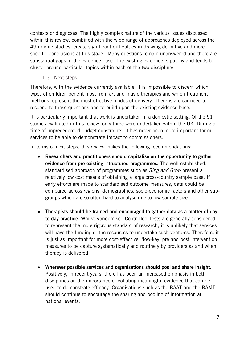contexts or diagnoses. The highly complex nature of the various issues discussed within this review, combined with the wide range of approaches deployed across the 49 unique studies, create significant difficulties in drawing definitive and more specific conclusions at this stage. Many questions remain unanswered and there are substantial gaps in the evidence base. The existing evidence is patchy and tends to cluster around particular topics within each of the two disciplines.

1.3 Next steps

<span id="page-6-0"></span>Therefore, with the evidence currently available, it is impossible to discern which types of children benefit most from art and music therapies and which treatment methods represent the most effective modes of delivery. There is a clear need to respond to these questions and to build upon the existing evidence base.

It is particularly important that work is undertaken in a domestic setting. Of the 51 studies evaluated in this review, only three were undertaken within the UK. During a time of unprecedented budget constraints, it has never been more important for our services to be able to demonstrate impact to commissioners.

In terms of next steps, this review makes the following recommendations:

- **Researchers and practitioners should capitalise on the opportunity to gather evidence from pre-existing, structured programmes.** The well-established, standardised approach of programmes such as *Sing and Grow* present a relatively low cost means of obtaining a large cross-country sample base. If early efforts are made to standardised outcome measures, data could be compared across regions, demographics, socio-economic factors and other subgroups which are so often hard to analyse due to low sample size.
- **Therapists should be trained and encouraged to gather data as a matter of dayto-day practice.** Whilst Randomised Controlled Tests are generally considered to represent the more rigorous standard of research, it is unlikely that services will have the funding or the resources to undertake such ventures. Therefore, it is just as important for more cost-effective, 'low-key' pre and post intervention measures to be capture systematically and routinely by providers as and when therapy is delivered.
- **Wherever possible services and organisations should pool and share insight.**  Positively, in recent years, there has been an increased emphasis in both disciplines on the importance of collating meaningful evidence that can be used to demonstrate efficacy. Organisations such as the BAAT and the BAMT should continue to encourage the sharing and pooling of information at national events.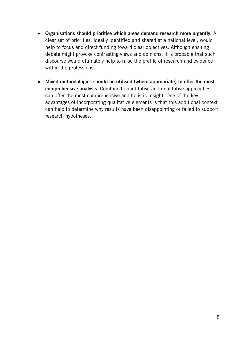- **Organisations should prioritise which areas demand research more urgently.** A clear set of priorities, ideally identified and shared at a national level, would help to focus and direct funding toward clear objectives. Although ensuing debate might provoke contrasting views and opinions, it is probable that such discourse would ultimately help to raise the profile of research and evidence within the professions.
- **Mixed methodologies should be utilised (where appropriate) to offer the most comprehensive analysis.** Combined quantitative and qualitative approaches can offer the most comprehensive and holistic insight. One of the key advantages of incorporating qualitative elements is that this additional context can help to determine why results have been disappointing or failed to support research hypotheses.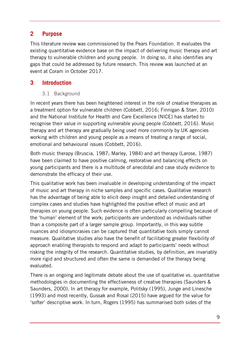## <span id="page-8-0"></span>**2 Purpose**

This literature review was commissioned by the Pears Foundation. It evaluates the existing quantitative evidence base on the impact of delivering music therapy and art therapy to vulnerable children and young people. In doing so, it also identifies any gaps that could be addressed by future research. This review was launched at an event at Coram in October 2017.

# <span id="page-8-2"></span><span id="page-8-1"></span>**3 Introduction**

## 3.1 Background

In recent years there has been heightened interest in the role of creative therapies as a treatment option for vulnerable children (Cobbett, 2016; Finnigan & Starr, 2010) and the National Institute for Health and Care Excellence (NICE) has started to recognise their value in supporting vulnerable young people (Cobbett, 2016). Music therapy and art therapy are gradually being used more commonly by UK agencies working with children and young people as a means of treating a range of social, emotional and behavioural issues (Cobbett, 2016).

Both music therapy (Bruscia, 1987; Marley, 1984) and art therapy (Larose, 1987) have been claimed to have positive calming, restorative and balancing effects on young participants and there is a multitude of anecdotal and case study evidence to demonstrate the efficacy of their use.

This qualitative work has been invaluable in developing understanding of the impact of music and art therapy in niche samples and specific cases. Qualitative research has the advantage of being able to elicit deep insight and detailed understanding of complex cases and studies have highlighted the positive effect of music and art therapies on young people. Such evidence is often particularly compelling because of the 'human' element of the work; participants are understood as individuals rather than a composite part of a larger sample group. Importantly, in this way subtle nuances and idiosyncrasies can be captured that quantitative tools simply cannot measure. Qualitative studies also have the benefit of facilitating greater flexibility of approach enabling therapists to respond and adapt to participants' needs without risking the integrity of the research. Quantitative studies, by definition, are invariably more rigid and structured and often the same is demanded of the therapy being evaluated.

There is an ongoing and legitimate debate about the use of qualitative vs. quantitative methodologies in documenting the effectiveness of creative therapies (Saunders & Saunders, 2000). In art therapy for example, Politsky (1995), Junge and Linesche (1993) and most recently, Gussak and Rosal (2015) have argued for the value for 'softer' descriptive work. In turn, Rogers (1995) has summarised both sides of the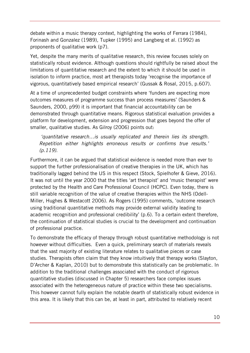debate within a music therapy context, highlighting the works of Ferrara (1984), Forinash and Gonzalez (1989), Tupker (1995) and Langberg et al. (1992) as proponents of qualitative work (p7).

Yet, despite the many merits of qualitative research, this review focuses solely on statistically robust evidence. Although questions should rightfully be raised about the limitations of quantitative research and the extent to which it should be used in isolation to inform practice, most art therapists today 'recognise the importance of vigorous, quantitatively based empirical research' (Gussak & Rosal, 2015, p.607).

At a time of unprecedented budget constraints where 'funders are expecting more outcomes measures of programme success than process measures' (Saunders & Saunders, 2000, p99) it is important that financial accountability can be demonstrated through quantitative means. Rigorous statistical evaluation provides a platform for development, extension and progression that goes beyond the offer of smaller, qualitative studies. As Gilroy (2006) points out:

*'quantitative research…is usually replicated and therein lies its strength. Repetition either highlights erroneous results or confirms true results.' (p.119).* 

Furthermore, it can be argued that statistical evidence is needed more than ever to support the further professionalisation of creative therapies in the UK, which has traditionally lagged behind the US in this respect (Stock, Spielhofer & Gieve, 2016). It was not until the year 2000 that the titles 'art therapist' and 'music therapist' were protected by the Health and Care Professional Council (HCPC). Even today, there is still variable recognition of the value of creative therapies within the NHS (Odell-Miller, Hughes & Westacott 2006). As Rogers (1995) comments, 'outcome research using traditional quantitative methods may provide external validity leading to academic recognition and professional credibility' (p.6). To a certain extent therefore, the continuation of statistical studies is crucial to the development and continuation of professional practice.

To demonstrate the efficacy of therapy through robust quantitative methodology is not however without difficulties. Even a quick, preliminary search of materials reveals that the vast majority of existing literature relates to qualitative pieces or case studies. Therapists often claim that they know intuitively that therapy works (Slayton, D'Archer & Kaplan, 2010) but to demonstrate this statistically can be problematic. In addition to the traditional challenges associated with the conduct of rigorous quantitative studies (discussed in Chapter 5) researchers face complex issues associated with the heterogeneous nature of practice within these two specialisms. This however cannot fully explain the notable dearth of statistically robust evidence in this area. It is likely that this can be, at least in part, attributed to relatively recent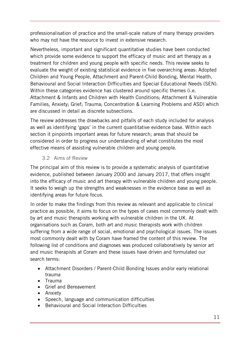professionalisation of practice and the small-scale nature of many therapy providers who may not have the resource to invest in extensive research.

Nevertheless, important and significant quantitative studies have been conducted which provide some evidence to support the efficacy of music and art therapy as a treatment for children and young people with specific needs. This review seeks to evaluate the weight of existing statistical evidence in five overarching areas: Adopted Children and Young People, Attachment and Parent-Child Bonding, Mental Health, Behavioural and Social Interaction Difficulties and Special Educational Needs (SEN). Within these categories evidence has clustered around specific themes (i.e. Attachment & Infants and Children with Health Conditions; Attachment & Vulnerable Families, Anxiety; Grief; Trauma; Concentration & Learning Problems and ASD) which are discussed in detail as discrete subsections.

The review addresses the drawbacks and pitfalls of each study included for analysis as well as identifying 'gaps' in the current quantitative evidence base. Within each section it pinpoints important areas for future research; areas that should be considered in order to progress our understanding of what constitutes the most effective means of assisting vulnerable children and young people.

## 3.2 Aims of Review

<span id="page-10-0"></span>The principal aim of this review is to provide a systematic analysis of quantitative evidence, published between January 2000 and January 2017, that offers insight into the efficacy of music and art therapy with vulnerable children and young people. It seeks to weigh up the strengths and weaknesses in the evidence base as well as identifying areas for future focus.

In order to make the findings from this review as relevant and applicable to clinical practice as possible, it aims to focus on the types of cases most commonly dealt with by art and music therapists working with vulnerable children in the UK. At organisations such as Coram, both art and music therapists work with children suffering from a wide range of social, emotional and psychological issues. The issues most commonly dealt with by Coram have framed the content of this review. The following list of conditions and diagnoses was produced collaboratively by senior art and music therapists at Coram and these issues have driven and formulated our search terms:

- Attachment Disorders / Parent-Child Bonding Issues and/or early relational trauma
- Trauma
- Grief and Bereavement
- Anxiety
- Speech, language and communication difficulties
- Behavioural and Social Interaction Difficulties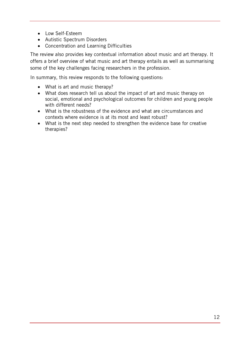- Low Self-Esteem
- Autistic Spectrum Disorders
- Concentration and Learning Difficulties

The review also provides key contextual information about music and art therapy. It offers a brief overview of what music and art therapy entails as well as summarising some of the key challenges facing researchers in the profession.

In summary, this review responds to the following questions:

- What is art and music therapy?
- What does research tell us about the impact of art and music therapy on social, emotional and psychological outcomes for children and young people with different needs?
- What is the robustness of the evidence and what are circumstances and contexts where evidence is at its most and least robust?
- What is the next step needed to strengthen the evidence base for creative therapies?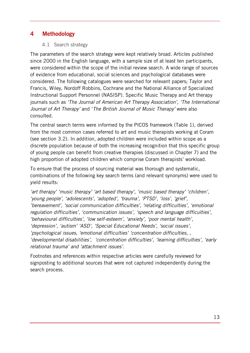## <span id="page-12-1"></span><span id="page-12-0"></span>**4 Methodology**

#### 4.1 Search strategy

The parameters of the search strategy were kept relatively broad. Articles published since 2000 in the English language, with a sample size of at least ten participants, were considered within the scope of the initial review search. A wide range of sources of evidence from educational, social sciences and psychological databases were considered. The following catalogues were searched for relevant papers; Taylor and Francis, Wiley, Nordoff Robbins, Cochrane and the National Alliance of Specialized Instructional Support Personnel (NASISP). Specific Music Therapy and Art therapy journals such as *'The Journal of American Art Therapy Association', 'The International Journal of Art Therapy'* and '*The British Journal of Music Therapy'* were also consulted.

The central search terms were informed by the PICOS framework (Table 1), derived from the most common cases referred to art and music therapists working at Coram (see section 3.2). In addition, adopted children were included within scope as a discrete population because of both the increasing recognition that this specific group of young people can benefit from creative therapies (discussed in Chapter 7) and the high proportion of adopted children which comprise Coram therapists' workload.

To ensure that the process of sourcing material was thorough and systematic, combinations of the following key search terms (and relevant synonyms) were used to yield results:

*'art therapy' 'music therapy' 'art based therapy', 'music based therapy' 'children', 'young people', 'adolescents', 'adopted', 'trauma', 'PTSD', 'loss', 'grief', 'bereavement', 'social communication difficulties', 'relating difficulties', 'emotional regulation difficulties', 'communication issues', 'speech and language difficulties', 'behavioural difficulties', 'low self-esteem', 'anxiety', 'poor mental health', 'depression', 'autism' 'ASD', 'Special Educational Needs', 'social issues', 'psychological issues, 'emotional difficulties' 'concentration difficulties, , 'developmental disabilities', 'concentration difficulties', 'learning difficulties', 'early relational trauma' and 'attachment issues'.* 

Footnotes and references within respective articles were carefully reviewed for signposting to additional sources that were not captured independently during the search process.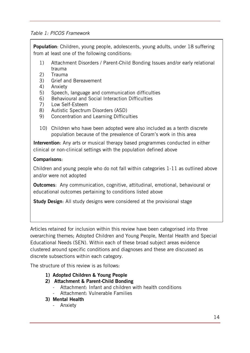#### *Table 1: PICOS Framework*

**Population**: Children, young people, adolescents, young adults, under 18 suffering from at least one of the following conditions:

- 1) Attachment Disorders / Parent-Child Bonding Issues and/or early relational trauma
- 2) Trauma
- 3) Grief and Bereavement
- 4) Anxiety
- 5) Speech, language and communication difficulties
- 6) Behavioural and Social Interaction Difficulties
- 7) Low Self-Esteem
- 8) Autistic Spectrum Disorders (ASD)
- 9) Concentration and Learning Difficulties
- 10) Children who have been adopted were also included as a tenth discrete population because of the prevalence of Coram's work in this area

**Intervention**: Any arts or musical therapy based programmes conducted in either clinical or non-clinical settings with the population defined above

#### **Comparisons**:

Children and young people who do not fall within categories 1-11 as outlined above and/or were not adopted

**Outcomes**: Any communication, cognitive, attitudinal, emotional, behavioural or educational outcomes pertaining to conditions listed above

**Study Design**: All study designs were considered at the provisional stage

Articles retained for inclusion within this review have been categorised into three overarching themes; Adopted Children and Young People, Mental Health and Special Educational Needs (SEN). Within each of these broad subject areas evidence clustered around specific conditions and diagnoses and these are discussed as discrete subsections within each category.

The structure of this review is as follows:

- **1) Adopted Children & Young People**
- **2) Attachment & Parent-Child Bonding**
	- Attachment: Infant and children with health conditions
	- Attachment: Vulnerable Families
- **3) Mental Health**
	- Anxiety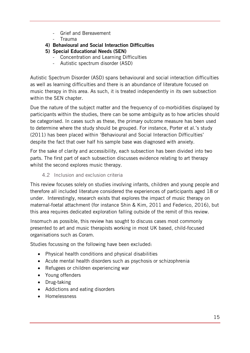- Grief and Bereavement
- Trauma
- **4) Behavioural and Social Interaction Difficulties**
- **5) Special Educational Needs (SEN)**
	- Concentration and Learning Difficulties
	- Autistic spectrum disorder (ASD)

Autistic Spectrum Disorder (ASD) spans behavioural and social interaction difficulties as well as learning difficulties and there is an abundance of literature focused on music therapy in this area. As such, it is treated independently in its own subsection within the SEN chapter.

Due the nature of the subject matter and the frequency of co-morbidities displayed by participants within the studies, there can be some ambiguity as to how articles should be categorised. In cases such as these, the primary outcome measure has been used to determine where the study should be grouped. For instance, Porter et al.'s study (2011) has been placed within 'Behavioural and Social Interaction Difficulties' despite the fact that over half his sample base was diagnosed with anxiety.

For the sake of clarity and accessibility, each subsection has been divided into two parts. The first part of each subsection discusses evidence relating to art therapy whilst the second explores music therapy.

## 4.2 Inclusion and exclusion criteria

<span id="page-14-0"></span>This review focuses solely on studies involving infants, children and young people and therefore all included literature considered the experiences of participants aged 18 or under. Interestingly, research exists that explores the impact of music therapy on maternal-foetal attachment (for instance Shin & Kim, 2011 and Federico, 2016), but this area requires dedicated exploration falling outside of the remit of this review.

Insomuch as possible, this review has sought to discuss cases most commonly presented to art and music therapists working in most UK based, child-focused organisations such as Coram.

Studies focussing on the following have been excluded:

- Physical health conditions and physical disabilities
- Acute mental health disorders such as psychosis or schizophrenia
- Refugees or children experiencing war
- Young offenders
- Drug-taking
- Addictions and eating disorders
- Homelessness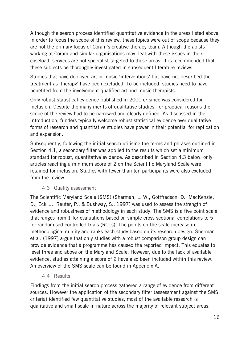Although the search process identified quantitative evidence in the areas listed above, in order to focus the scope of this review, these topics were out of scope because they are not the primary focus of Coram's creative therapy team. Although therapists working at Coram and similar organisations may deal with these issues in their caseload, services are not specialist targeted to these areas. It is recommended that these subjects be thoroughly investigated in subsequent literature reviews.

Studies that have deployed art or music 'interventions' but have not described the treatment as 'therapy' have been excluded. To be included, studies need to have benefited from the involvement qualified art and music therapists.

Only robust statistical evidence published in 2000 or since was considered for inclusion. Despite the many merits of qualitative studies, for practical reasons the scope of the review had to be narrowed and clearly defined. As discussed in the Introduction, funders typically welcome robust statistical evidence over qualitative forms of research and quantitative studies have power in their potential for replication and expansion.

Subsequently, following the initial search utilising the terms and phrases outlined in Section 4.1, a secondary filter was applied to the results which set a minimum standard for robust, quantitative evidence. As described in Section 4.3 below, only articles reaching a minimum score of 2 on the Scientific Maryland Scale were retained for inclusion. Studies with fewer than ten participants were also excluded from the review.

#### 4.3 Quality assessment

<span id="page-15-0"></span>The Scientific Maryland Scale (SMS) (Sherman, L. W., Gottfredson, D., MacKenzie, D., Eck, J., Reuter, P., & Bushway, S., 1997) was used to assess the strength of evidence and robustness of methodology in each study. The SMS is a five point scale that ranges from 1 for evaluations based on simple cross sectional correlations to 5 for randomised controlled trials (RCTs). The points on the scale increase in methodological quality and ranks each study based on its research design. Sherman et al. (1997) argue that only studies with a robust comparison group design can provide evidence that a programme has caused the reported impact. This equates to level three and above on the Maryland Scale. However, due to the lack of available evidence, studies attaining a score of 2 have also been included within this review. An overview of the SMS scale can be found in Appendix A.

4.4 Results

<span id="page-15-1"></span>Findings from the initial search process gathered a range of evidence from different sources. However the application of the secondary filter (assessment against the SMS criteria) identified few quantitative studies; most of the available research is qualitative and small scale in nature across the majority of relevant subject areas.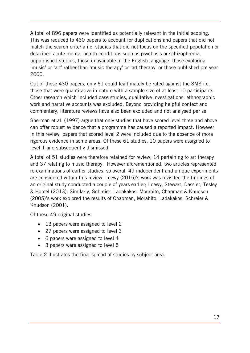A total of 896 papers were identified as potentially relevant in the initial scoping. This was reduced to 430 papers to account for duplications and papers that did not match the search criteria i.e. studies that did not focus on the specified population or described acute mental health conditions such as psychosis or schizophrenia, unpublished studies, those unavailable in the English language, those exploring 'music' or 'art' rather than 'music therapy' or 'art therapy' or those published pre year 2000.

Out of these 430 papers, only 61 could legitimately be rated against the SMS i.e. those that were quantitative in nature with a sample size of at least 10 participants. Other research which included case studies, qualitative investigations, ethnographic work and narrative accounts was excluded. Beyond providing helpful context and commentary, literature reviews have also been excluded and not analysed per se.

Sherman et al. (1997) argue that only studies that have scored level three and above can offer robust evidence that a programme has caused a reported impact. However in this review, papers that scored level 2 were included due to the absence of more rigorous evidence in some areas. Of these 61 studies, 10 papers were assigned to level 1 and subsequently dismissed.

A total of 51 studies were therefore retained for review; 14 pertaining to art therapy and 37 relating to music therapy. However aforementioned, two articles represented re-examinations of earlier studies, so overall 49 independent and unique experiments are considered within this review. Loewy (2015)'s work was revisited the findings of an original study conducted a couple of years earlier; Loewy, Stewart, Dassler, Tesley & Homel (2013). Similarly, Schreier, Ladakakos, Morabito, Chapman & Knudson (2005)'s work explored the results of Chapman, Morabito, Ladakakos, Schreier & Knudson (2001).

Of these 49 original studies:

- 13 papers were assigned to level 2
- 27 papers were assigned to level 3
- 6 papers were assigned to level 4
- 3 papers were assigned to level 5

Table 2 illustrates the final spread of studies by subject area.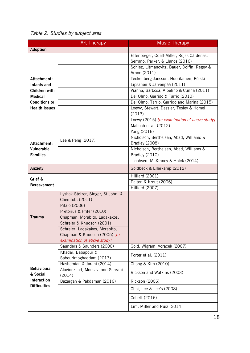*Table 2: Studies by subject area* 

|                                | <b>Art Therapy</b>                                    | <b>Music Therapy</b>                                                           |
|--------------------------------|-------------------------------------------------------|--------------------------------------------------------------------------------|
| <b>Adoption</b>                |                                                       |                                                                                |
|                                |                                                       | Ettenberger, Odell-Miller, Rojas Cárdenas,<br>Serrano, Parker, & Llanos (2016) |
|                                |                                                       | Schlez, Litmanovitz, Bauer, Dolfin, Regev &<br>Arnon (2011)                    |
| Attachment:<br>Infants and     |                                                       | Teckenberg-Jansson, Huotilainen, Pölkki<br>Lipsanen & Järvenpää (2011)         |
| Children with                  |                                                       | Vianna, Barbosa, Albelino & Cunha (2011)                                       |
| <b>Medical</b>                 |                                                       | Del Olmo, Garrido & Tarrio (2010)                                              |
| <b>Conditions or</b>           |                                                       | Del Olmo, Tarrio, Garrido and Marina (2015)                                    |
| <b>Health Issues</b>           |                                                       | Loewy, Stewart, Dassler, Tesley & Homel<br>(2013)                              |
|                                |                                                       | Loewy (2015) [re-examination of above study]                                   |
|                                |                                                       | Malloch et al. (2012)                                                          |
|                                |                                                       | Yang (2016)                                                                    |
| Attachment:                    | Lee & Peng (2017)                                     | Nicholson, Berthelsen, Abad, Williams &<br>Bradley (2008)                      |
| Vulnerable                     |                                                       | Nicholson, Berthelsen, Abad, Williams &                                        |
| <b>Families</b>                |                                                       | Bradley (2010)                                                                 |
|                                |                                                       | Jacobsen, McKinney & Holck (2014)                                              |
| <b>Anxiety</b>                 |                                                       | Goldbeck & Ellerkamp (2012)                                                    |
| Grief &                        |                                                       | Hilliard (2001)                                                                |
| <b>Bereavement</b>             |                                                       | Dalton & Krout (2006)                                                          |
|                                |                                                       | Hilliard (2007)                                                                |
|                                | Lyshak-Stelzer, Singer, St John, &<br>Chemtob, (2011) |                                                                                |
|                                | Pifalo (2006)                                         |                                                                                |
|                                | Pretorius & Pfifer (2010)                             |                                                                                |
| <b>Trauma</b>                  | Chapman, Morabito, Ladakakos,                         |                                                                                |
|                                | Schreier & Knudson (2001)                             |                                                                                |
|                                | Schreier, Ladakakos, Morabito,                        |                                                                                |
|                                | Chapman & Knudson (2005) [re-                         |                                                                                |
|                                | examination of above study]                           |                                                                                |
|                                | Saunders & Saunders (2000)                            | Gold, Wigram, Voracek (2007)                                                   |
|                                | Khadar, Babapour &                                    | Porter et al. (2011)                                                           |
|                                | Sabourimoghaddam (2013)                               |                                                                                |
|                                | Hashemian & Jarahi (2014)                             | Chong & Kim (2010)                                                             |
| <b>Behavioural</b><br>& Social | Alavinezhad, Mousavi and Sohrabi<br>(2014)            | Rickson and Watkins (2003)                                                     |
| <b>Interaction</b>             | Bazargan & Pakdaman (2016)                            | Rickson (2006)                                                                 |
| <b>Difficulties</b>            |                                                       | Choi, Lee & Lee's (2008)                                                       |
|                                |                                                       | Cobett (2016)                                                                  |
|                                |                                                       | Lim, Miller and Ruiz (2014)                                                    |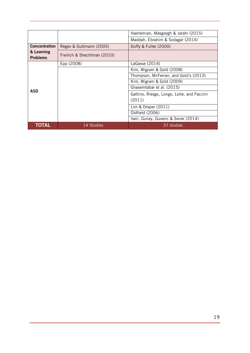|                               |                             | Hashemian, Masgoogh & Jarahi (2015)                  |
|-------------------------------|-----------------------------|------------------------------------------------------|
|                               |                             | Maddah, Ebrahim & Sodagar (2014)                     |
| <b>Concentration</b>          | Regev & Guttmann (2005)     | Duffy & Fuller (2000)                                |
| & Learning<br><b>Problems</b> | Freilich & Shechtman (2010) |                                                      |
|                               | Epp (2008)                  | LaGasse (2014)                                       |
|                               |                             | Kim, Wigram & Gold (2008)                            |
|                               |                             | Thompson, McFerran, and Gold's (2013)                |
|                               |                             | Kim, Wigram & Gold (2009)                            |
|                               |                             | Ghasemtabar et al. (2015)                            |
| ASD                           |                             | Gattino, Riesgo, Longo, Leite, and Faccini<br>(2011) |
|                               |                             | Lim & Draper (2011)                                  |
|                               |                             | Oldfield (2006)                                      |
|                               |                             | Iseri, Guney, Guvenc & Sener (2014)                  |
| TOTAL                         | 14 Studies                  | 37 studies                                           |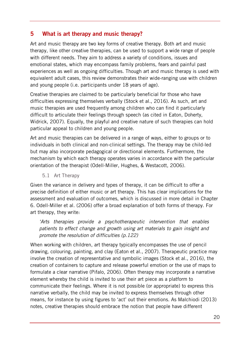# <span id="page-19-0"></span>**5 What is art therapy and music therapy?**

Art and music therapy are two key forms of creative therapy. Both art and music therapy, like other creative therapies, can be used to support a wide range of people with different needs. They aim to address a variety of conditions, issues and emotional states, which may encompass family problems, fears and painful past experiences as well as ongoing difficulties. Though art and music therapy is used with equivalent adult cases, this review demonstrates their wide-ranging use with children and young people (i.e. participants under 18 years of age).

Creative therapies are claimed to be particularly beneficial for those who have difficulties expressing themselves verbally (Stock et al., 2016). As such, art and music therapies are used frequently among children who can find it particularly difficult to articulate their feelings through speech (as cited in Eaton, Doherty, Widrick, 2007). Equally, the playful and creative nature of such therapies can hold particular appeal to children and young people.

Art and music therapies can be delivered in a range of ways, either to groups or to individuals in both clinical and non-clinical settings. The therapy may be child-led but may also incorporate pedagogical or directional elements. Furthermore, the mechanism by which each therapy operates varies in accordance with the particular orientation of the therapist (Odell-Miller, Hughes, & Westacott, 2006).

5.1 Art Therapy

<span id="page-19-1"></span>Given the variance in delivery and types of therapy, it can be difficult to offer a precise definition of either music or art therapy. This has clear implications for the assessment and evaluation of outcomes, which is discussed in more detail in Chapter 6. Odell-Miller et al. (2006) offer a broad explanation of both forms of therapy. For art therapy, they write:

*'Arts therapies provide a psychotherapeutic intervention that enables patients to effect change and growth using art materials to gain insight and promote the resolution of difficulties (p.122)*

When working with children, art therapy typically encompasses the use of pencil drawing, colouring, painting, and clay (Eaton et al., 2007). Therapeutic practice may involve the creation of representative and symbolic images (Stock et al., 2016), the creation of containers to capture and release powerful emotion or the use of maps to formulate a clear narrative (Pifalo, 2006). Often therapy may incorporate a narrative element whereby the child is invited to use their art piece as a platform to communicate their feelings. Where it is not possible (or appropriate) to express this narrative verbally, the child may be invited to express themselves through other means, for instance by using figures to 'act' out their emotions. As Malchiodi (2013) notes, creative therapies should embrace the notion that people have different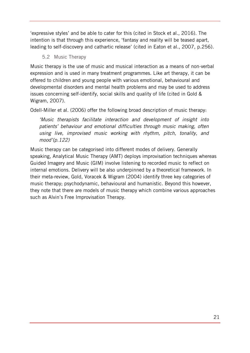'expressive styles' and be able to cater for this (cited in Stock et al., 2016). The intention is that through this experience, 'fantasy and reality will be teased apart, leading to self-discovery and cathartic release' (cited in Eaton et al., 2007, p.256).

## 5.2 Music Therapy

<span id="page-20-0"></span>Music therapy is the use of music and musical interaction as a means of non-verbal expression and is used in many treatment programmes. Like art therapy, it can be offered to children and young people with various emotional, behavioural and developmental disorders and mental health problems and may be used to address issues concerning self-identify, social skills and quality of life (cited in Gold & Wigram, 2007).

Odell-Miller et al. (2006) offer the following broad description of music therapy:

*'Music therapists facilitate interaction and development of insight into patients' behaviour and emotional difficulties through music making, often using live, improvised music working with rhythm, pitch, tonality, and mood'(p.122)* 

Music therapy can be categorised into different modes of delivery. Generally speaking, Analytical Music Therapy (AMT) deploys improvisation techniques whereas Guided Imagery and Music (GIM) involve listening to recorded music to reflect on internal emotions. Delivery will be also underpinned by a theoretical framework. In their meta-review, Gold, Voracek & Wigram (2004) identify three key categories of music therapy; psychodynamic, behavioural and humanistic. Beyond this however, they note that there are models of music therapy which combine various approaches such as Alvin's Free Improvisation Therapy.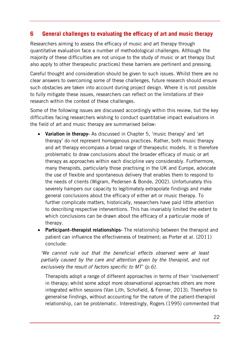# <span id="page-21-0"></span>**6 General challenges to evaluating the efficacy of art and music therapy**

Researchers aiming to assess the efficacy of music and art therapy through quantitative evaluation face a number of methodological challenges. Although the majority of these difficulties are not unique to the study of music or art therapy (but also apply to other therapeutic practices) these barriers are pertinent and pressing.

Careful thought and consideration should be given to such issues. Whilst there are no clear answers to overcoming some of these challenges, future research should ensure such obstacles are taken into account during project design. Where it is not possible to fully mitigate these issues, researchers can reflect on the limitations of their research within the context of these challenges.

Some of the following issues are discussed accordingly within this review, but the key difficulties facing researchers wishing to conduct quantitative impact evaluations in the field of art and music therapy are summarised below:

- **Variation in therapy-** As discussed in Chapter 5, 'music therapy' and 'art therapy' do not represent homogenous practices. Rather, both music therapy and art therapy encompass a broad range of therapeutic models. It is therefore problematic to draw conclusions about the broader efficacy of music or art therapy as approaches within each discipline vary considerably. Furthermore, many therapists, particularly those practising in the UK and Europe, advocate the use of flexible and spontaneous delivery that enables them to respond to the needs of clients (Wigram, Pedersen & Bonde, 2002). Unfortunately this severely hampers our capacity to legitimately extrapolate findings and make general conclusions about the efficacy of either art or music therapy. To further complicate matters, historically, researchers have paid little attention to describing respective interventions. This has invariably limited the extent to which conclusions can be drawn about the efficacy of a particular mode of therapy.
- **Participant–therapist relationships-** The relationship between the therapist and patient can influence the effectiveness of treatment; as Porter et al. (2011) conclude:

*'We cannot rule out that the beneficial effects observed were at least partially caused by the care and attention given by the therapist, and not exclusively the result of factors specific to MT' (p.6).* 

Therapists adopt a range of different approaches in terms of their 'involvement' in therapy; whilst some adopt more observational approaches others are more integrated within sessions (Van Lith, Schofield, & Fenner, 2013). Therefore to generalise findings, without accounting for the nature of the patient-therapist relationship, can be problematic. Interestingly, Rogers (1995) commented that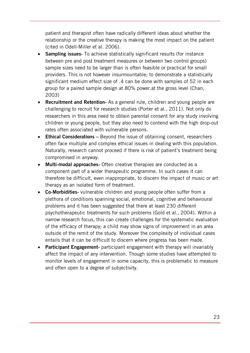patient and therapist often have radically different ideas about whether the relationship or the creative therapy is making the most impact on the patient (cited in Odell-Miller et al. 2006).

- **Sampling issues-** To achieve statistically significant results (for instance between pre and post treatment measures or between two control groups) sample sizes need to be larger than is often feasible or practical for small providers. This is not however insurmountable; to demonstrate a statistically significant medium effect size of .4 can be done with samples of 52 in each group for a paired sample design at 80% power.at the gross level (Chan, 2003)
- **Recruitment and Retention-** As a general rule, children and young people are challenging to recruit for research studies (Porter et al., 2011). Not only do researchers in this area need to obtain parental consent for any study involving children or young people, but they also need to contend with the high drop-out rates often associated with vulnerable persons.
- **Ethical Considerations** Beyond the issue of obtaining consent, researchers often face multiple and complex ethical issues in dealing with this population. Naturally, research cannot proceed if there is risk of patient's treatment being compromised in anyway.
- **Multi-modal approaches-** Often creative therapies are conducted as a component part of a wider therapeutic programme. In such cases it can therefore be difficult, even inappropriate, to discern the impact of music or art therapy as an isolated form of treatment.
- **Co-Morbidities-** vulnerable children and young people often suffer from a plethora of conditions spanning social, emotional, cognitive and behavioural problems and it has been suggested that there at least 230 different psychotherapeutic treatments for such problems (Gold et al., 2004). Within a narrow research focus, this can create challenges for the systematic evaluation of the efficacy of therapy; a child may show signs of improvement in an area outside of the remit of the study. Moreover the complexity of individual cases entails that it can be difficult to discern where progress has been made.
- **Participant Engagement-** participant engagement with therapy will invariably affect the impact of any intervention. Though some studies have attempted to monitor levels of engagement in some capacity, this is problematic to measure and often open to a degree of subjectivity.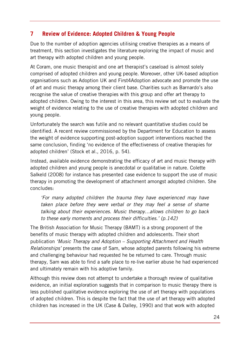# <span id="page-23-0"></span>**7 Review of Evidence: Adopted Children & Young People**

Due to the number of adoption agencies utilising creative therapies as a means of treatment, this section investigates the literature exploring the impact of music and art therapy with adopted children and young people.

At Coram, one music therapist and one art therapist's caseload is almost solely comprised of adopted children and young people. Moreover, other UK-based adoption organisations such as Adoption UK and First4Adoption advocate and promote the use of art and music therapy among their client base. Charities such as Barnardo's also recognise the value of creative therapies with this group and offer art therapy to adopted children. Owing to the interest in this area, this review set out to evaluate the weight of evidence relating to the use of creative therapies with adopted children and young people.

Unfortunately the search was futile and no relevant quantitative studies could be identified. A recent review commissioned by the Department for Education to assess the weight of evidence supporting post-adoption support interventions reached the same conclusion, finding 'no evidence of the effectiveness of creative therapies for adopted children' (Stock et al., 2016, p. 54).

Instead, available evidence demonstrating the efficacy of art and music therapy with adopted children and young people is anecdotal or qualitative in nature. Colette Salkeld (2008) for instance has presented case evidence to support the use of music therapy in promoting the development of attachment amongst adopted children. She concludes:

*'For many adopted children the trauma they have experienced may have taken place before they were verbal or they may feel a sense of shame talking about their experiences. Music therapy…allows children to go back to these early moments and process their difficulties.' (p.142)*

The British Association for Music Therapy (BAMT) is a strong proponent of the benefits of music therapy with adopted children and adolescents. Their short publication *'Music Therapy and Adoption – Supporting Attachment and Health Relationships'* presents the case of Sam, whose adopted parents following his extreme and challenging behaviour had requested he be returned to care. Through music therapy, Sam was able to find a safe place to re-live earlier abuse he had experienced and ultimately remain with his adoptive family.

Although this review does not attempt to undertake a thorough review of qualitative evidence, an initial exploration suggests that in comparison to music therapy there is less published qualitative evidence exploring the use of art therapy with populations of adopted children. This is despite the fact that the use of art therapy with adopted children has increased in the UK (Case & Dalley, 1990) and that work with adopted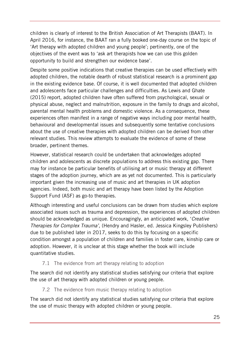children is clearly of interest to the British Association of Art Therapists (BAAT). In April 2016, for instance, the BAAT ran a fully booked one-day course on the topic of 'Art therapy with adopted children and young people'; pertinently, one of the objectives of the event was to 'ask art therapists how we can use this golden opportunity to build and strengthen our evidence base'.

Despite some positive indications that creative therapies can be used effectively with adopted children, the notable dearth of robust statistical research is a prominent gap in the existing evidence base. Of course, it is well documented that adopted children and adolescents face particular challenges and difficulties. As Lewis and Ghate (2015) report, adopted children have often suffered from psychological, sexual or physical abuse, neglect and malnutrition, exposure in the family to drugs and alcohol, parental mental health problems and domestic violence. As a consequence, these experiences often manifest in a range of negative ways including poor mental health, behavioural and developmental issues and subsequently some tentative conclusions about the use of creative therapies with adopted children can be derived from other relevant studies. This review attempts to evaluate the evidence of some of these broader, pertinent themes.

However, statistical research could be undertaken that acknowledges adopted children and adolescents as discrete populations to address this existing gap. There may for instance be particular benefits of utilising art or music therapy at different stages of the adoption journey, which are as yet not documented. This is particularly important given the increasing use of music and art therapies in UK adoption agencies. Indeed, both music and art therapy have been listed by the Adoption Support Fund (ASF) as go-to therapies.

Although interesting and useful conclusions can be drawn from studies which explore associated issues such as trauma and depression, the experiences of adopted children should be acknowledged as unique. Encouragingly, an anticipated work, '*Creative Therapies for Complex Trauma',* (Hendry and Hasler, ed. Jessica Kingsley Publishers) due to be published later in 2017, seeks to do this by focusing on a specific condition amongst a population of children and families in foster care, kinship care or adoption. However, it is unclear at this stage whether the book will include quantitative studies.

7.1 The evidence from art therapy relating to adoption

<span id="page-24-0"></span>The search did not identify any statistical studies satisfying our criteria that explore the use of art therapy with adopted children or young people.

7.2 The evidence from music therapy relating to adoption

<span id="page-24-1"></span>The search did not identify any statistical studies satisfying our criteria that explore the use of music therapy with adopted children or young people.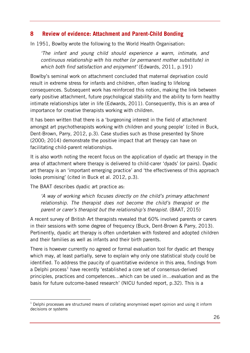## <span id="page-25-0"></span>**8 Review of evidence: Attachment and Parent-Child Bonding**

In 1951, Bowlby wrote the following to the World Health Organisation:

*'The infant and young child should experience a warm, intimate, and continuous relationship with his mother (or permanent mother substitute) in which both find satisfaction and enjoyment'* (Edwards, 2011, p.191)

Bowlby's seminal work on attachment concluded that maternal deprivation could result in extreme stress for infants and children, often leading to lifelong consequences. Subsequent work has reinforced this notion, making the link between early positive attachment, future psychological stability and the ability to form healthy intimate relationships later in life (Edwards, 2011). Consequently, this is an area of importance for creative therapists working with children.

It has been written that there is a 'burgeoning interest in the field of attachment amongst art psychotherapists working with children and young people' (cited in Buck, Dent-Brown, Parry, 2012, p.3). Case studies such as those presented by Shore (2000; 2014) demonstrate the positive impact that art therapy can have on facilitating child-parent relationships.

It is also worth noting the recent focus on the application of dyadic art therapy in the area of attachment where therapy is delivered to child-carer 'dyads' (or pairs). Dyadic art therapy is an 'important emerging practice' and 'the effectiveness of this approach looks promising' (cited in Buck et al. 2012, p.3).

The BAAT describes dyadic art practice as:

-

*'A way of working which focuses directly on the child's primary attachment relationship. The therapist does not become the child's therapist or the parent or carer's therapist but the relationship's therapist.* (BAAT, 2015)

A recent survey of British Art therapists revealed that 60% involved parents or carers in their sessions with some degree of frequency (Buck, Dent-Brown & Parry, 2013). Pertinently, dyadic art therapy is often undertaken with fostered and adopted children and their families as well as infants and their birth parents.

There is however currently no agreed or formal evaluation tool for dyadic art therapy which may, at least partially, serve to explain why only one statistical study could be identified. To address the paucity of quantitative evidence in this area, findings from a Delphi process<sup>[1](#page-25-1)</sup> have recently 'established a core set of consensus-derived principles, practices and competences…which can be used in…evaluation and as the basis for future outcome-based research' (NICU funded report, p.32). This is a

<span id="page-25-1"></span> $1$  Delphi processes are structured means of collating anonymised expert opinion and using it inform decisions or systems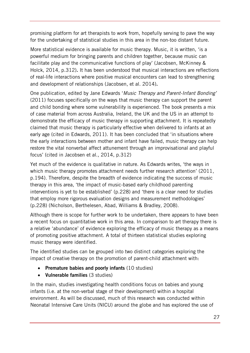promising platform for art therapists to work from, hopefully serving to pave the way for the undertaking of statistical studies in this area in the non-too distant future.

More statistical evidence is available for music therapy. Music, it is written, 'is a powerful medium for bringing parents and children together, because music can facilitate play and the communicative functions of play' (Jacobsen, McKinney & Holck, 2014, p.312)**.** It has been understood that musical interactions are reflections of real-life interactions where positive musical encounters can lead to strengthening and development of relationships (Jacobsen, et al. 2014)**.** 

One publication, edited by Jane Edwards '*Music Therapy and Parent-Infant Bonding'*  (2011) focuses specifically on the ways that music therapy can support the parent and child bonding where some vulnerability is experienced. The book presents a mix of case material from across Australia, Ireland, the UK and the US in an attempt to demonstrate the efficacy of music therapy in supporting attachment. It is repeatedly claimed that music therapy is particularly effective when delivered to infants at an early age (cited in Edwards, 2011). It has been concluded that 'in situations where the early interactions between mother and infant have failed, music therapy can help restore the vital nonverbal affect attunement through an improvisational and playful focus' (cited in Jacobsen et al., 2014, p.312)

Yet much of the evidence is qualitative in nature. As Edwards writes, 'the ways in which music therapy promotes attachment needs further research attention' (2011, p.194). Therefore, despite the breadth of evidence indicating the success of music therapy in this area, 'the impact of music-based early childhood parenting interventions is yet to be established' (p.228) and 'there is a clear need for studies that employ more rigorous evaluation designs and measurement methodologies' (p.228) (Nicholson, Berthelesen, Abad, Williams & Bradley, 2008).

Although there is scope for further work to be undertaken, there appears to have been a recent focus on quantitative work in this area. In comparison to art therapy there is a relative 'abundance' of evidence exploring the efficacy of music therapy as a means of promoting positive attachment. A total of thirteen statistical studies exploring music therapy were identified.

The identified studies can be grouped into two distinct categories exploring the impact of creative therapy on the promotion of parent-child attachment with:

- **Premature babies and poorly infants** (10 studies)
- **Vulnerable families** (3 studies)

In the main, studies investigating health conditions focus on babies and young infants (i.e. at the non-verbal stage of their development) within a hospital environment. As will be discussed, much of this research was conducted within Neonatal Intensive Care Units (NICU) around the globe and has explored the use of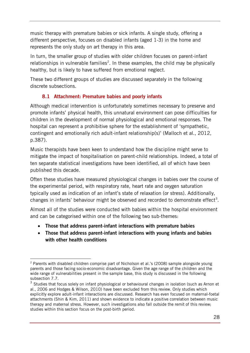music therapy with premature babies or sick infants. A single study, offering a different perspective, focuses on disabled infants (aged 1-3) in the home and represents the only study on art therapy in this area.

In turn, the smaller group of studies with older children focuses on parent-infant relationships in vulnerable families<sup>[2](#page-27-1)</sup>. In these examples, the child may be physically healthy, but is likely to have suffered from emotional neglect.

These two different groups of studies are discussed separately in the following discrete subsections.

## **8.1 Attachment: Premature babies and poorly infants**

<span id="page-27-0"></span>Although medical intervention is unfortunately sometimes necessary to preserve and promote infants' physical health, this unnatural environment can pose difficulties for children in the development of normal physiological and emotional responses. The hospital can represent a prohibitive sphere for the establishment of 'sympathetic, contingent and emotionally rich adult-infant relationship(s)' (Malloch et al., 2012, p.387).

Music therapists have been keen to understand how the discipline might serve to mitigate the impact of hospitalisation on parent-child relationships. Indeed, a total of ten separate statistical investigations have been identified, all of which have been published this decade.

Often these studies have measured physiological changes in babies over the course of the experimental period, with respiratory rate, heart rate and oxygen saturation typically used as indication of an infant's state of relaxation (or stress). Additionally, changes in infants' behaviour might be observed and recorded to demonstrate effect<sup>[3](#page-27-2)</sup>.

Almost all of the studies were conducted with babies within the hospital environment and can be categorised within one of the following two sub-themes:

• **Those that address parent-infant interactions with premature babies**

-

• **Those that address parent-infant interactions with young infants and babies with other health conditions** 

<span id="page-27-1"></span><sup>&</sup>lt;sup>2</sup> Parents with disabled children comprise part of Nicholson et al.'s (2008) sample alongside young parents and those facing socio-economic disadvantage. Given the age range of the children and the wide range of vulnerabilities present in the sample base, this study is discussed in the following subsection 7.7.

<span id="page-27-2"></span><sup>&</sup>lt;sup>3</sup> Studies that focus solely on infant physiological or behavioural changes in isolation (such as Arnon et al., 2006 and Hodges & Wilson, 2010) have been excluded from this review. Only studies which explicitly explore adult-infant interactions are discussed. Research has even focused on maternal-foetal attachments (Shin & Kim, 2011) and shown evidence to indicate a positive correlation between music therapy and maternal stress. However, such investigations also fall outside the remit of this review; studies within this section focus on the post-birth period.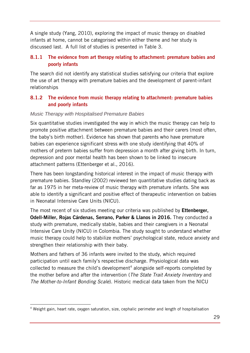A single study (Yang, 2010), exploring the impact of music therapy on disabled infants at home, cannot be categorised within either theme and her study is discussed last. A full list of studies is presented in Table 3.

## <span id="page-28-0"></span>**8.1.1 The evidence from art therapy relating to attachment: premature babies and poorly infants**

The search did not identify any statistical studies satisfying our criteria that explore the use of art therapy with premature babies and the development of parent-infant relationships

## <span id="page-28-1"></span>**8.1.2 The evidence from music therapy relating to attachment: premature babies and poorly infants**

#### *Music Therapy with Hospitalised Premature Babies*

Six quantitative studies investigated the way in which the music therapy can help to promote positive attachment between premature babies and their carers (most often, the baby's birth mother). Evidence has shown that parents who have premature babies can experience significant stress with one study identifying that 40% of mothers of preterm babies suffer from depression a month after giving birth. In turn, depression and poor mental health has been shown to be linked to insecure attachment patterns (Ettenberger et al., 2016).

There has been longstanding historical interest in the impact of music therapy with premature babies. Standley (2002) reviewed ten quantitative studies dating back as far as 1975 in her meta-review of music therapy with premature infants. She was able to identify a significant and positive effect of therapeutic intervention on babies in Neonatal Intensive Care Units (NICU).

The most recent of six studies meeting our criteria was published by **Ettenberger, Odell-Miller, Rojas Cárdenas, Serrano, Parker & Llanos in 2016.** They conducted a study with premature, medically stable, babies and their caregivers in a Neonatal Intensive Care Unity (NICU) in Colombia. The study sought to understand whether music therapy could help to stabilize mothers' psychological state, reduce anxiety and strengthen their relationship with their baby.

Mothers and fathers of 36 infants were invited to the study, which required participation until each family's respective discharge. Physiological data was collected to measure the child's development<sup>[4](#page-28-2)</sup> alongside self-reports completed by the mother before and after the intervention (*The State Trait Anxiety Inventory* and *The Mother-to-Infant Bonding Scale*). Historic medical data taken from the NICU

<span id="page-28-2"></span> $\overline{a}$ <sup>4</sup> Weight gain, heart rate, oxygen saturation, size, cephalic perimeter and length of hospitalisation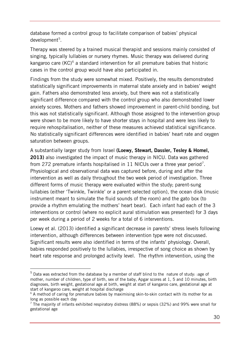database formed a control group to facilitate comparison of babies' physical development<sup>[5](#page-29-0)</sup>.

Therapy was steered by a trained musical therapist and sessions mainly consisted of singing, typically lullabies or nursery rhymes. Music therapy was delivered during kangaroo care (KC)[6](#page-29-1) a standard intervention for all premature babies that historic cases in the control group would have also participated in.

Findings from the study were somewhat mixed. Positively, the results demonstrated statistically significant improvements in maternal state anxiety and in babies' weight gain. Fathers also demonstrated less anxiety, but there was not a statistically significant difference compared with the control group who also demonstrated lower anxiety scores. Mothers and fathers showed improvement in parent-child bonding, but this was not statistically significant. Although those assigned to the intervention group were shown to be more likely to have shorter stays in hospital and were less likely to require rehospitalisation, neither of these measures achieved statistical significance. No statistically significant differences were identified in babies' heart rate and oxygen saturation between groups.

A substantially larger study from Israel **(Loewy, Stewart, Dassler, Tesley & Homel, 2013)** also investigated the impact of music therapy in NICU. Data was gathered from 2[7](#page-29-2)2 premature infants hospitalised in 11 NICUs over a three year period<sup>7</sup>. Physiological and observational data was captured before, during and after the intervention as well as daily throughout the two week period of investigation. Three different forms of music therapy were evaluated within the study; parent-sung lullabies (either 'Twinkle, Twinkle' or a parent selected option), the ocean disk (music instrument meant to simulate the fluid sounds of the room) and the gato box (to provide a rhythm emulating the mothers' heart bear). Each infant had each of the 3 interventions or control (where no explicit aural stimulation was presented) for 3 days per week during a period of 2 weeks for a total of 6 interventions.

Loewy et al. (2013) identified a significant decrease in parents' stress levels following intervention, although differences between intervention type were not discussed. Significant results were also identified in terms of the infants' physiology. Overall, babies responded positively to the lullabies, irrespective of song choice as shown by heart rate response and prolonged activity level. The rhythm intervention, using the

-

<span id="page-29-0"></span><sup>5</sup> Data was extracted from the database by a member of staff blind to the nature of study: :age of mother, number of children, type of birth, sex of the baby, Apgar scores at 1, 5 and 10 minutes, birth diagnoses, birth weight, gestational age at birth, weight at start of kangaroo care, gestational age at start of kangaroo care, weight at hospital discharge

<span id="page-29-1"></span> $6$  A method of caring for premature babies by maximising skin-to-skin contact with its mother for as long as possible each day

<span id="page-29-2"></span><sup>&</sup>lt;sup>7</sup> The majority of infants exhibited respiratory distress (88%) or sepsis (32%) and 99% were small for gestational age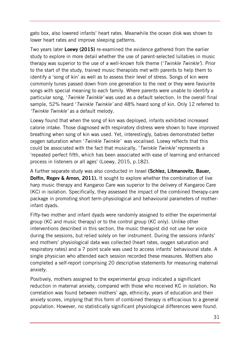gato box, also lowered infants' heart rates. Meanwhile the ocean disk was shown to lower heart rates and improve sleeping patterns.

Two years later **Loewy (2015)** re-examined the evidence gathered from the earlier study to explore in more detail whether the use of parent-selected lullabies in music therapy was superior to the use of a well-known folk theme ('*Twinkle Twinkle'*). Prior to the start of the study, trained music therapists met with parents to help them to identify a 'song of kin' as well as to assess their level of stress. Songs of kin were commonly tunes passed down from one generation to the next or they were favourite songs with special meaning to each family. Where parents were unable to identify a particular song, '*Twinkle Twinkle'* was used as a default selection. In the overall final sample, 52% heard '*Twinkle Twinkle'* and 48% heard song of kin. Only 12 referred to *'Twinkle Twinkle'* as a default melody.

Loewy found that when the song of kin was deployed, infants exhibited increased calorie intake. Those diagnosed with respiratory distress were shown to have improved breathing when song of kin was used. Yet, interestingly, babies demonstrated better oxygen saturation when '*Twinkle Twinkle'* was vocalised. Loewy reflects that this could be associated with the fact that musically, '*Twinkle Twinkle'* represents a 'repeated perfect fifth, which has been associated with ease of learning and enhanced process in listeners or all ages' (Loewy, 2015, p.182).

A further separate study was also conducted in Israel **(Schlez, Litmanovitz, Bauer, Dolfin, Regev & Arnon, 2011).** It sought to explore whether the combination of live harp music therapy and Kangaroo Care was superior to the delivery of Kangaroo Care (KC) in isolation. Specifically, they assessed the impact of the combined therapy-care package in promoting short term-physiological and behavioural parameters of motherinfant dyads.

Fifty-two mother and infant dyads were randomly assigned to either the experimental group (KC and music therapy) or to the control group (KC only). Unlike other interventions described in this section, the music therapist did not use her voice during the sessions, but relied solely on her instrument. During the sessions infants' and mothers' physiological data was collected (heart rates, oxygen saturation and respiratory rates) and a 7 point scale was used to access infants' behavioural state. A single physician who attended each session recorded these measures. Mothers also completed a self-report comprising 20 descriptive statements for measuring maternal anxiety.

Positively, mothers assigned to the experimental group indicated a significant reduction in maternal anxiety, compared with those who received KC in isolation. No correlation was found between mothers' age, ethnicity, years of education and their anxiety scores, implying that this form of combined therapy is efficacious to a general population. However, no statistically significant physiological differences were found.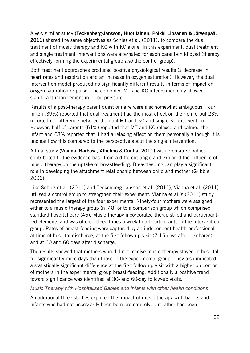A very similar study **(Teckenberg-Jansson, Huotilainen, Pölkki Lipsanen & Järvenpää, 2011)** shared the same objectives as Schlez et al. (2011): to compare the dual treatment of music therapy and KC with KC alone. In this experiment, dual treatment and single treatment interventions were alternated for each parent-child dyad (thereby effectively forming the experimental group *and* the control group).

Both treatment approaches produced positive physiological results (a decrease in heart rates and respiration and an increase in oxygen saturation). However, the dual intervention model produced no significantly different results in terms of impact on oxygen saturation or pulse. The combined MT and KC intervention only showed significant improvement in blood pressure.

Results of a post-therapy parent questionnaire were also somewhat ambiguous. Four in ten (39%) reported that dual treatment had the most effect on their child but 23% reported no difference between the dual MT and KC and single KC intervention. However, half of parents (51%) reported that MT and KC relaxed and calmed their infant and 63% reported that it had a relaxing effect on them personally although it is unclear how this compared to the perspective about the single intervention.

A final study **(Vianna, Barbosa, Albelino & Cunha, 2011)** with premature babies contributed to the evidence base from a different angle and explored the influence of music therapy on the uptake of breastfeeding. Breastfeeding can play a significant role in developing the attachment relationship between child and mother (Gribble, 2006).

Like Schlez et al. (2011) and Teckenberg-Jansson et al. (2011), Vianna et al. (2011) utilised a control group to strengthen their experiment. Vianna et al.'s (2011) study represented the largest of the four experiments. Ninety-four mothers were assigned either to a music therapy group (n=48) or to a comparison group which comprised standard hospital care (46). Music therapy incorporated therapist-led and participantled elements and was offered three times a week to all participants in the intervention group. Rates of breast-feeding were captured by an independent health professional at time of hospital discharge, at the first follow-up visit (7-15 days after discharge) and at 30 and 60 days after discharge.

The results showed that mothers who did not receive music therapy stayed in hospital for significantly more days than those in the experimental group. They also indicated a statistically significant difference at the first follow up visit with a higher proportion of mothers in the experimental group breast-feeding. Additionally a positive trend toward significance was identified at 30- and 60-day follow-up visits.

#### *Music Therapy with Hospitalised Babies and Infants with other health conditions*

An additional three studies explored the impact of music therapy with babies and infants who had not necessarily been born prematurely, but rather had been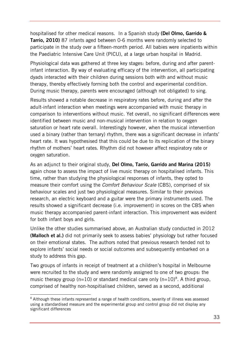hospitalised for other medical reasons. In a Spanish study **(Del Olmo, Garrido & Tarrio, 2010)** 87 infants aged between 0-6 months were randomly selected to participate in the study over a fifteen-month period. All babies were inpatients within the Paediatric Intensive Care Unit (PICU), at a large urban hospital in Madrid.

Physiological data was gathered at three key stages: before, during and after parentinfant interaction. By way of evaluating efficacy of the intervention, all participating dyads interacted with their children during sessions both with and without music therapy, thereby effectively forming both the control and experimental condition. During music therapy, parents were encouraged (although not obligated) to sing.

Results showed a notable decrease in respiratory rates before, during and after the adult-infant interaction when meetings were accompanied with music therapy in comparison to interventions without music. Yet overall, no significant differences were identified between music and non-musical intervention in relation to oxygen saturation or heart rate overall. Interestingly however, when the musical intervention used a binary (rather than ternary) rhythm, there was a significant decrease in infants' heart rate. It was hypothesised that this could be due to its replication of the binary rhythm of mothers' heart rates. Rhythm did not however affect respiratory rate or oxygen saturation.

As an adjunct to their original study, **Del Olmo, Tarrio, Garrido and Marina (2015)**  again chose to assess the impact of live music therapy on hospitalised infants. This time, rather than studying the physiological responses of infants, they opted to measure their comfort using the *Comfort Behaviour Scale* (CBS), comprised of six behaviour scales and just two physiological measures. Similar to their previous research, an electric keyboard and a guitar were the primary instruments used. The results showed a significant decrease (i.e. improvement) in scores on the CBS when music therapy accompanied parent-infant interaction. This improvement was evident for both infant boys and girls.

Unlike the other studies summarised above, an Australian study conducted in 2012 **(Malloch et al.)** did not primarily seek to assess babies' physiology but rather focused on their emotional states. The authors noted that previous research tended not to explore infants' social needs or social outcomes and subsequently embarked on a study to address this gap.

Two groups of infants in receipt of treatment at a children's hospital in Melbourne were recruited to the study and were randomly assigned to one of two groups: the music therapy group ( $n=10$ ) or standard medical care only ( $n=10$ )<sup>[8](#page-32-0)</sup>. A third group, comprised of healthy non-hospitialised children, served as a second, additional

 $\overline{a}$ 

<span id="page-32-0"></span><sup>&</sup>lt;sup>8</sup> Although these infants represented a range of health conditions, severity of illness was assessed using a standardised measure and the experimental group and control group did not display any significant differences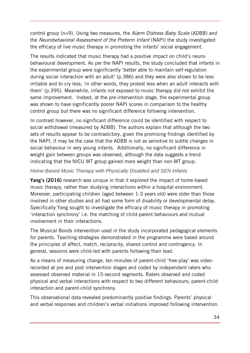control group (n=9). Using two measures, the *Alarm Distress Baby Scale* (ADBB) and the *Neurobehavioral Assessment of the Preterm Infant* (NAPI) the study investigated the efficacy of live music therapy in promoting the infants' social engagement.

The results indicated that music therapy had a positive impact on child's neurobehavioural development. As per the NAPI results, the study concluded that infants in the experimental group were significantly 'better able to maintain self-regulation during social interaction with an adult' (p.386) and they were also shown to be less irritable and to cry less; 'in other words, they protest less when an adult interacts with them' (p.395). Meanwhile, infants not exposed to music therapy did not exhibit the same improvement. Indeed, at the pre-intervention stage, the experimental group was shown to have significantly poorer NAPI scores in comparison to the healthy control group but there was no significant difference following intervention.

In contrast however, no significant difference could be identified with respect to social withdrawal (measured by ADBB). The authors explain that although the two sets of results appear to be contradictory, given the promising findings identified by the NAPI, it may be the case that the ADBB is not as sensitive to subtle changes in social behaviour in very young infants. Additionally, no significant difference in weight gain between groups was observed, although the data suggests a trend indicating that the NICU MT group gained more weight than non-MT group.

## *Home-Based Music Therapy with Physically Disabled and SEN Infants*

**Yang's (2016)** research was unique in that it explored the impact of home-based music therapy, rather than studying interactions within a hospital environment. Moreover, participating children (aged between 1-3 years old) were older than those involved in other studies and all had some form of disability or developmental delay. Specifically Yang sought to investigate the efficacy of music therapy in promoting 'interaction synchrony' i.e. the matching of child-parent behaviours and mutual involvement in their interactions.

The Musical Bonds intervention used in the study incorporated pedagogical elements for parents. Teaching strategies demonstrated in the programme were based around the principles of affect, match, reciprocity, shared control and contingency. In general, sessions were child-led with parents following their lead.

As a means of measuring change, ten minutes of parent-child 'free-play' was videorecorded at pre and post intervention stages and coded by independent raters who assessed observed material in 15-second segments. Raters observed and coded physical and verbal interactions with respect to two different behaviours; parent-child interaction and parent-child synchrony.

This observational data revealed predominantly positive findings. Parents' physical and verbal responses and children's verbal initiations improved following intervention.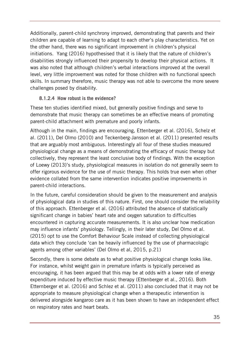Additionally, parent-child synchrony improved, demonstrating that parents and their children are capable of learning to adapt to each other's play characteristics. Yet on the other hand, there was no significant improvement in children's physical initiations. Yang (2016) hypothesised that it is likely that the nature of children's disabilities strongly influenced their propensity to develop their physical actions. It was also noted that although children's verbal interactions improved at the overall level, very little improvement was noted for those children with no functional speech skills. In summary therefore, music therapy was not able to overcome the more severe challenges posed by disability.

## <span id="page-34-0"></span>**8.1.2.4 How robust is the evidence?**

These ten studies identified mixed, but generally positive findings and serve to demonstrate that music therapy can sometimes be an effective means of promoting parent-child attachment with premature and poorly infants.

Although in the main, findings are encouraging, Ettenberger et al. (2016), Schelz et al. (2011), Del Olmo (2010) and Teckenberg-Jansson et al. (2011) presented results that are arguably most ambiguous. Interestingly all four of these studies measured physiological change as a means of demonstrating the efficacy of music therapy but collectively, they represent the least conclusive body of findings. With the exception of Loewy (2013)'s study, physiological measures in isolation do not generally seem to offer rigorous evidence for the use of music therapy. This holds true even when other evidence collated from the same intervention indicates positive improvements in parent-child interactions.

In the future, careful consideration should be given to the measurement and analysis of physiological data in studies of this nature. First, one should consider the reliability of this approach. Ettenberger et al. (2016) attributed the absence of statistically significant change in babies' heart rate and oxygen saturation to difficulties encountered in capturing accurate measurements. It is also unclear how medication may influence infants' physiology. Tellingly, in their later study, Del Olmo et al. (2015) opt to use the Comfort Behaviour Scale instead of collecting physiological data which they conclude 'can be heavily influenced by the use of pharmacologic agents among other variables' (Del Olmo et al, 2015, p.21)

Secondly, there is some debate as to what positive physiological change looks like. For instance, whilst weight gain in premature infants is typically perceived as encouraging, it has been argued that this may be at odds with a lower rate of energy expenditure induced by effective music therapy (Ettenberger et al., 2016). Both Etternberger et al. (2016) and Schlez et al. (2011) also concluded that it may not be appropriate to measure physiological change when a therapeutic intervention is delivered alongside kangaroo care as it has been shown to have an independent effect on respiratory rates and heart beats.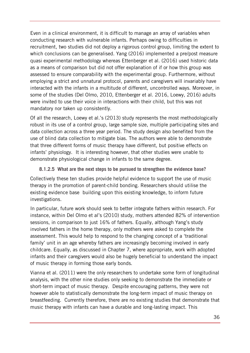Even in a clinical environment, it is difficult to manage an array of variables when conducting research with vulnerable infants. Perhaps owing to difficulties in recruitment, two studies did not deploy a rigorous control group, limiting the extent to which conclusions can be generalised. Yang (2016) implemented a pre/post measure quasi experimental methodology whereas Ettenberger et al. (2016) used historic data as a means of comparison but did not offer explanation of if or how this group was assessed to ensure comparability with the experimental group. Furthermore, without employing a strict and unnatural protocol, parents and caregivers will invariably have interacted with the infants in a multitude of different, uncontrolled ways. Moreover, in some of the studies (Del Olmo, 2010, Ettenberger et al. 2016, Loewy, 2016) adults were invited to use their voice in interactions with their child, but this was not mandatory nor taken up consistently.

Of all the research, Loewy et al.'s (2013) study represents the most methodologically robust in its use of a control group, large sample size, multiple participating sites and data collection across a three year period. The study design also benefited from the use of blind data collection to mitigate bias. The authors were able to demonstrate that three different forms of music therapy have different, but positive effects on infants' physiology. It is interesting however, that other studies were unable to demonstrate physiological change in infants to the same degree.

## <span id="page-35-0"></span>**8.1.2.5 What are the next steps to be pursued to strengthen the evidence base?**

Collectively these ten studies provide helpful evidence to support the use of music therapy in the promotion of parent-child bonding. Researchers should utilise the existing evidence base building upon this existing knowledge, to inform future investigations.

In particular, future work should seek to better integrate fathers within research. For instance, within Del Olmo et al's (2010) study, mothers attended 82% of intervention sessions, in comparison to just 16% of fathers. Equally, although Yang's study involved fathers in the home therapy, only mothers were asked to complete the assessment. This would help to respond to the changing concept of a 'traditional family' unit in an age whereby fathers are increasingly becoming involved in early childcare. Equally, as discussed in Chapter 7, where appropriate, work with adopted infants and their caregivers would also be hugely beneficial to understand the impact of music therapy in forming those early bonds.

Vianna et al. (2011) were the only researchers to undertake some form of longitudinal analysis, with the other nine studies only seeking to demonstrate the immediate or short-term impact of music therapy. Despite encouraging patterns, they were not however able to statistically demonstrate the long-term impact of music therapy on breastfeeding. Currently therefore, there are no existing studies that demonstrate that music therapy with infants can have a durable and long-lasting impact. This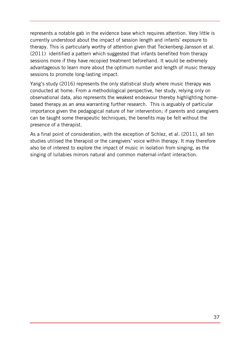represents a notable gab in the evidence base which requires attention. Very little is currently understood about the impact of session length and infants' exposure to therapy. This is particularly worthy of attention given that Teckenberg-Jansson et al. (2011) identified a pattern which suggested that infants benefited from therapy sessions more if they have recopied treatment beforehand. It would be extremely advantageous to learn more about the optimum number and length of music therapy sessions to promote long-lasting impact.

Yang's study (2016) represents the only statistical study where music therapy was conducted at home. From a methodological perspective, her study, relying only on observational data, also represents the weakest endeavour thereby highlighting homebased therapy as an area warranting further research. This is arguably of particular importance given the pedagogical nature of her intervention; if parents and caregivers can be taught some therapeutic techniques, the benefits may be felt without the presence of a therapist.

As a final point of consideration, with the exception of Schlez, et al. (2011), all ten studies utilised the therapist or the caregivers' voice within therapy. It may therefore also be of interest to explore the impact of music in isolation from singing, as the singing of lullabies mirrors natural and common maternal-infant interaction.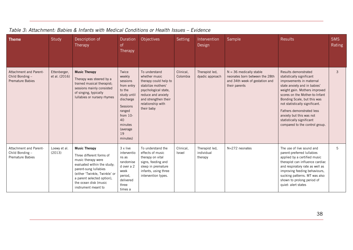| <b>Theme</b>                                                                | Study                         | Description of<br>Therapy                                                                                                                                                                                                                     | Duration<br><sub>of</sub><br><b>Therapy</b>                                                                                                                        | Objectives                                                                                                                                                                             | Setting               | Intervention<br>Design                  | Sample                                                                                                         | <b>Results</b>                                                                                                                                                                                                                                                                                                                                                            | <b>SMS</b><br>Rating |
|-----------------------------------------------------------------------------|-------------------------------|-----------------------------------------------------------------------------------------------------------------------------------------------------------------------------------------------------------------------------------------------|--------------------------------------------------------------------------------------------------------------------------------------------------------------------|----------------------------------------------------------------------------------------------------------------------------------------------------------------------------------------|-----------------------|-----------------------------------------|----------------------------------------------------------------------------------------------------------------|---------------------------------------------------------------------------------------------------------------------------------------------------------------------------------------------------------------------------------------------------------------------------------------------------------------------------------------------------------------------------|----------------------|
| <b>Attachment and Parent-</b><br>Child Bonding -<br><b>Premature Babies</b> | Ettenberger,<br>et al. (2016) | <b>Music Therapy</b><br>Therapy was steered by a<br>trained musical therapist;<br>sessions mainly consisted<br>of singing, typically<br>Iullabies or nursery rhymes                                                                           | Twice<br>weekly<br>sessions<br>from entry<br>to the<br>study until<br>discharge<br>Sessions<br>ranged<br>from $10-$<br>40<br>minutes<br>(average<br>19<br>minutes) | To understand<br>whether music<br>therapy could help to<br>stabilize mothers'<br>psychological state,<br>reduce and anxiety<br>and strengthen their<br>relationship with<br>their baby | Clinical,<br>Colombia | Therapist led,<br>dyadic approach       | $N = 36$ medically stable<br>neonates born between the 28th<br>and 34th week of gestation and<br>their parents | Results demonstrated<br>statistically significant<br>improvements in maternal<br>state anxiety and in babies'<br>weight gain. Mothers improved<br>scores on the Mother-to-Infant<br>Bonding Scale, but this was<br>not statistically significant.<br>Fathers demonstrated less<br>anxiety but this was not<br>statistically significant<br>compared to the control group. | 3                    |
| Attachment and Parent-<br>Child Bonding -<br><b>Premature Babies</b>        | Loewy et al.<br>(2013)        | <b>Music Therapy</b><br>Three different forms of<br>music therapy were<br>evaluated within the study;<br>parent-sung lullabies<br>(either 'Twinkle, Twinkle' or<br>a parent selected option),<br>the ocean disk (music<br>instrument meant to | 3 x live<br>interventio<br>ns as<br>randomise<br>d over a 2<br>week<br>period,<br>delivered<br>three<br>times a                                                    | To understand the<br>effects of music<br>therapy on vital<br>signs, feeding and<br>sleep in premature<br>infants, using three<br>intervention types.                                   | Clinical,<br>Israel   | Therapist led,<br>individual<br>therapy | N=272 neonates                                                                                                 | The use of live sound and<br>parent-preferred lullabies<br>applied by a certified music<br>therapist can influence cardiac<br>and respiratory rate as well as<br>improving feeding behaviours,<br>sucking patterns. MT was also<br>shown to prolong period of<br>quiet- alert states                                                                                      | 5                    |

## *Table 3: Attachment: Babies & Infants with Medical Conditions or Health Issues – Evidence*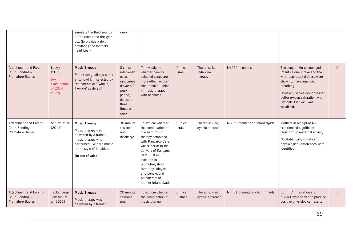|                                                                      |                                                               | simulate the fluid sounds<br>of the room) and the gato<br>box (to provide a rhythm<br>emulating the mothers'<br>heart bear).                                           | week                                                                                                                    |                                                                                                                                                                                                                                                                                          |                            |                                         |                                   |                                                                                                                                                                                                                                              |   |
|----------------------------------------------------------------------|---------------------------------------------------------------|------------------------------------------------------------------------------------------------------------------------------------------------------------------------|-------------------------------------------------------------------------------------------------------------------------|------------------------------------------------------------------------------------------------------------------------------------------------------------------------------------------------------------------------------------------------------------------------------------------|----------------------------|-----------------------------------------|-----------------------------------|----------------------------------------------------------------------------------------------------------------------------------------------------------------------------------------------------------------------------------------------|---|
| Attachment and Parent-<br>Child Bonding -<br><b>Premature Babies</b> | Loewy<br>(2015)<br>$[re-$<br>examination<br>of 2014<br>study] | <b>Music Therapy</b><br>Parent-sung lullaby; either<br>a 'song of kin' selected by<br>the parents or 'Twinkle,<br>Twinkle' as default                                  | 3 x live<br>interventio<br>ns as<br>randomise<br>d over a 2<br>week<br>period,<br>delivered<br>three<br>times a<br>week | To investigate<br>whether parent-<br>selected songs are<br>more effective than<br>traditional lullabies<br>in music therapy<br>with neonates                                                                                                                                             | Clinical,<br><b>Israel</b> | Therapist led,<br>individual<br>therapy | N=272 neonates                    | The song of kin encouraged<br>infant calorie intake and tho<br>with respiratory distress were<br>shown to have improved<br>breathing<br>However, babies demonstrated<br>better oxygen saturation when<br>'Twinkle Twinkle' was<br>vocalised. | 5 |
| Attachment and Parent-<br>Child Bonding -<br>Premature Babies        | Schlez, et al.<br>(2011)                                      | <b>Music Therapy</b><br>Music therapy was<br>delivered by a trained<br>music therapy who<br>performed live harp music<br>in the style of Iullabies.<br>No use of voice | 30 minute<br>sessions<br>until<br>discharge                                                                             | To explore whether<br>the combination of<br>live harp music<br>therapy combined<br>with Kangaroo Care<br>was superior to the<br>delivery of Kangaroo<br>Care (KC) in<br>isolation in<br>promoting short<br>term-physiological<br>and behavioural<br>parameters of<br>mother-infant dyads | Clinical,<br>Israel        | Therapist-led,<br>dyadic approach       | $N = 52$ mother and infant dyads  | Mothers in receipt of MT<br>experienced significant<br>reduction in maternal anxiety.<br>No statistically significant<br>physiological differences were<br>identified                                                                        | 3 |
| Attachment and Parent-<br>Child Bonding -<br><b>Premature Babies</b> | Teckenberg-<br>Jansson, et<br>al, 2011)                       | <b>Music Therapy</b><br>Music therapy was<br>delivered by a trained                                                                                                    | 20 minute<br>sessions<br>until                                                                                          | To explore whether<br>the combination of<br>music therapy                                                                                                                                                                                                                                | Clinical,<br>Finland       | Therapist-led,<br>dyadic approach       | $N = 61$ prematurely born infants | Both KC in isolation and<br>KC+MT were shown to produce<br>positive physiological results                                                                                                                                                    | 3 |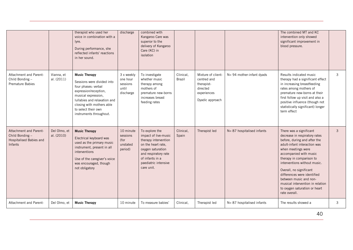|                                                                                   |                            | therapist who used her<br>voice in combination with a<br>lyre.<br>During performance, she<br>reflected infants' reactions<br>in her sound.                                                                                               | discharge                                                | combined with<br>Kangaroo Care was<br>superior to the<br>delivery of Kangaroo<br>Care (KC) in<br>isolation                                                                                 |                     |                                                                                               |                               | The combined MT and KC<br>intervention only showed<br>significant improvement in<br>blood pressure.                                                                                                                                                                                                                                                                                                            |   |
|-----------------------------------------------------------------------------------|----------------------------|------------------------------------------------------------------------------------------------------------------------------------------------------------------------------------------------------------------------------------------|----------------------------------------------------------|--------------------------------------------------------------------------------------------------------------------------------------------------------------------------------------------|---------------------|-----------------------------------------------------------------------------------------------|-------------------------------|----------------------------------------------------------------------------------------------------------------------------------------------------------------------------------------------------------------------------------------------------------------------------------------------------------------------------------------------------------------------------------------------------------------|---|
| Attachment and Parent-<br>Child Bonding -<br><b>Premature Babies</b>              | Vianna, et<br>al. (2011)   | <b>Music Therapy</b><br>Sessions were divided into<br>four phases: verbal<br>expression/reception,<br>musical expression,<br>Iullabies and relaxation and<br>closing with mothers able<br>to select their own<br>instruments throughout. | 3 x weekly<br>one hour<br>sessions<br>until<br>discharge | To investigate<br>whether music<br>therapy among<br>mothers of<br>premature new-borns<br>increases breast<br>feeding rates                                                                 | Clinical,<br>Brazil | Mixture of client-<br>centred and<br>therapist-<br>directed<br>experiences<br>Dyadic approach | N= 94 mother-infant dyads     | Results indicated music<br>therapy had a significant effect<br>in increasing breastfeeding<br>rates among mothers of<br>premature new-borns at their<br>first follow up visit and also a<br>positive influence (though not<br>statistically significant) longer<br>term effect                                                                                                                                 | 3 |
| Attachment and Parent-<br>Child Bonding $-$<br>Hospitalised Babies and<br>Infants | Del Olmo, et<br>al. (2010) | <b>Music Therapy</b><br>Electrical keyboard was<br>used as the primary music<br>instrument, present in all<br>interventions<br>Use of the caregiver's voice<br>was encouraged, though<br>not obligatory                                  | 10 minute<br>sessions<br>(for<br>unstated<br>period)     | To explore the<br>impact of live-music<br>therapy intervention<br>on the heart rate.<br>oxygen saturation<br>and respiratory rate<br>of infants in a<br>paediatric intensive<br>care unit. | Clinical,<br>Spain  | Therapist led                                                                                 | N= 87 hospitalised infants    | There was a significant<br>decrease in respiratory rates<br>before, during and after the<br>adult-infant interaction was<br>when meetings were<br>accompanied with music<br>therapy in comparison to<br>interventions without music.<br>Overall, no significant<br>differences were identified<br>between music and non-<br>musical intervention in relation<br>to oxygen saturation or heart<br>rate overall. | 3 |
| Attachment and Parent-                                                            | Del Olmo, et               | <b>Music Therapy</b>                                                                                                                                                                                                                     | 10 minute                                                | To measure babies'                                                                                                                                                                         | Clinical,           | Therapist led                                                                                 | $N = 87$ hospitalised infants | The results showed a                                                                                                                                                                                                                                                                                                                                                                                           | 3 |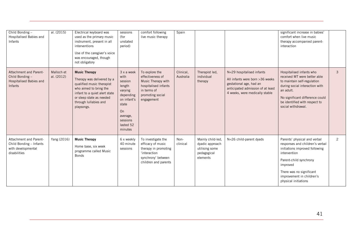| Child Bonding -<br>Hospitalised Babies and<br>Infants                                   | al. (2015)               | Electrical keyboard was<br>used as the primary music<br>instrument, present in all<br>interventions<br>Use of the caregiver's voice<br>was encouraged, though<br>not obligatory                               | sessions<br>(for<br>unstated<br>period)                                                                                                       | comfort following<br>live music therapy                                                                                           | Spain                  |                                                                                   |                                                                                                                                                                | significant increase in babies'<br>comfort when live music<br>therapy accompanied parent-<br>interaction                                                                                                                                 |   |
|-----------------------------------------------------------------------------------------|--------------------------|---------------------------------------------------------------------------------------------------------------------------------------------------------------------------------------------------------------|-----------------------------------------------------------------------------------------------------------------------------------------------|-----------------------------------------------------------------------------------------------------------------------------------|------------------------|-----------------------------------------------------------------------------------|----------------------------------------------------------------------------------------------------------------------------------------------------------------|------------------------------------------------------------------------------------------------------------------------------------------------------------------------------------------------------------------------------------------|---|
| <b>Attachment and Parent-</b><br>Child Bonding -<br>Hospitalised Babies and<br>Infants  | Malloch et<br>al. (2012) | <b>Music Therapy</b><br>Therapy was delivered by a<br>qualified music therapist<br>who aimed to bring the<br>infant to a quiet alert state<br>or sleep state as needed<br>through lullabies and<br>playsongs. | 3 x a week<br>with<br>session<br>length<br>varying<br>depending<br>on infant's<br>state<br>On<br>average,<br>sessions<br>lasted 52<br>minutes | To explore the<br>effectiveness of<br>Music Therapy with<br>hospitalised infants<br>in terms of<br>promoting social<br>engagement | Clinical,<br>Australia | Therapist led,<br>individual<br>therapy                                           | N=29 hospitalised infants<br>All infants were born >36 weeks<br>gestational age, had an<br>anticipated admission of at least<br>4 weeks, were medically stable | Hospitalised infants who<br>received MT were better able<br>to maintain self-regulation<br>during social interaction with<br>an adult.<br>No significant difference could<br>be identified with respect to<br>social withdrawal.         | 3 |
| Attachment and Parent-<br>Child Bonding - Infants<br>with developmental<br>disabilities | Yang (2016)              | <b>Music Therapy</b><br>Home base, six week<br>programme called Music<br><b>Bonds</b>                                                                                                                         | 6 x weekly<br>40 minute<br>sessions                                                                                                           | To investigate the<br>efficacy of music<br>therapy in promoting<br>'interaction<br>synchrony' between<br>children and parents     | Non-<br>clinical       | Mainly child-led,<br>dyadic approach<br>utilising some<br>pedagogical<br>elements | N=26 child-parent dyads                                                                                                                                        | Parents' physical and verbal<br>responses and children's verbal<br>initiations improved following<br>intervention<br>Parent-child synchrony<br>improved<br>There was no significant<br>improvement in children's<br>physical initiations | 2 |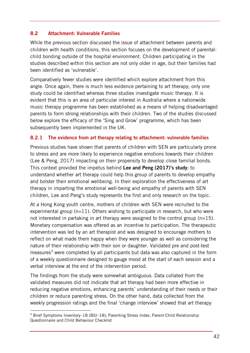## **8.2 Attachment: Vulnerable Families**

While the previous section discussed the issue of attachment between parents and children with health conditions, this section focuses on the development of parentalchild bonding outside of the hospital environment. Children participating in the studies described within this section are not only older in age, but their families had been identified as 'vulnerable'.

Comparatively fewer studies were identified which explore attachment from this angle. Once again, there is much less evidence pertaining to art therapy; only one study could be identified whereas three studies investigate music therapy. It is evident that this is an area of particular interest in Australia where a nationwide music therapy programme has been established as a means of helping disadvantaged parents to form strong relationships with their children. Two of the studies discussed below explore the efficacy of the 'Sing and Grow' programme, which has been subsequently been implemented in the UK.

## **8.2.1 The evidence from art therapy relating to attachment: vulnerable families**

Previous studies have shown that parents of children with SEN are particularly prone to stress and are more likely to experience negative emotions towards their children (Lee & Peng, 2017) impacting on their propensity to develop close familial bonds. This context provided the impetus behind **Lee and Peng (2017)'s study**; to understand whether art therapy could help this group of parents to develop empathy and bolster their emotional wellbeing. In their exploration the effectiveness of art therapy in imparting the emotional well-being and empathy of parents with SEN children, Lee and Peng's study represents the first and only research on the topic.

At a Hong Kong youth centre, mothers of children with SEN were recruited to the experimental group  $(n=11)$ . Others wishing to participate in research, but who were not interested in partaking in art therapy were assigned to the control group ( $n=15$ ). Monetary compensation was offered as an incentive to participation. The therapeutic intervention was led by an art therapist and was designed to encourage mothers to reflect on what made them happy when they were younger as well as considering the nature of their relationship with their son or daughter. Validated pre and post-test measures<sup>[9](#page-41-0)</sup> were completed by all participants but data was also captured in the form of a weekly questionnaire designed to gauge mood at the start of each session and a verbal interview at the end of the intervention period.

The findings from the study were somewhat ambiguous. Data collated from the validated measures did not indicate that art therapy had been more effective in reducing negative emotions, enhancing parents' understanding of their needs or their children or reduce parenting stress. On the other hand, data collected from the weekly progression ratings and the final 'change interview' showed that art therapy

-

<span id="page-41-0"></span><sup>9</sup> Brief Symptoms Inventory–18 (BSI–18); Parenting Stress Index, Parent-Child Relationship Questionnaire and Child Behaviour Checklist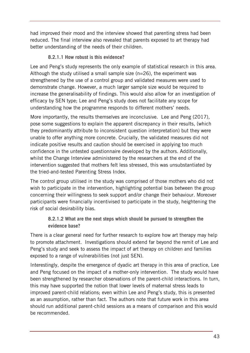had improved their mood and the interview showed that parenting stress had been reduced. The final interview also revealed that parents exposed to art therapy had better understanding of the needs of their children.

## **8.2.1.1 How robust is this evidence?**

Lee and Peng's study represents the only example of statistical research in this area. Although the study utilised a small sample size (n=26), the experiment was strengthened by the use of a control group and validated measures were used to demonstrate change. However, a much larger sample size would be required to increase the generalisability of findings. This would also allow for an investigation of efficacy by SEN type; Lee and Peng's study does not facilitate any scope for understanding how the programme responds to different mothers' needs.

More importantly, the results themselves are inconclusive. Lee and Peng (2017), pose some suggestions to explain the apparent discrepancy in their results, (which they predominantly attribute to inconsistent question interpretation) but they were unable to offer anything more concrete. Crucially, the validated measures did not indicate positive results and caution should be exercised in applying too much confidence in the untested questionnaire developed by the authors. Additionally, whilst the Change Interview administered by the researchers at the end of the intervention suggested that mothers felt less stressed, this was unsubstantiated by the tried-and-tested Parenting Stress Index.

The control group utilised in the study was comprised of those mothers who did not wish to participate in the intervention, highlighting potential bias between the group concerning their willingness to seek support and/or change their behaviour. Moreover participants were financially incentivised to participate in the study, heightening the risk of social desirability bias.

## **8.2.1.2 What are the next steps which should be pursued to strengthen the evidence base?**

There is a clear general need for further research to explore how art therapy may help to promote attachment. Investigations should extend far beyond the remit of Lee and Peng's study and seek to assess the impact of art therapy on children and families exposed to a range of vulnerabilities (not just SEN).

Interestingly, despite the emergence of dyadic art therapy in this area of practice, Lee and Peng focused on the impact of a mother-only intervention. The study would have been strengthened by researcher observations of the parent-child interactions. In turn, this may have supported the notion that lower levels of maternal stress leads to improved parent-child relations; even within Lee and Peng's study, this is presented as an assumption, rather than fact. The authors note that future work in this area should run additional parent-child sessions as a means of comparison and this would be recommended.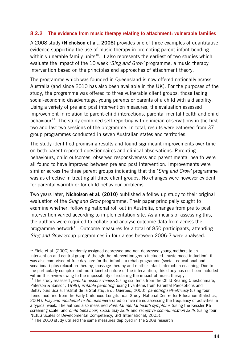## **8.2.2 The evidence from music therapy relating to attachment: vulnerable families**

A 2008 study (**Nicholson et al., 2008**) provides one of three examples of quantitative evidence supporting the use of music therapy in promoting parent-infant bonding within vulnerable family units<sup>10</sup>. It also represents the earliest of two studies which evaluate the impact of the 10 week *'Sing and Grow'* programme, a music therapy intervention based on the principles and approaches of attachment theory.

The programme which was founded in Queensland is now offered nationally across Australia (and since 2010 has also been available in the UK). For the purposes of the study, the programme was offered to three vulnerable client groups; those facing social-economic disadvantage, young parents or parents of a child with a disability. Using a variety of pre and post intervention measures, the evaluation assessed improvement in relation to parent-child interactions, parental mental health and child behaviour<sup>11</sup>. The study combined self-reporting with clinician observations in the first two and last two sessions of the programme. In total, results were gathered from 37 group programmes conducted in seven Australian states and territories.

The study identified promising results and found significant improvements over time on both parent-reported questionnaires and clinical observations. Parenting behaviours, child outcomes, observed responsiveness and parent mental health were all found to have improved between pre and post intervention. Improvements were similar across the three parent groups indicating that the '*Sing and Grow'* programme was as effective in treating all three client groups. No changes were however evident for parental warmth or for child behaviour problems.

Two years later, **Nicholson et al. (2010)** published a follow up study to their original evaluation of the *Sing and Grow* programme. Their paper principally sought to examine whether, following national roll out in Australia, changes from pre to post intervention varied according to implementation site. As a means of assessing this, the authors were required to collate and analyse outcome data from across the programme network<sup>12</sup>. Outcome measures for a total of 850 participants, attending *Sing and Grow* group programmes in four areas between 2006-7 were analysed.

-

<span id="page-43-0"></span><sup>&</sup>lt;sup>10</sup> Field et al. (2000) randomly assigned depressed and non-depressed young mothers to an intervention and control group. Although the intervention group included 'music mood induction', it was also comprised of free day care for the infants, a rehab programme (social, educational and vocational) plus relaxation therapy, massage therapy and mother-infant interaction coaching. Due to the particularly complex and multi-faceted nature of the intervention, this study has not been included within this review owing to the impossibility of isolating the impact of music therapy.

<span id="page-43-1"></span><sup>&</sup>lt;sup>11</sup> The study assessed *parental responsiveness* (using six items from the Child Rearing Questionniare, Paterson & Sanson, 1999), *irritable parenting* (using five items from Parental Perceptions and Behaviours Scale, Institut de la Statistique du Querbec, 2000), *parenting self-efficacy* (using four items modified from the Early Childhood Longituindal Study, National Centre for Education Statistics, 2004). *Play and incidental techniques* were rated on five items assessing the frequency of activities in a typical week. The authors also measured *Parental mental health symptoms* (using the Kessler K6 screening scale) and *child behaviour, social play skills* and *receptive communication skills* (using four NEILS Scales of Developmental Competency, SRI International, 2003).

<span id="page-43-2"></span> $12$  The 2010 study utilised the same measures deployed in the 2008 research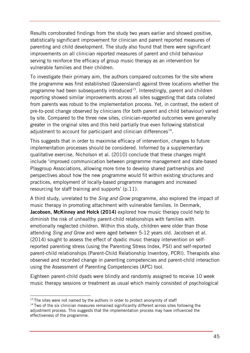Results corroborated findings from the study two years earlier and showed positive, statistically significant improvement for clinician and parent reported measures of parenting and child development. The study also found that there were significant improvements on all clinician reported measures of parent and child behaviour serving to reinforce the efficacy of group music therapy as an intervention for vulnerable families and their children.

To investigate their primary aim, the authors compared outcomes for the site where the programme was first established (Queensland) against three locations whether the programme had been subsequently introduced<sup>13</sup>. Interestingly, parent and children reporting showed similar improvements across all sites suggesting that data collated from parents was robust to the implementation process. Yet, in contrast, the extent of pre-to-post change observed by clinicians (for both parent and child behaviour) varied by site. Compared to the three new sites, clinician-reported outcomes were generally greater in the original sites and this held partially true even following statistical adjustment to account for participant and clinician differences<sup>[14](#page-44-1)</sup>.

This suggests that in order to maximise efficacy of intervention, changes to future implementation processes should be considered. Informed by a supplementary qualitative exercise, Nicholson et al. (2010) conclude that these changes might include 'improved communication between programme management and state-based Playgroup Associations, allowing more time to develop shared partnerships and perspectives about how the new programme would fit within existing structures and practices, employment of locally-based programme managers and increased resourcing for staff training and supports' (p.11).

A third study, unrelated to the *Sing and Grow* programme, also explored the impact of music therapy in promoting attachment with vulnerable families. In Denmark, **Jacobsen, McKinney and Holck (2014)** explored how music therapy could help to diminish the risk of unhealthy parent-child relationships with families with emotionally neglected children. Within this study, children were older than those attending *Sing and Grow* and were aged between 5-12 years old. Jacobsen et al. (2014) sought to assess the effect of dyadic music therapy intervention on selfreported parenting stress (using the Parenting Stress Index, PSI) and self-reported parent-child relationships (Parent-Child Relationship Inventory, PCRI). Therapists also observed and recorded change in parenting competencies and parent-child interaction using the Assessment of Parenting Competencies (APC) tool.

Eighteen parent-child dyads were blindly and randomly assigned to receive 10 week music therapy sessions or treatment as usual which mainly consisted of psychological

<sup>-</sup> $13$  The sites were not named by the authors in order to protect anonymity of staff

<span id="page-44-1"></span><span id="page-44-0"></span> $14$  Two of the six clinician measures remained significantly different across sites following the adjustment process. This suggests that the implementation process may have influenced the effectiveness of the programme.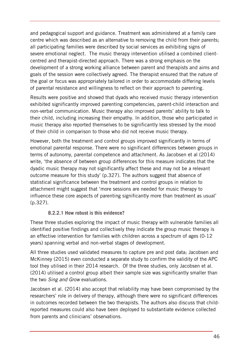and pedagogical support and guidance. Treatment was administered at a family care centre which was described as an alternative to removing the child from their parents; all participating families were described by social services as exhibiting signs of severe emotional neglect. The music therapy intervention utilised a combined clientcentred and therapist-directed approach. There was a strong emphasis on the development of a strong working alliance between parent and therapists and aims and goals of the session were collectively agreed. The therapist ensured that the nature of the goal or focus was appropriately tailored in order to accommodate differing levels of parental resistance and willingness to reflect on their approach to parenting.

Results were positive and showed that dyads who received music therapy intervention exhibited significantly improved parenting competencies, parent-child interaction and non-verbal communication. Music therapy also improved parents' ability to talk to their child, including increasing their empathy. In addition, those who participated in music therapy also reported themselves to be significantly less stressed by the mood of their child in comparison to those who did not receive music therapy.

However, both the treatment and control groups improved significantly in terms of emotional parental response. There were no significant differences between groups in terms of autonomy, parental competence and attachment. As Jacobsen et al (2014) write, 'the absence of between group differences for this measure indicates that the dyadic music therapy may not significantly affect these and may not be a relevant outcome measure for this study' (p.327). The authors suggest that absence of statistical significance between the treatment and control groups in relation to attachment might suggest that 'more sessions are needed for music therapy to influence these core aspects of parenting significantly more than treatment as usual' (p.327).

## **8.2.2.1 How robust is this evidence?**

These three studies exploring the impact of music therapy with vulnerable families all identified positive findings and collectively they indicate the group music therapy is an effective intervention for families with children across a spectrum of ages (0-12 years) spanning verbal and non-verbal stages of development.

All three studies used validated measures to capture pre and post data; Jacobsen and McKinney (2015) even conducted a separate study to confirm the validity of the APC tool they utilised in their 2014 research. Of the three studies, only Jacobsen et al. (2014) utilised a control group albeit their sample size was significantly smaller than the two *Sing and Grow* evaluations.

Jacobsen et al. (2014) also accept that reliability may have been compromised by the researchers' role in delivery of therapy, although there were no significant differences in outcomes recorded between the two therapists. The authors also discuss that childreported measures could also have been deployed to substantiate evidence collected from parents and clinicians' observations.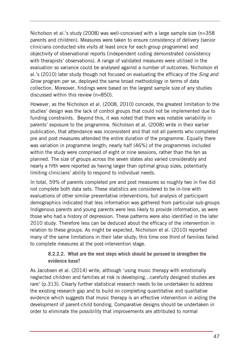Nicholson et al.'s study (2008) was well-conceived with a large sample size (n=358 parents and children). Measures were taken to ensure consistency of delivery (senior clinicians conducted site visits at least once for each group programme) and objectivity of observational reports (independent coding demonstrated consistency with therapists' observations). A range of validated measures were utilised in the evaluation so variance could be analysed against a number of outcomes. Nicholson et al.'s (2010) later study though not focused on evaluating the efficacy of the *Sing and Grow* program per se, deployed the same broad methodology in terms of data collection. Moreover, findings were based on the largest sample size of any studies discussed within this review (n=850).

However, as the Nicholson et al. (2008, 2010) concede, the greatest limitation to the studies' design was the lack of control groups that could not be implemented due to funding constraints. Beyond this, it was noted that there was notable variability in parents' exposure to the programme. Nicholson et al. (2008) write in their earlier publication, that attendance was inconsistent and that not all parents who completed pre and post measures attended the entire duration of the programme. Equally there was variation in programme length; nearly half (46%) of the programmes included within the study were comprised of eight or nine sessions, rather than the ten as planned. The size of groups across the seven states also varied considerably and nearly a fifth were reported as having larger than optimal group sizes, potentially limiting clinicians' ability to respond to individual needs.

In total, 59% of parents completed pre and post measures so roughly two in five did not complete both data sets. These statistics are considered to be in-line with evaluations of other similar preventative interventions, but analysis of participant demographics indicated that less information was gathered from particular sub-groups Indigenous parents and young parents were less likely to provide information, as were those who had a history of depression. These patterns were also identified in the later 2010 study. Therefore less can be deduced about the efficacy of the intervention in relation to these groups. As might be expected, Nicholson et al. (2010) reported many of the same limitations in their later study; this time one third of families failed to complete measures at the post-intervention stage.

## **8.2.2.2. What are the next steps which should be pursued to strengthen the evidence base?**

As Jacobsen et al. (2014) write, although 'using music therapy with emotionally neglected children and families at risk is developing…carefully designed studies are rare' (p.313). Clearly further statistical research needs to be undertaken to address the existing research gap and to build on completing quantitative and qualitative evidence which suggests that music therapy is an effective intervention in aiding the development of parent-child bonding. Comparative designs should be undertaken in order to eliminate the possibility that improvements are attributed to normal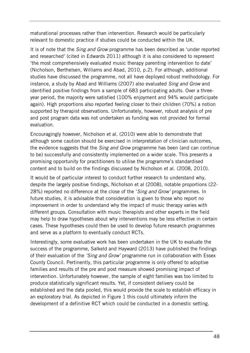maturational processes rather than intervention. Research would be particularly relevant to domestic practice if studies could be conducted within the UK.

It is of note that the *Sing and Grow* programme has been described as 'under reported and researched' (cited in Edwards 2011) although it is also considered to represent 'the most comprehensively evaluated music therapy parenting intervention to date' (Nicholson, Berthelsen, Williams and Abad, 2010, p.2). For although, additional studies have discussed the programme, not all have deployed robust methodology. For instance, a study by Abad and Williams (2007) also evaluated *Sing and Grow* and identified positive findings from a sample of 683 participating adults. Over a threeyear period, the majority were satisfied (100% enjoyment and 94% would participate again). High proportions also reported feeling closer to their children (70%) a notion supported by therapist observations. Unfortunately, however, robust analysis of pre and post program data was not undertaken as funding was not provided for formal evaluation.

Encouragingly however, Nicholson et al. (2010) were able to demonstrate that although some caution should be exercised in interpretation of clinician outcomes, the evidence suggests that the *Sing and Grow* programme has been (and can continue to be) successfully and consistently implemented on a wider scale. This presents a promising opportunity for practitioners to utilise the programme's standardised content and to build on the findings discussed by Nicholson et al. (2008, 2010).

It would be of particular interest to conduct further research to understand why, despite the largely positive findings, Nicholson et al (2008), notable proportions (22- 28%) reported no difference at the close of the '*Sing and Grow'* programmes. In future studies, it is advisable that consideration is given to those who report no improvement in order to understand why the impact of music therapy varies with different groups. Consultation with music therapists and other experts in the field may help to draw hypotheses about why interventions may be less effective in certain cases. These hypotheses could then be used to develop future research programmes and serve as a platform to eventually conduct RCTs.

Interestingly, some evaluative work has been undertaken in the UK to evaluate the success of the programme, Salkeld and Hayward (2013) have published the findings of their evaluation of the *'Sing and Grow'* programme run in collaboration with Essex County Council. Pertinently, this particular programme is only offered to adoptive families and results of the pre and post measure showed promising impact of intervention. Unfortunately however, the sample of eight families was too limited to produce statistically significant results. Yet, if consistent delivery could be established and the data pooled, this would provide the scale to establish efficacy in an exploratory trial. As depicted in Figure 1 this could ultimately inform the development of a definitive RCT which could be conducted in a domestic setting.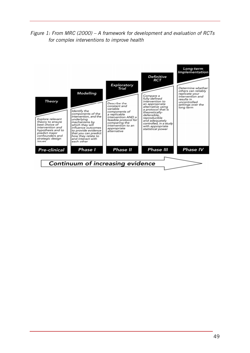## *Figure 1: From MRC (2000) – A framework for development and evaluation of RCTs for complex interventions to improve health*

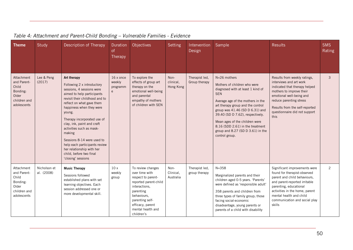| <b>Theme</b>                                                                           | Study                      | Description of Therapy                                                                                                                                                                                                                                                                                                                                                                                                                                    | Duration<br><sub>of</sub><br>Therapy | Objectives                                                                                                                                                                                                | <b>Setting</b>                 | Intervention<br>Design          | Sample                                                                                                                                                                                                                                                                                                                                                                        | <b>Results</b>                                                                                                                                                                                                                                                   | <b>SMS</b><br>Rating |
|----------------------------------------------------------------------------------------|----------------------------|-----------------------------------------------------------------------------------------------------------------------------------------------------------------------------------------------------------------------------------------------------------------------------------------------------------------------------------------------------------------------------------------------------------------------------------------------------------|--------------------------------------|-----------------------------------------------------------------------------------------------------------------------------------------------------------------------------------------------------------|--------------------------------|---------------------------------|-------------------------------------------------------------------------------------------------------------------------------------------------------------------------------------------------------------------------------------------------------------------------------------------------------------------------------------------------------------------------------|------------------------------------------------------------------------------------------------------------------------------------------------------------------------------------------------------------------------------------------------------------------|----------------------|
| Attachment<br>and Parent-<br>Child<br>Bonding:<br>Older<br>children and<br>adolescents | Lee & Peng<br>(2017)       | Art therapy<br>Following 2 x introductory<br>sessions, 4 sessions were<br>aimed to help participants<br>revisit their childhood and to<br>reflect on what gave them<br>happiness when they were<br>young.<br>Therapy incorporated use of<br>clay, ink, paint and craft<br>activities such as mask-<br>making<br>Sessions 8-14 were used to<br>help each participants review<br>her relationship with her<br>child, before two final<br>'closing' sessions | 16 x once<br>weekly<br>programm<br>e | To explore the<br>effects of group art<br>therapy on the<br>emotional well-being<br>and parental<br>empathy of mothers<br>of children with SEN                                                            | Non-<br>clinical,<br>Hong Kong | Therapist led,<br>Group therapy | N=26 mothers<br>Mothers of children who were<br>diagnosed with at least 1 kind of<br><b>SEN</b><br>Average age of the mothers in the<br>art therapy group and the control<br>group was 41.46 (SD D 6.31) and<br>39.40 (SD D 7.62), respectively.<br>Mean ages of the children were<br>8.16 (SDD 2.61) in the treatment<br>group and 8.27 (SD D 3.61) in the<br>control group. | Results from weekly ratings,<br>interviews and art work<br>indicated that therapy helped<br>mothers to improve their<br>emotional well-being and<br>reduce parenting stress<br>Results from the self-reported<br>questionnaire did not support<br>this           | 3                    |
| Attachment<br>and Parent-<br>Child<br>Bonding:<br>Older<br>children and<br>adolescents | Nicholson et<br>al. (2008) | <b>Music Therapy</b><br>Sessions followed<br>established plans with set<br>learning objectives. Each<br>session addressed one or<br>more developmental skill.                                                                                                                                                                                                                                                                                             | 10x<br>weekly<br>group               | To review changes<br>over time with<br>respect to parent-<br>reported parent-child<br>interactions,<br>parenting<br>behaviours.<br>parenting self-<br>efficacy, parent<br>mental health and<br>children's | Non-<br>Clinical,<br>Australia | Therapist led,<br>group therapy | $N = 358$<br>Marginalized parents and their<br>children aged 0-5 years. 'Parents'<br>were defined as 'responsible adult'<br>358 parents and children from<br>three types of family group; those<br>facing social-economic<br>disadvantage, young parents or<br>parents of a child with disability                                                                             | Significant improvements were<br>found for therapist-observed<br>parent and child behaviours,<br>and parent-reported irritable<br>parenting, educational<br>activities in the home, parent<br>mental health and child<br>communication and social play<br>skills | 2                    |

# *Table 4: Attachment and Parent-Child Bonding – Vulnerable Families - Evidence*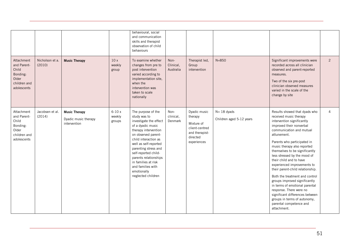|                                                                                        |                           |                                                              |                             | behavioural, social<br>and communication<br>skills and therapist<br>observation of child<br>behaviours                                                                                                                                                                                                                                      |                                |                                                                                                      |                                            |                                                                                                                                                                                                                                                                                                                                                                                                                                                                                                                                                                                                                                         |   |
|----------------------------------------------------------------------------------------|---------------------------|--------------------------------------------------------------|-----------------------------|---------------------------------------------------------------------------------------------------------------------------------------------------------------------------------------------------------------------------------------------------------------------------------------------------------------------------------------------|--------------------------------|------------------------------------------------------------------------------------------------------|--------------------------------------------|-----------------------------------------------------------------------------------------------------------------------------------------------------------------------------------------------------------------------------------------------------------------------------------------------------------------------------------------------------------------------------------------------------------------------------------------------------------------------------------------------------------------------------------------------------------------------------------------------------------------------------------------|---|
| Attachment<br>and Parent-<br>Child<br>Bonding:<br>Older<br>children and<br>adolescents | Nicholson et a.<br>(2010) | <b>Music Therapy</b>                                         | 10x<br>weekly<br>group      | To examine whether<br>changes from pre to<br>post intervention<br>varied according to<br>implementation site,<br>when the<br>intervention was<br>taken to scale<br>nationally                                                                                                                                                               | Non-<br>Clinical,<br>Australia | Therapist led,<br>Group<br>intervention                                                              | $N = 850$                                  | Significant improvements were<br>recorded across all clinician<br>observed and parent-reported<br>measures.<br>Two of the six pre-post<br>clinician observed measures<br>varied in the scale of the<br>change by site                                                                                                                                                                                                                                                                                                                                                                                                                   | 2 |
| Attachment<br>and Parent-<br>Child<br>Bonding:<br>Older<br>children and<br>adolescents | Jacobsen et al.<br>(2014) | <b>Music Therapy</b><br>Dyadic music therapy<br>intervention | $6-10x$<br>weekly<br>groups | The purpose of the<br>study was to<br>investigate the effect<br>of a dyadic music<br>therapy intervention<br>on observed parent-<br>child interaction as<br>well as self-reported<br>parenting stress and<br>self-reported child-<br>parents relationships<br>in families at risk<br>and families with<br>emotionally<br>neglected children | Non-<br>clinical,<br>Denmark   | Dyadic music<br>therapy<br>Mixture of<br>client-centred<br>and therapist-<br>directed<br>experiences | $N = 18$ dyads<br>Children aged 5-12 years | Results showed that dyads who<br>received music therapy<br>intervention significantly<br>improved their nonverbal<br>communication and mutual<br>attunement.<br>Parents who participated in<br>music therapy also reported<br>themselves to be significantly<br>less stressed by the mood of<br>their child and to have<br>experienced improvements to<br>their parent-child relationship.<br>Both the treatment and control<br>groups improved significantly<br>in terms of emotional parental<br>response. There were no<br>significant differences between<br>groups in terms of autonomy,<br>parental competence and<br>attachment. | 4 |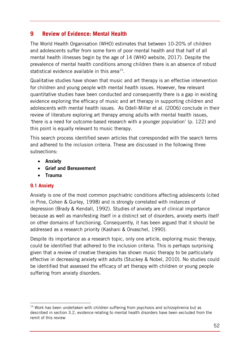## **9 Review of Evidence: Mental Health**

The World Health Organisation (WHO) estimates that between 10-20% of children and adolescents suffer from some form of poor mental health and that half of all mental health illnesses begin by the age of 14 (WHO website, 2017). Despite the prevalence of mental health conditions among children there is an absence of robust statistical evidence available in this area<sup>[15](#page-51-0)</sup>.

Qualitative studies have shown that music and art therapy is an effective intervention for children and young people with mental health issues. However, few relevant quantitative studies have been conducted and consequently there is a gap in existing evidence exploring the efficacy of music and art therapy in supporting children and adolescents with mental health issues. As Odell-Miller et al. (2006) conclude in their review of literature exploring art therapy among adults with mental health issues, *'*there is a need for outcome-based research with a younger population' (p. 122) and this point is equally relevant to music therapy.

This search process identified seven articles that corresponded with the search terms and adhered to the inclusion criteria. These are discussed in the following three subsections:

- **Anxiety**
- **Grief and Bereavement**
- **Trauma**

## **9.1 Anxiety**

-

Anxiety is one of the most common psychiatric conditions affecting adolescents (cited in Pine, Cohen & Gurley, 1998) and is strongly correlated with instances of depression (Brady & Kendall, 1992). Studies of anxiety are of clinical importance because as well as manifesting itself in a distinct set of disorders, anxiety exerts itself on other domains of functioning. Consequently, it has been argued that it should be addressed as a research priority (Kashani & Orvaschel, 1990).

Despite its importance as a research topic, only one article, exploring music therapy, could be identified that adhered to the inclusion criteria. This is perhaps surprising given that a review of creative therapies has shown music therapy to be particularly effective in decreasing anxiety with adults (Stuckey & Nobel, 2010). No studies could be identified that assessed the efficacy of art therapy with children or young people suffering from anxiety disorders.

<span id="page-51-0"></span><sup>&</sup>lt;sup>15</sup> Work has been undertaken with children suffering from psychosis and schizophrenia but as described in section 3.2, evidence relating to mental health disorders have been excluded from the remit of this review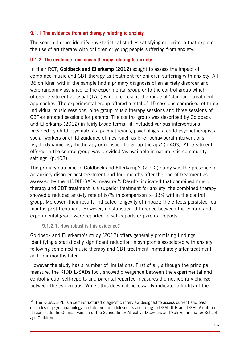## **9.1.1 The evidence from art therapy relating to anxiety**

The search did not identify any statistical studies satisfying our criteria that explore the use of art therapy with children or young people suffering from anxiety.

#### **9.1.2 The evidence from music therapy relating to anxiety**

In their RCT, **Goldbeck and Ellerkamp (2012)** sought to assess the impact of combined music and CBT therapy as treatment for children suffering with anxiety. All 36 children within the sample had a primary diagnosis of an anxiety disorder and were randomly assigned to the experimental group or to the control group which offered treatment as usual (TAU) which represented a range of 'standard' treatment approaches. The experimental group offered a total of 15 sessions comprised of three individual music sessions, nine group music therapy sessions and three sessions of CBT-orientated sessions for parents. The control group was described by Goldbeck and Ellerkamp (2012) in fairly broad terms; 'it included various interventions provided by child psychiatrists, paediatricians, psychologists, child psychotherapists, social workers or child guidance clinics, such as brief behavioural interventions, psychodynamic psychotherapy or nonspecific group therapy' (p.403). All treatment offered in the control group was provided 'as available in naturalistic community settings' (p.403).

The primary outcome in Goldbeck and Ellerkamp's (2012) study was the presence of an anxiety disorder post-treatment and four months after the end of treatment as assessed by the KIDDIE-SADs measure<sup>[16](#page-52-0)</sup>. Results indicated that combined music therapy and CBT treatment is a superior treatment for anxiety; the combined therapy showed a reduced anxiety rate of 67% in comparison to 33% within the control group. Moreover, their results indicated longevity of impact; the effects persisted four months post-treatment. However, no statistical difference between the control and experimental group were reported in self-reports or parental reports.

#### **9.1.2.1. How robust is this evidence?**

 $\overline{a}$ 

Goldbeck and Ellerkamp's study (2012) offers generally promising findings identifying a statistically significant reduction in symptoms associated with anxiety following combined music therapy and CBT treatment immediately after treatment and four months later.

However the study has a number of limitations. First of all, although the principal measure, the KIDDIE-SADs tool, showed divergence between the experimental and control group, self-reports and parental reported measures did not identify change between the two groups. Whilst this does not necessarily indicate fallibility of the

<span id="page-52-0"></span> $16$  The K-SADS-PL is a semi-structured diagnostic interview designed to assess current and past episodes of psychopathology in children and adolescents according to DSM-III-R and DSM-IV criteria. It represents the German version of the Schedule for Affective Disorders and Schizophrenia for School age Children.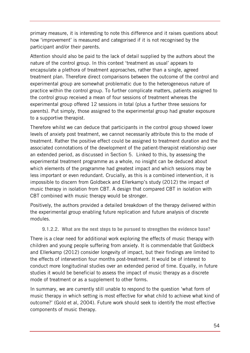primary measure, it is interesting to note this difference and it raises questions about how 'improvement' is measured and categorised if it is not recognised by the participant and/or their parents.

Attention should also be paid to the lack of detail supplied by the authors about the nature of the control group. In this context 'treatment as usual' appears to encapsulate a plethora of treatment approaches, rather than a single, agreed treatment plan. Therefore direct comparisons between the outcome of the control and experimental group are somewhat problematic due to the heterogeneous nature of practice within the control group. To further complicate matters, patients assigned to the control group received a mean of four sessions of treatment whereas the experimental group offered 12 sessions in total (plus a further three sessions for parents). Put simply, those assigned to the experimental group had greater exposure to a supportive therapist.

Therefore whilst we can deduce that participants in the control group showed lower levels of anxiety post treatment, we cannot necessarily attribute this to the mode of treatment. Rather the positive effect could be assigned to treatment duration and the associated connotations of the development of the patient-therapist relationship over an extended period, as discussed in Section 5. Linked to this, by assessing the experimental treatment programme as a whole, no insight can be deduced about which elements of the programme had greatest impact and which sessions may be less important or even redundant. Crucially, as this is a combined intervention, it is impossible to discern from Goldbeck and Ellerkamp's study (2012) the impact of music therapy in isolation from CBT. A design that compared CBT in isolation with CBT combined with music therapy would be stronger.

Positively, the authors provided a detailed breakdown of the therapy delivered within the experimental group enabling future replication and future analysis of discrete modules.

**9.1.2.2. What are the next steps to be pursued to strengthen the evidence base?** 

There is a clear need for additional work exploring the effects of music therapy with children and young people suffering from anxiety. It is commendable that Goldbeck and Ellerkamp (2012) consider longevity of impact, but their findings are limited to the effects of intervention four months post-treatment. It would be of interest to conduct more longitudinal studies over an extended period of time. Equally, in future studies it would be beneficial to assess the impact of music therapy as a discrete mode of treatment or as a supplement to other forms.

In summary, we are currently still unable to respond to the question 'what form of music therapy in which setting is most effective for what child to achieve what kind of outcome?' (Gold et al, 2004). Future work should seek to identify the most effective components of music therapy.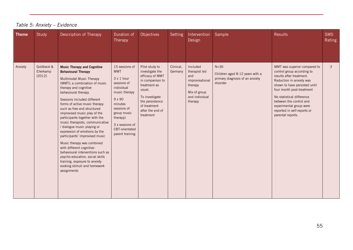| <b>Theme</b> | Study                             | Description of Therapy                                                                                                                                                                                                                                                                                                                                                                                                                                                                                                                                                                                                                                                                                 | Duration of<br>Therapy                                                                                                                                                                                                 | <b>Objectives</b>                                                                                                                                                                        | Setting              | Intervention<br>Design                                                                                      | Sample                                                                                   | <b>Results</b>                                                                                                                                                                                                                                                                                                          | <b>SMS</b><br>Rating |
|--------------|-----------------------------------|--------------------------------------------------------------------------------------------------------------------------------------------------------------------------------------------------------------------------------------------------------------------------------------------------------------------------------------------------------------------------------------------------------------------------------------------------------------------------------------------------------------------------------------------------------------------------------------------------------------------------------------------------------------------------------------------------------|------------------------------------------------------------------------------------------------------------------------------------------------------------------------------------------------------------------------|------------------------------------------------------------------------------------------------------------------------------------------------------------------------------------------|----------------------|-------------------------------------------------------------------------------------------------------------|------------------------------------------------------------------------------------------|-------------------------------------------------------------------------------------------------------------------------------------------------------------------------------------------------------------------------------------------------------------------------------------------------------------------------|----------------------|
| Anxiety      | Goldbeck &<br>Ellerkamp<br>(2012) | <b>Music Therapy and Cognitive</b><br><b>Behavioural Therapy</b><br>Multimodal Music Therapy<br>(MMT); a combination of music<br>therapy and cognitive<br>behavioural therapy<br>Sessions included different<br>forms of active music therapy<br>such as free and structured<br>improvised music play of the<br>participants together with the<br>music therapists, communicative<br>/ dialogue music playing or<br>expression of emotions by the<br>participants' improvised music<br>Music therapy was combined<br>with different cognitive-<br>behavioural interventions such as<br>psycho-education, social skills<br>training, exposure to anxiety<br>evoking stimuli and homework<br>assignments | 15 sessions of<br><b>MMT</b><br>$3 \times 1$ hour<br>sessions of<br>individual<br>music therapy<br>9 x 90<br>minutes<br>sessions of<br>group music<br>therapy)<br>3 x sessions of<br>CBT-orientated<br>parent training | Pilot study to<br>investigate the<br>efficacy of MMT<br>in comparison to<br>treatment as<br>usual,<br>To investigate<br>the persistence<br>of treatment<br>after the end of<br>treatment | Clinical,<br>Germany | Included<br>therapist led<br>and<br>improvisational<br>therapy<br>Mix of group<br>and individual<br>therapy | $N=36$<br>Children aged 8-12 years with a<br>primary diagnosis of an anxiety<br>disorder | MMT was superior compared to<br>control group according to<br>results after treatment.<br>Reduction in anxiety was<br>shown to have persisted until<br>four month post-treatment<br>No statistical difference<br>between the control and<br>experimental group were<br>reported in self-reports or<br>parental reports. | $\mathbf{3}$         |

# *Table 5: Anxiety – Evidence*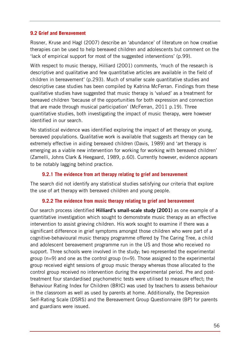#### **9.2 Grief and Bereavement**

Rosner, Kruse and Hagl (2007) describe an 'abundance' of literature on how creative therapies can be used to help bereaved children and adolescents but comment on the 'lack of empirical support for most of the suggested interventions' (p.99).

With respect to music therapy, Hilliard (2001) comments, 'much of the research is descriptive and qualitative and few quantitative articles are available in the field of children in bereavement' (p.293). Much of smaller scale quantitative studies and descriptive case studies has been compiled by Katrina McFerran. Findings from these qualitative studies have suggested that music therapy is 'valued' as a treatment for bereaved children 'because of the opportunities for both expression and connection that are made through musical participation' (McFerran, 2011 p.19). Three quantitative studies, both investigating the impact of music therapy, were however identified in our search.

No statistical evidence was identified exploring the impact of art therapy on young, bereaved populations. Qualitative work is available that suggests art therapy can be extremely effective in aiding bereaved children (Davis, 1989) and 'art therapy is emerging as a viable new intervention for working for working with bereaved children' (Zamelli, Johns Clark & Heegaard, 1989, p.60). Currently however, evidence appears to be notably lagging behind practice.

#### **9.2.1 The evidence from art therapy relating to grief and bereavement**

The search did not identify any statistical studies satisfying our criteria that explore the use of art therapy with bereaved children and young people.

#### **9.2.2 The evidence from music therapy relating to grief and bereavement**

Our search process identified **Hilliard's small-scale study (2001)** as one example of a quantitative investigation which sought to demonstrate music therapy as an effective intervention to assist grieving children. His work sought to examine if there was a significant difference in grief symptoms amongst those children who were part of a cognitive-behavioural music therapy programme offered by The Caring Tree, a child and adolescent bereavement programme run in the US and those who received no support. Three schools were involved in the study; two represented the experimental group (n=9) and one as the control group (n=9). Those assigned to the experimental group received eight sessions of group music therapy whereas those allocated to the control group received no intervention during the experimental period. Pre and posttreatment four standardised psychometric tests were utilised to measure effect; the Behaviour Rating Index for Children (BRIC) was used by teachers to assess behaviour in the classroom as well as used by parents at home. Additionally, the Depression Self-Rating Scale (DSRS) and the Bereavement Group Questionnaire (BP) for parents and guardians were issued.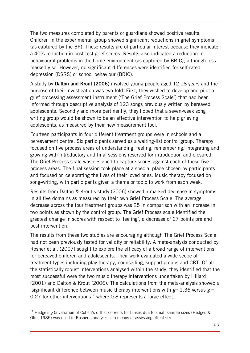The two measures completed by parents or guardians showed positive results. Children in the experimental group showed significant reductions in grief symptoms (as captured by the BP). These results are of particular interest because they indicate a 40% reduction in post-test grief scores. Results also indicated a reduction in behavioural problems in the home environment (as captured by BRIC), although less markedly so. However, no significant differences were identified for self-rated depression (DSRS) or school behaviour (BRIC).

A study by **Dalton and Krout (2006**) involved young people aged 12-18 years and the purpose of their investigation was two-fold. First, they wished to develop and pilot a grief processing assessment instrument ('The Grief Process Scale') that had been informed through descriptive analysis of 123 songs previously written by bereaved adolescents. Secondly and more pertinently, they hoped that a seven-week song writing group would be shown to be an effective intervention to help grieving adolescents, as measured by their new measurement tool.

Fourteen participants in four different treatment groups were in schools and a bereavement centre. Six participants served as a waiting-list control group. Therapy focused on five process areas of understanding, feeling, remembering, integrating and growing with introductory and final sessions reserved for introduction and closured. The Grief Process scale was designed to capture scores against each of these five process areas. The final session took place at a special place chosen by participants and focused on celebrating the lives of their loved ones. Music therapy focused on song-writing, with participants given a theme or topic to work from each week.

Results from Dalton & Krout's study (2006) showed a marked decrease in symptoms in all five domains as measured by their own Grief Process Scale. The average decrease across the four treatment groups was 25 in comparison with an increase in two points as shown by the control group. The Grief Process scale identified the greatest change in scores with respect to 'feeling'; a decrease of 27 points pre and post intervention.

The results from these two studies are encouraging although The Grief Process Scale had not been previously tested for validity or reliability. A meta-analysis conducted by Rosner et al. (2007) sought to explore the efficacy of a broad range of interventions for bereaved children and adolescents. Their work evaluated a wide scope of treatment types including play therapy, counselling, support groups and CBT. Of all the statistically robust interventions analysed within the study, they identified that the most successful were the two music therapy interventions undertaken by Hillard (2001) and Dalton & Krout (2006). The calculations from the meta-analysis showed a 'significant difference between music therapy interventions with  $g=1.36$  versus  $g=$ 0.27 for other interventions<sup>[17](#page-56-0)</sup> where 0.8 represents a large effect.

-

<span id="page-56-0"></span><sup>&</sup>lt;sup>17</sup> Hedge's *g* (a variation of Cohen's d that corrects for biases due to small sample sizes (Hedges & Olin, 1985) was used in Rosner's analysis as a means of assessing effect size.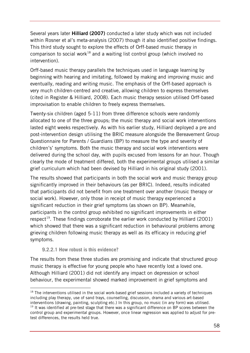Several years later **Hilliard (2007)** conducted a later study which was not included within Rosner et al's meta-analysis (2007) though it also identified positive findings. This third study sought to explore the effects of Orff-based music therapy in comparison to social work<sup>[18](#page-57-0)</sup> and a waiting list control group (which involved no intervention).

Orff-based music therapy parallels the techniques used in language learning by beginning with hearing and imitating, followed by making and improving music and eventually, reading and writing music. The emphasis of the Orff-based approach is very much children-centred and creative, allowing children to express themselves (cited in Register & Hilliard, 2008). Each music therapy session utilised Orff-based improvisation to enable children to freely express themselves.

Twenty-six children (aged 5-11) from three difference schools were randomly allocated to one of the three groups; the music therapy and social work interventions lasted eight weeks respectively. As with his earlier study, Hilliard deployed a pre and post-intervention design utilising the BRIC measure alongside the Bereavement Group Questionnaire for Parents / Guardians (BP) to measure the type and severity of children's' symptoms. Both the music therapy and social work interventions were delivered during the school day, with pupils excused from lessons for an hour. Though clearly the mode of treatment differed, both the experimental groups utilised a similar grief curriculum which had been devised by Hilliard in his original study (2001).

The results showed that participants in both the social work and music therapy group significantly improved in their behaviours (as per BRIC). Indeed, results indicated that participants did not benefit from one treatment over another (music therapy or social work). However, only those in receipt of music therapy experienced a significant reduction in their grief symptoms (as shown on BP). Meanwhile, participants in the control group exhibited no significant improvements in either respect<sup>19</sup>. These findings corroborate the earlier work conducted by Hilliard (2001) which showed that there was a significant reduction in behavioural problems among grieving children following music therapy as well as its efficacy in reducing grief symptoms.

**9.2.2.1 How robust is this evidence?** 

The results from these three studies are promising and indicate that structured group music therapy is effective for young people who have recently lost a loved one. Although Hilliard (2001) did not identify any impact on depression or school behaviour, the experimental showed marked improvement in grief symptoms and

<span id="page-57-1"></span><span id="page-57-0"></span> $\overline{a}$ <sup>18</sup> The interventions utilised in the social work-based grief sessions included a variety of techniques including play therapy, use of sand trays, counselling, discussion, drama and various art-based interventions (drawing, painting, sculpting etc.) In this group, no music (in any form) was utilised.  $19$  It was identified at pre-test stage that there was a significant difference on BP scores between the control group and experimental groups. However, once linear regression was applied to adjust for pretest differences, the results held true.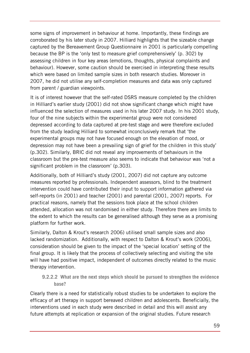some signs of improvement in behaviour at home. Importantly, these findings are corroborated by his later study in 2007. Hilliard highlights that the sizeable change captured by the Bereavement Group Questionnaire in 2001 is particularly compelling because the BP is the 'only test to measure grief comprehensively' (p. 302) by assessing children in four key areas (emotions, thoughts, physical complaints and behaviour). However, some caution should be exercised in interpreting these results which were based on limited sample sizes in both research studies. Moreover in 2007, he did not utilise any self-completion measures and data was only captured from parent / guardian viewpoints.

It is of interest however that the self-rated DSRS measure completed by the children in Hilliard's earlier study (2001) did not show significant change which might have influenced the selection of measures used in his later 2007 study. In his 2001 study, four of the nine subjects within the experimental group were not considered depressed according to data captured at pre-test stage and were therefore excluded from the study leading Hilliard to somewhat inconclusively remark that 'the experimental groups may not have focused enough on the elevation of mood, or depression may not have been a prevailing sign of grief for the children in this study' (p.302). Similarly, BRIC did not reveal any improvements of behaviours in the classroom but the pre-test measure also seems to indicate that behaviour was 'not a significant problem in the classroom' (p.303).

Additionally, both of Hilliard's study (2001, 2007) did not capture any outcome measures reported by professionals. Independent assessors, blind to the treatment intervention could have contributed their input to support information gathered via self-reports (in 2001) and teacher (2001) and parental (2001, 2007) reports. For practical reasons, namely that the sessions took place at the school children attended, allocation was not randomised in either study. Therefore there are limits to the extent to which the results can be generalised although they serve as a promising platform for further work.

Similarly, Dalton & Krout's research 2006) utilised small sample sizes and also lacked randomization. Additionally, with respect to Dalton & Krout's work (2006), consideration should be given to the impact of the 'special location' setting of the final group. It is likely that the process of collectively selecting and visiting the site will have had positive impact, independent of outcomes directly related to the music therapy intervention.

## **9.2.2.2 What are the next steps which should be pursued to strengthen the evidence base?**

Clearly there is a need for statistically robust studies to be undertaken to explore the efficacy of art therapy in support bereaved children and adolescents. Beneficially, the interventions used in each study were described in detail and this will assist any future attempts at replication or expansion of the original studies. Future research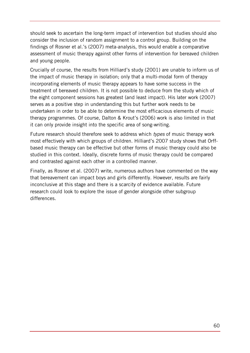should seek to ascertain the long-term impact of intervention but studies should also consider the inclusion of random assignment to a control group. Building on the findings of Rosner et al.'s (2007) meta-analysis, this would enable a comparative assessment of music therapy against other forms of intervention for bereaved children and young people.

Crucially of course, the results from Hilliard's study (2001) are unable to inform us of the impact of music therapy in isolation; only that a multi-modal form of therapy incorporating elements of music therapy appears to have some success in the treatment of bereaved children. It is not possible to deduce from the study which of the eight component sessions has greatest (and least impact). His later work (2007) serves as a positive step in understanding this but further work needs to be undertaken in order to be able to determine the most efficacious elements of music therapy programmes. Of course, Dalton & Krout's (2006) work is also limited in that it can only provide insight into the specific area of song-writing.

Future research should therefore seek to address which *types* of music therapy work most effectively with which groups of children. Hilliard's 2007 study shows that Orffbased music therapy can be effective but other forms of music therapy could also be studied in this context. Ideally, discrete forms of music therapy could be compared and contrasted against each other in a controlled manner.

Finally, as Rosner et al. (2007) write, numerous authors have commented on the way that bereavement can impact boys and girls differently. However, results are fairly inconclusive at this stage and there is a scarcity of evidence available. Future research could look to explore the issue of gender alongside other subgroup differences.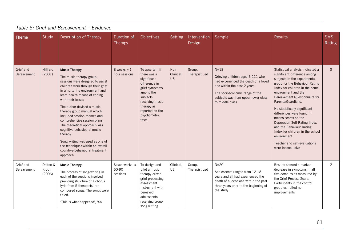| <b>Theme</b>             | Study                       | Description of Therapy                                                                                                                                                                                                                                                                                                                                                                                                                                                                                                                      | Duration of<br>Therapy             | Objectives                                                                                                                                                                             | Setting                              | Intervention<br>Design  | Sample                                                                                                                                                                                                          | <b>Results</b>                                                                                                                                                                                                                                                                                                                                                                                                                                                                                              | <b>SMS</b><br>Rating |
|--------------------------|-----------------------------|---------------------------------------------------------------------------------------------------------------------------------------------------------------------------------------------------------------------------------------------------------------------------------------------------------------------------------------------------------------------------------------------------------------------------------------------------------------------------------------------------------------------------------------------|------------------------------------|----------------------------------------------------------------------------------------------------------------------------------------------------------------------------------------|--------------------------------------|-------------------------|-----------------------------------------------------------------------------------------------------------------------------------------------------------------------------------------------------------------|-------------------------------------------------------------------------------------------------------------------------------------------------------------------------------------------------------------------------------------------------------------------------------------------------------------------------------------------------------------------------------------------------------------------------------------------------------------------------------------------------------------|----------------------|
| Grief and<br>Bereavement | Hilliard<br>(2001)          | <b>Music Therapy</b><br>The music therapy group<br>sessions were designed to assist<br>children work through their grief<br>in a nurturing environment and<br>learn health means of coping<br>with their losses<br>The author devised a music<br>therapy group manual which<br>included session themes and<br>comprehensive session plans.<br>The theoretical approach was<br>cognitive-behavioural music<br>therapy.<br>Song writing was used as one of<br>the techniques within an overall<br>cognitive-behavioural treatment<br>approach | $8$ weeks = 1<br>hour sessions     | To ascertain if<br>there was a<br>significant<br>difference in<br>grief symptoms<br>among the<br>subjects<br>receiving music<br>therapy as<br>reported on the<br>psychometric<br>tests | <b>Non</b><br>Clinical,<br><b>US</b> | Group,<br>Therapist Led | $N = 18$<br>Grieving children aged 6-111 who<br>had experienced the death of a loved<br>one within the past 2 years<br>The socioeconomic range of the<br>subjects was from upper-lower class<br>to middle class | Statistical analysis indicated a<br>significant difference among<br>subjects in the experimental<br>group for the Behaviour Rating<br>Index for children in the home<br>environment and the<br>Bereavement Questionnaire for<br>Parents/Guardians.<br>No statistically significant<br>differences were found in<br>means scores on the<br>Depression Self-Rating Index<br>and the Behaviour Rating<br>Index for children in the school<br>environment.<br>Teacher and self-evaluations<br>were inconclusive | 3                    |
| Grief and<br>Bereavement | Dalton &<br>Krout<br>(2006) | <b>Music Therapy</b><br>The process of song-writing in<br>each of the sessions involved<br>providing structure of a chorus<br>lyric from 5 therapists' pre-<br>composed songs. The songs were<br>titled:<br>'This is what happened', 'So                                                                                                                                                                                                                                                                                                    | Seven weeks x<br>60-90<br>sessions | To design and<br>pilot a music<br>therapy-driven<br>grief processing<br>assessment<br>instrument with<br>bereaved<br>adolescents<br>receiving group<br>song writing                    | Clinical,<br><b>US</b>               | Group,<br>Therapist Led | $N = 20$<br>Adolescents ranged from 12-18<br>years and all had experienced the<br>death of a loved one within the past<br>three years prior to the beginning of<br>the study                                    | Results showed a marked<br>decrease in symptoms in all<br>five domains as measured by<br>the Grief Process Scale.<br>Participants in the control<br>group exhibited no<br>improvements                                                                                                                                                                                                                                                                                                                      | 2                    |

## *Table 6: Grief and Bereavement – Evidence*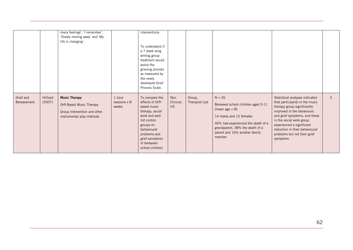|                          |                    | many feelings', 'I remember',<br>'Slowly moving away' and 'My<br>life is changing'.                           |                                 | interventions<br>To understand if<br>a 7 week song<br>writing group<br>treatment would<br>assist the<br>grieving process<br>as measured by<br>the newly<br>developed Grief<br>Process Scale.           |                               |                         |                                                                                                                                                                                                                     |                                                                                                                                                                                                                                                                                                       |                |
|--------------------------|--------------------|---------------------------------------------------------------------------------------------------------------|---------------------------------|--------------------------------------------------------------------------------------------------------------------------------------------------------------------------------------------------------|-------------------------------|-------------------------|---------------------------------------------------------------------------------------------------------------------------------------------------------------------------------------------------------------------|-------------------------------------------------------------------------------------------------------------------------------------------------------------------------------------------------------------------------------------------------------------------------------------------------------|----------------|
| Grief and<br>Bereavement | Hilliard<br>(2007) | <b>Music Therapy</b><br>Orff-Based Music Therapy<br>Group intervention and other<br>instrumental play methods | 1 hour<br>sessions x 8<br>weeks | To compare the<br>effects of Orff-<br>based music<br>therapy, social<br>work and wait-<br>list control<br>groups on<br>behavioural<br>problems and<br>grief symptoms<br>of bereaved<br>school children | Non<br>Clinical,<br><b>US</b> | Group,<br>Therapist Led | $N = 26$<br>Bereaved school children aged 5-11<br>(mean age $= 8$ ).<br>14 males and 12 females<br>46% had experienced the death of a<br>grandparent, 38% the death of a<br>parent and 16% another family<br>member | Statistical analyses indicated<br>that participants in the music<br>therapy group significantly<br>improved in the behaviours<br>and grief symptoms, and those<br>in the social work group<br>experienced a significant<br>reduction in their behavioural<br>problems but not their grief<br>symptoms | $\overline{2}$ |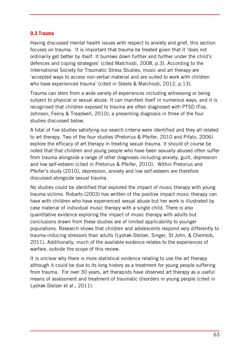#### **9.3 Trauma**

Having discussed mental health issues with respect to anxiety and grief, this section focuses on trauma. It is important that trauma be treated given that it 'does not ordinarily get better by itself. It burrows down further and further under the child's defences and coping strategies' (cited Malchiodi, 2008, p.3). According to the International Society for Traumatic Stress Studies, music and art therapy are 'accepted ways to access non-verbal material and are suited to work with children who have experienced trauma' (cited in Steele & Malchiodi, 2012, p.13).

Trauma can stem from a wide variety of experiences including witnessing or being subject to physical or sexual abuse. It can manifest itself in numerous ways, and it is recognised that children exposed to trauma are often diagnosed with PTSD (Foa, Johnson, Feeny & Treadwell, 2010), a presenting diagnosis in three of the four studies discussed below.

A total of five studies satisfying our search criteria were identified and they all related to art therapy. Two of the four studies (Pretorius & Pfeifer, 2010 and Pifalo, 2006) explore the efficacy of art therapy in treating sexual trauma. It should of course be noted that that children and young people who have been sexually abused often suffer from trauma alongside a range of other diagnoses including anxiety, guilt, depression and low self-esteem (cited in Pretorius & Pfeifer, 2010). Within Pretorius and Pfeifer's study (2010), depression, anxiety and low self-esteem are therefore discussed alongside sexual trauma.

No studies could be identified that explored the impact of music therapy with young trauma victims. Robarts (2003) has written of the positive impact music therapy can have with children who have experienced sexual abuse but her work is illustrated by case material of individual music therapy with a single child. There is also quantitative evidence exploring the impact of music therapy with adults but conclusions drawn from these studies are of limited applicability to younger populations. Research shows that children and adolescents respond very differently to trauma-inducing stressors than adults (Lyshak-Stelzer, Singer, St John, & Chemtob, 2011). Additionally, much of the available evidence relates to the experiences of warfare, outside the scope of this review.

It is unclear why there is more statistical evidence relating to use the art therapy although it could be due to its long history as a treatment for young people suffering from trauma. For over 30 years, art therapists have observed art therapy as a useful means of assessment and treatment of traumatic disorders in young people (cited in Lyshak-Stelzer et al., 2011).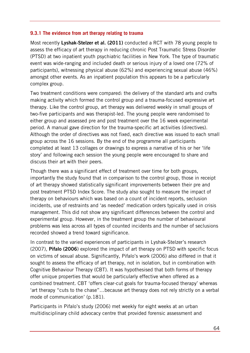#### **9.3.1 The evidence from art therapy relating to trauma**

Most recently **Lyshak-Stelzer et al. (2011)** conducted a RCT with 78 young people to assess the efficacy of art therapy in reducing chronic Post Traumatic Stress Disorder (PTSD) at two inpatient youth psychiatric facilities in New York. The type of traumatic event was wide-ranging and included death or serious injury of a loved one (72% of participants), witnessing physical abuse (62%) and experiencing sexual abuse (46%) amongst other events. As an inpatient population this appears to be a particularly complex group.

Two treatment conditions were compared: the delivery of the standard arts and crafts making activity which formed the control group and a trauma-focused expressive art therapy. Like the control group, art therapy was delivered weekly in small groups of two-five participants and was therapist-led. The young people were randomised to either group and assessed pre and post treatment over the 16 week experimental period. A manual gave direction for the trauma-specific art activities (directives). Although the order of directives was not fixed, each directive was issued to each small group across the 16 sessions. By the end of the programme all participants completed at least 13 collages or drawings to express a narrative of his or her 'life story' and following each session the young people were encouraged to share and discuss their art with their peers.

Though there was a significant effect of treatment over time for both groups, importantly the study found that in comparison to the control group, those in receipt of art therapy showed statistically significant improvements between their pre and post treatment PTSD Index Score. The study also sought to measure the impact of therapy on behaviours which was based on a count of incident reports, seclusion incidents, use of restraints and 'as needed' medication orders typically used in crisis management. This did not show any significant differences between the control and experimental group. However, in the treatment group the number of behavioural problems was less across all types of counted incidents and the number of seclusions recorded showed a trend toward significance.

In contrast to the varied experiences of participants in Lyshak-Stelzer's research (2007), **Pifalo (2006**) explored the impact of art therapy on PTSD with specific focus on victims of sexual abuse. Significantly, Pifalo's work (2006) also differed in that it sought to assess the efficacy of art therapy, not in isolation, but in combination with Cognitive Behaviour Therapy (CBT). It was hypothesised that both forms of therapy offer unique properties that would be particularly effective when offered as a combined treatment. CBT 'offers clear-cut goals for trauma-focused therapy' whereas 'art therapy "cuts to the chase"…because art therapy does not rely strictly on a verbal mode of communication' (p.181).

Participants in Pifalo's study (2006) met weekly for eight weeks at an urban multidisciplinary child advocacy centre that provided forensic assessment and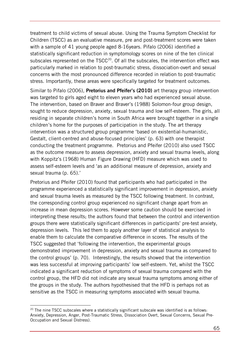treatment to child victims of sexual abuse. Using the Trauma Symptom Checklist for Children (TSCC) as an evaluative measure, pre and post-treatment scores were taken with a sample of 41 young people aged 8-16years. Pifalo (2006) identified a statistically significant reduction in symptomology scores on nine of the ten clinical subscales represented on the  $TSCC<sup>20</sup>$ . Of all the subscales, the intervention effect was particularly marked in relation to post-traumatic stress, dissociation-overt and sexual concerns with the most pronounced difference recorded in relation to post-traumatic stress. Importantly, these areas were specifically targeted for treatment outcomes.

Similar to Pifalo (2006), **Pretorius and Pfeifer's (2010)** art therapy group intervention was targeted to girls aged eight to eleven years who had experienced sexual abuse. The intervention, based on Braver and Braver's (1988) Solomon-four group design, sought to reduce depression, anxiety, sexual trauma and low self-esteem. The girls, all residing in separate children's home in South Africa were brought together in a single children's home for the purposes of participation in the study. The art therapy intervention was a structured group programme 'based on existential-humanistic, Gestalt, client-centred and abuse-focused principles' (p. 63) with one therapist conducting the treatment programme. Pretorius and Pfeifer (2010) also used TSCC as the outcome measure to assess depression, anxiety and sexual trauma levels, along with Koppitz's (1968) Human Figure Drawing (HFD) measure which was used to assess self-esteem levels and 'as an additional measure of depression, anxiety and sexual trauma (p. 65).'

Pretorius and Pfeifer (2010) found that participants who had participated in the programme experienced a statistically significant improvement in depression, anxiety and sexual trauma levels as measured by the TSCC following treatment. In contrast, the corresponding control group experienced no significant change apart from an increase in mean depression scores. However some caution should be exercised in interpreting these results; the authors found that between the control and intervention groups there were statistically significant differences in participants' pre-test anxiety, depression levels. This led them to apply another layer of statistical analysis to enable them to calculate the comparative difference in scores. The results of the TSCC suggested that 'following the intervention, the experimental groups demonstrated improvement in depression, anxiety and sexual trauma as compared to the control groups' (p. 70). Interestingly, the results showed that the intervention was less successful at improving participants' low self-esteem. Yet, whilst the TSCC indicated a significant reduction of symptoms of sexual trauma compared with the control group, the HFD did not indicate any sexual trauma symptoms among either of the groups in the study. The authors hypothesised that the HFD is perhaps not as sensitive as the TSCC in measuring symptoms associated with sexual trauma.

-

<span id="page-64-0"></span><sup>&</sup>lt;sup>20</sup> The nine TSCC subscales where a statistically significant subscale was identified is as follows: Anxiety, Depression, Anger, Post-Traumatic Stress, Dissociation Overt, Sexual Concerns, Sexual Pre-Occupation and Sexual Distress).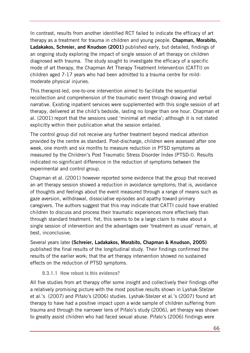In contrast, results from another identified RCT failed to indicate the efficacy of art therapy as a treatment for trauma in children and young people. **Chapman, Morabito, Ladakakos, Schreier, and Knudson (2001)** published early, but detailed, findings of an ongoing study exploring the impact of single session of art therapy on children diagnosed with trauma. The study sought to investigate the efficacy of a specific mode of art therapy, the Chapman Art Therapy Treatment Intervention (CATTI) on children aged 7-17 years who had been admitted to a trauma centre for mildmoderate physical injuries.

This therapist-led, one-to-one intervention aimed to facilitate the sequential recollection and comprehension of the traumatic event through drawing and verbal narrative. Existing inpatient services were supplemented with this single session of art therapy, delivered at the child's bedside, lasting no longer than one hour. Chapman et al. (2001) report that the sessions used 'minimal art media'; although it is not stated explicitly within their publication what the session entailed.

The control group did not receive any further treatment beyond medical attention provided by the centre as standard. Post-discharge, children were assessed after one week, one month and six months to measure reduction in PTSD symptoms as measured by the Children's Post Traumatic Stress Disorder Index (PTSD-I). Results indicated no significant difference in the reduction of symptoms between the experimental and control group.

Chapman et al. (2001) however reported some evidence that the group that received an art therapy session showed a reduction in avoidance symptoms; that is, avoidance of thoughts and feelings about the event measured through a range of means such as gaze aversion, withdrawal, dissociative episodes and apathy toward primary caregivers. The authors suggest that this may indicate that CATTI could have enabled children to discuss and process their traumatic experiences more effectively than through standard treatment. Yet, this seems to be a large claim to make about a single session of intervention and the advantages over 'treatment as usual' remain, at best, inconclusive.

Several years later **(Schreier, Ladakakos, Morabito, Chapman & Knudson, 2005)**  published the final results of the longitudinal study. Their findings confirmed the results of the earlier work; that the art therapy intervention showed no sustained effects on the reduction of PTSD symptoms.

## **9.3.1.1 How robust is this evidence?**

All five studies from art therapy offer some insight and collectively their findings offer a relatively promising picture with the most positive results shown in Lyshak-Stelzer et al.'s (2007) and Pifalo's (2006) studies. Lyshak-Stelzer et al.'s (2007) found art therapy to have had a positive impact upon a wide sample of children suffering from trauma and through the narrower lens of Pifalo's study (2006), art therapy was shown to greatly assist children who had faced sexual abuse. Pifalo's (2006) findings were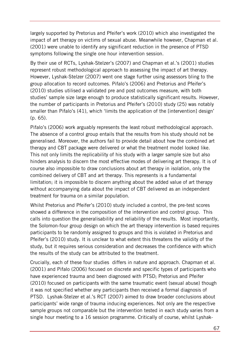largely supported by Pretorius and Pfeifer's work (2010) which also investigated the impact of art therapy on victims of sexual abuse. Meanwhile however, Chapman et al. (2001) were unable to identify any significant reduction in the presence of PTSD symptoms following the single one hour intervention session.

By their use of RCTs, Lyshak-Stelzer's (2007) and Chapman et al.'s (2001) studies represent robust methodological approach to assessing the impact of art therapy. However, Lyshak-Stelzer (2007) went one stage further using assessors bling to the group allocation to record outcomes. Pifalo's (2006) and Pretorius and Pfeifer's (2010) studies utilised a validated pre and post outcomes measure, with both studies' sample size large enough to produce statistically significant results. However, the number of participants in Pretorius and Pfeifer's (2010) study (25) was notably smaller than Pifalo's (41), which 'limits the application of the [intervention] design' (p. 65).

Pifalo's (2006) work arguably represents the least robust methodological approach. The absence of a control group entails that the results from his study should not be generalised. Moreover, the authors fail to provide detail about how the combined art therapy and CBT package were delivered or what the treatment model looked like. This not only limits the replicability of his study with a larger sample size but also hinders analysis to discern the most effective modes of delivering art therapy. It is of course also impossible to draw conclusions about art therapy in isolation, only the combined delivery of CBT and art therapy. This represents is a fundamental limitation; it is impossible to discern anything about the added value of art therapy without accompanying data about the impact of CBT delivered as an independent treatment for trauma on a similar population.

Whilst Pretorius and Pfeifer's (2010) study included a control, the pre-test scores showed a difference in the composition of the intervention and control group. This calls into question the generalisability and reliability of the results. Most importantly, the Solomon-four group design on which the art therapy intervention is based requires participants to be randomly assigned to groups and this is violated in Pretorius and Pfeifer's (2010) study. It is unclear to what extent this threatens the validity of the study, but it requires serious consideration and decreases the confidence with which the results of the study can be attributed to the treatment.

Crucially, each of these four studies differs in nature and approach. Chapman et al. (2001) and Pifalo (2006) focused on discrete and specific types of participants who have experienced trauma and been diagnosed with PTSD; Pretorius and Pfeifer (2010) focused on participants with the same traumatic event (sexual abuse) though it was not specified whether any participants then received a formal diagnosis of PTSD. Lyshak-Stelzer et al.'s RCT (2007) aimed to draw broader conclusions about participants' wide range of trauma inducing experiences. Not only are the respective sample groups not comparable but the intervention tested in each study varies from a single hour meeting to a 16 session programme. Critically of course, whilst Lyshak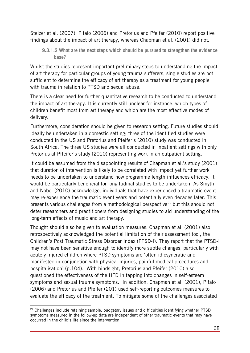Stelzer et al. (2007), Pifalo (2006) and Pretorius and Pfeifer (2010) report positive findings about the impact of art therapy, whereas Chapman et al. (2001) did not.

**9.3.1.2 What are the next steps which should be pursued to strengthen the evidence base?** 

Whilst the studies represent important preliminary steps to understanding the impact of art therapy for particular groups of young trauma sufferers, single studies are not sufficient to determine the efficacy of art therapy as a treatment for young people with trauma in relation to PTSD and sexual abuse.

There is a clear need for further quantitative research to be conducted to understand the impact of art therapy. It is currently still unclear for instance, which types of children benefit most from art therapy and which are the most effective modes of delivery.

Furthermore, consideration should be given to research setting. Future studies should ideally be undertaken in a domestic setting; three of the identified studies were conducted in the US and Pretorius and Pfeifer's (2010) study was conducted in South Africa. The three US studies were all conducted in inpatient settings with only Pretorius at Pffeifer's study (2010) representing work in an outpatient setting.

It could be assumed from the disappointing results of Chapman et al.'s study (2001) that duration of intervention is likely to be correlated with impact yet further work needs to be undertaken to understand how programme length influences efficacy. It would be particularly beneficial for longitudinal studies to be undertaken. As Smyth and Nobel (2010) acknowledge, individuals that have experienced a traumatic event may re-experience the traumatic event years and potentially even decades later. This presents various challenges from a methodological perspective<sup>[21](#page-67-0)</sup> but this should not deter researchers and practitioners from designing studies to aid understanding of the long-term effects of music and art therapy.

Thought should also be given to evaluation measures. Chapman et al. (2001) also retrospectively acknowledged the potential limitation of their assessment tool, the Children's Post Traumatic Stress Disorder Index (PTSD-I). They report that the PTSD-I may not have been sensitive enough to identify more subtle changes, particularly with acutely injured children where PTSD symptoms are 'often idiosyncratic and manifested in conjunction with physical injuries, painful medical procedures and hospitalisation' (p.104). With hindsight, Pretorius and Pfeifer (2010) also questioned the effectiveness of the HFD in tapping into changes in self-esteem symptoms and sexual trauma symptoms. In addition, Chapman et al. (2001), Pifalo (2006) and Pretorius and Pfeifer (201) used self-reporting outcomes measures to evaluate the efficacy of the treatment. To mitigate some of the challenges associated

<span id="page-67-0"></span><sup>-</sup><sup>21</sup> Challenges include retaining sample, budgetary issues and difficulties identifying whether PTSD symptoms measured in the follow-up data are independent of other traumatic events that may have occurred in the child's life since the intervention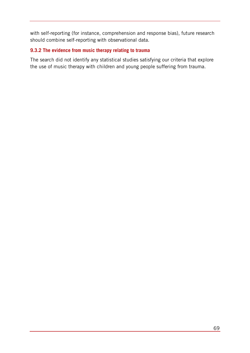with self-reporting (for instance, comprehension and response bias), future research should combine self-reporting with observational data.

## **9.3.2 The evidence from music therapy relating to trauma**

The search did not identify any statistical studies satisfying our criteria that explore the use of music therapy with children and young people suffering from trauma.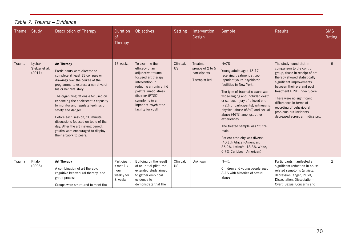| Theme  | Study                               | Description of Therapy                                                                                                                                                                                                                                                                                                                                                                                                                                                                                                 | Duration<br>of<br>Therapy                                 | Objectives                                                                                                                                                                                                                            | <b>Setting</b>         | Intervention<br>Design                                            | Sample                                                                                                                                                                                                                                                                                                                                                                                                                                                                                                                        | <b>Results</b>                                                                                                                                                                                                                                                                                                                                                    | <b>SMS</b><br>Rating |
|--------|-------------------------------------|------------------------------------------------------------------------------------------------------------------------------------------------------------------------------------------------------------------------------------------------------------------------------------------------------------------------------------------------------------------------------------------------------------------------------------------------------------------------------------------------------------------------|-----------------------------------------------------------|---------------------------------------------------------------------------------------------------------------------------------------------------------------------------------------------------------------------------------------|------------------------|-------------------------------------------------------------------|-------------------------------------------------------------------------------------------------------------------------------------------------------------------------------------------------------------------------------------------------------------------------------------------------------------------------------------------------------------------------------------------------------------------------------------------------------------------------------------------------------------------------------|-------------------------------------------------------------------------------------------------------------------------------------------------------------------------------------------------------------------------------------------------------------------------------------------------------------------------------------------------------------------|----------------------|
| Trauma | Lyshak-<br>Stelzer et al.<br>(2011) | <b>Art Therapy</b><br>Participants were directed to<br>complete at least 13 collages or<br>drawings over the course of the<br>programme to express a narrative of<br>his or her 'life story'.<br>The organizing rationale focused on<br>enhancing the adolescent's capacity<br>to monitor and regulate feelings of<br>safety and danger.<br>Before each session, 20 minute<br>discussions focused on topic of the<br>day. After the art making period,<br>youths were encouraged to display<br>their artwork to peers. | 16 weeks                                                  | To examine the<br>efficacy of an<br>adjunctive trauma<br>focused art therapy<br>intervention in<br>reducing chronic child<br>posttraumatic stress<br>disorder (PTSD)<br>symptoms in an<br>inpatient psychiatric<br>facility for youth | Clinical,<br><b>US</b> | Treatment in<br>groups of 2 to 5<br>participants<br>Therapist led | $N = 78$<br>Young adults aged 13-17<br>receiving treatment at two<br>inpatient youth psychiatric<br>facilities in New York.<br>The type of traumatic event was<br>wide-ranging and included death<br>or serious injury of a loved one<br>(72% of participants), witnessing<br>physical abuse (62%) and sexual<br>abuse (46%) amongst other<br>experiences.<br>The treated sample was 55.2%<br>male.<br>Patient ethnicity was diverse:<br>(40.1% African-American,<br>35.2% Latino/a, 18.3% White,<br>0.7% Caribbean American) | The study found that in<br>comparison to the control<br>group, those in receipt of art<br>therapy showed statistically<br>significant improvements<br>between their pre and post<br>treatment PTSD Index Score.<br>There were no significant<br>differences in terms of<br>recording of behavioural<br>problems but incidents<br>decreased across all indicators. | 5                    |
| Trauma | Pifalo<br>(2006)                    | <b>Art Therapy</b><br>A combination of art therapy,<br>cognitive behavioural therapy, and<br>group process<br>Groups were structured to meet the                                                                                                                                                                                                                                                                                                                                                                       | Participant<br>s met 1 x<br>hour<br>weekly for<br>8 weeks | Building on the result<br>of an initial pilot, the<br>extended study aimed<br>to gather empirical<br>evidence to<br>demonstrate that the                                                                                              | Clinical,<br><b>US</b> | Unknown                                                           | $N=41$<br>Children and young people aged<br>8-16 with histories of sexual<br>abuse                                                                                                                                                                                                                                                                                                                                                                                                                                            | Participants manifested a<br>significant reduction in abuse<br>related symptoms (anxiety,<br>depression, anger, PTSD,<br>Dissociation, Dissociation-<br>Overt, Sexual Concerns and                                                                                                                                                                                | $\overline{c}$       |

#### *Table 7: Trauma – Evidence*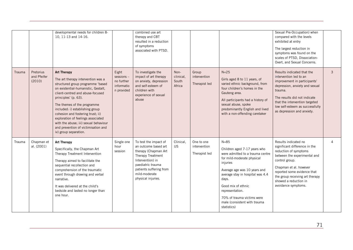|        |                                    | developmental needs for children 8-<br>10, 11-13 and 14-16.                                                                                                                                                                                                                                                                                                                                                                                            |                                                              | combined use art<br>therapy and CBT<br>resulted in a reduction<br>of symptoms<br>associated with PTSD.                                                                                                |                                      |                                             |                                                                                                                                                                                                                                                                                                                           | Sexual Pre-Occupation) when<br>compared with the levels<br>exhibited at entry<br>The largest reduction in<br>symptoms was found on the<br>scales of PTSD, Dissociation-<br>Overt, and Sexual Concerns.                                                                       |          |
|--------|------------------------------------|--------------------------------------------------------------------------------------------------------------------------------------------------------------------------------------------------------------------------------------------------------------------------------------------------------------------------------------------------------------------------------------------------------------------------------------------------------|--------------------------------------------------------------|-------------------------------------------------------------------------------------------------------------------------------------------------------------------------------------------------------|--------------------------------------|---------------------------------------------|---------------------------------------------------------------------------------------------------------------------------------------------------------------------------------------------------------------------------------------------------------------------------------------------------------------------------|------------------------------------------------------------------------------------------------------------------------------------------------------------------------------------------------------------------------------------------------------------------------------|----------|
| Trauma | Pretorius<br>and Pfeifer<br>(2010) | <b>Art Therapy</b><br>The art therapy intervention was a<br>structured group programme 'based<br>on existential-humanistic, Gestalt,<br>client-centred and abuse-focused<br>principles' (p. 63).<br>The themes of the programme<br>included: i) establishing group<br>cohesion and fostering trust; ii)<br>exploration of feelings associated<br>with the abuse; iii) sexual behaviour<br>and prevention of victimisation and<br>iv) group separation. | Eight<br>sessions-<br>no further<br>informatio<br>n provided | To investigate the<br>impact of art therapy<br>on anxiety, depression<br>and self-esteem of<br>children with<br>experience of sexual<br>abuse                                                         | Non-<br>clinical,<br>South<br>Africa | Group<br>intervention<br>Therapist led      | $N=25$<br>Girls aged 8 to 11 years, of<br>varied ethnic background, from<br>four children's homes in the<br>Gauteng area.<br>All participants had a history of<br>sexual abuse, spoke<br>predominantly English and lived<br>with a non-offending caretaker                                                                | Results indicated that the<br>intervention led to an<br>improvement in participants'<br>depression, anxiety and sexual<br>trauma.<br>The results did not indicate<br>that the intervention targeted<br>low self-esteem as successfully<br>as depression and anxiety.         | 3        |
| Trauma | Chapman et<br>al. (2001)           | <b>Art Therapy</b><br>Specifically, the Chapman Art<br>Therapy Treatment Intervention<br>Therapy aimed to facilitate the<br>sequential recollection and<br>comprehension of the traumatic<br>event through drawing and verbal<br>narrative.<br>It was delivered at the child's<br>bedside and lasted no longer than<br>one hour.                                                                                                                       | Single one<br>hour<br>session                                | To test the impact of<br>an outcome based art<br>therapy (Chapman Art<br>Therapy Treatment<br>Intervention) in<br>paediatric trauma<br>patients suffering from<br>mild-moderate<br>physical injuries. | Clinical,<br><b>US</b>               | One to one<br>intervention<br>Therapist led | $N = 85$<br>Children aged 7-17 years who<br>were admitted to a trauma centre<br>for mild-moderate physical<br>injuries<br>Average age was 10 years and<br>average stay in hospital was 4.4<br>days.<br>Good mix of ethnic<br>representation.<br>70% of trauma victims were<br>male (consistent with trauma<br>statistics) | Results indicated no<br>significant difference in the<br>reduction of symptoms<br>between the experimental and<br>control group.<br>Chapman et al. however<br>reported some evidence that<br>the group receiving art therapy<br>showed a reduction in<br>avoidance symptoms. | $\Delta$ |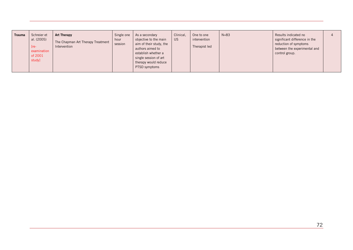| <b>Trauma</b> | Schreier et<br>al. (2005)<br>$[re-$<br>examination<br>of 2001<br>study] | <b>Art Therapy</b><br>The Chapman Art Therapy Treatment<br>Intervention | Single one<br>hour<br>session | As a secondary<br>objective to the main<br>aim of their study, the<br>authors aimed to<br>establish whether a<br>single session of art<br>therapy would reduce<br>PTSD symptoms | Clinical,<br><b>US</b> | One to one<br>intervention<br>Therapist led | $N = 83$ | Results indicated no<br>significant difference in the<br>reduction of symptoms<br>between the experimental and<br>control group. |  |
|---------------|-------------------------------------------------------------------------|-------------------------------------------------------------------------|-------------------------------|---------------------------------------------------------------------------------------------------------------------------------------------------------------------------------|------------------------|---------------------------------------------|----------|----------------------------------------------------------------------------------------------------------------------------------|--|
|---------------|-------------------------------------------------------------------------|-------------------------------------------------------------------------|-------------------------------|---------------------------------------------------------------------------------------------------------------------------------------------------------------------------------|------------------------|---------------------------------------------|----------|----------------------------------------------------------------------------------------------------------------------------------|--|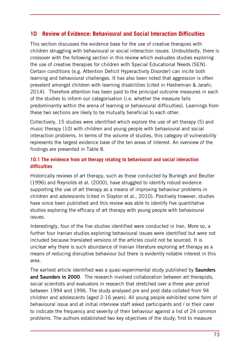# **10 Review of Evidence: Behavioural and Social Interaction Difficulties**

This section discusses the evidence base for the use of creative therapies with children struggling with behavioural or social interaction issues. Undoubtedly, there is crossover with the following section in this review which evaluates studies exploring the use of creative therapies for children with Special Educational Needs (SEN). Certain conditions (e.g. Attention Deficit Hyperactivity Disorder) can incite both learning and behavioural challenges. It has also been noted that aggression is often prevalent amongst children with learning disabilities (cited in Hashemian & Jarahi, 2014). Therefore attention has been paid to the principal outcome measures in each of the studies to inform our categorisation (i.e. whether the measure falls predominantly within the arena of learning or behavioural difficulties). Learnings from these two sections are likely to be mutually beneficial to each other.

Collectively, 15 studies were identified which explore the use of art therapy (5) and music therapy (10) with children and young people with behavioural and social interaction problems. In terms of the volume of studies, this category of vulnerability represents the largest evidence base of the ten areas of interest. An overview of the findings are presented in Table 8.

### **10.1 The evidence from art therapy relating to behavioural and social interaction difficulties**

Historically reviews of art therapy, such as those conducted by Burleigh and Beutler (1996) and Reynolds et al. (2000), have struggled to identify robust evidence supporting the use of art therapy as a means of improving behaviour problems in children and adolescents (cited in Slayton et al., 2010). Positively however, studies have since been published and this review was able to identify five quantitative studies exploring the efficacy of art therapy with young people with behavioural issues.

Interestingly, four of the five studies identified were conducted in Iran. More so, a further four Iranian studies exploring behavioural issues were identified but were not included because translated versions of the articles could not be sourced. It is unclear why there is such abundance of Iranian literature exploring art therapy as a means of reducing disruptive behaviour but there is evidently notable interest in this area.

The earliest article identified was a quasi-experimental study published by **Saunders and Saunders in 2000**. The research involved collaboration between art therapists, social scientists and evaluators in research that stretched over a three year period between 1994 and 1996. The study analysed pre and post data collated from 94 children and adolescents (aged 2-16 years). All young people exhibited some form of behavioural issue and at initial interview staff asked participants and / or their carer to indicate the frequency and severity of their behaviour against a list of 24 common problems. The authors established two key objectives of the study; first to measure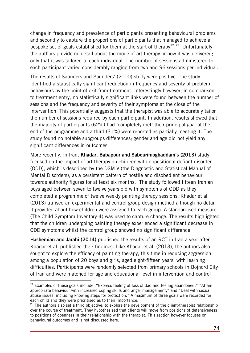change in frequency and prevalence of participants presenting behavioural problems and secondly to capture the proportions of participants that managed to achieve a bespoke set of goals established for them at the start of therapy<sup>[22](#page-73-0) [23](#page-73-1)</sup>. Unfortunately the authors provide no detail about the mode of art therapy or how it was delivered; only that it was tailored to each individual. The number of sessions administered to each participant varied considerably ranging from two and 96 sessions per individual.

The results of Saunders and Saunders' (2000) study were positive. The study identified a statistically significant reduction in frequency and severity of problem behaviours by the point of exit from treatment. Interestingly however, in comparison to treatment entry, no statistically significant links were found between the number of sessions and the frequency and severity of their symptoms at the close of the intervention. This potentially suggests that the therapist was able to accurately tailor the number of sessions required by each participant. In addition, results showed that the majority of participants (62%) had 'completely met' their principal goal at the end of the programme and a third (31%) were reported as partially meeting it. The study found no notable subgroups differences; gender and age did not yield any significant differences in outcomes.

More recently, in Iran, **Khadar, Babapour and Sabourimoghaddam's (2013)** study focused on the impact of art therapy on children with oppositional defiant disorder (ODD), which is described by the DSM V (the Diagnostic and Statistical Manual of Mental Disorders), as a persistent pattern of hostile and disobedient behaviour towards authority figures for at least six months. The study followed fifteen Iranian boys aged between seven to twelve years old with symptoms of ODD as they completed a programme of twelve weekly painting therapy sessions. Khadar et al. (2013) utilised an experimental and control group design method although no detail it provided about how children were assigned to each group. A standardised measure (The Child Symptom Inventory-4) was used to capture change. The results highlighted that the children undergoing painting therapy experienced a significant decrease in ODD symptoms whilst the control group showed no significant difference.

**Hashemian and Jarahi (2014)** published the results of an RCT in Iran a year after Khadar et al. published their findings. Like Khadar et al. (2013), the authors also sought to explore the efficacy of painting therapy, this time in reducing aggression among a population of 20 boys and girls, aged eight-fifteen years, with learning difficulties. Participants were randomly selected from primary schools in Bojnord City of Iran and were matched for age and educational level in intervention and control

 $\overline{a}$ 

<span id="page-73-0"></span><sup>&</sup>lt;sup>22</sup> Examples of these goals include: "Express feeling of loss of dad and feeling abandoned," "Attain appropriate behaviour with increased coping skills and anger management," and "Deal with sexual abuse issues, including knowing steps for protection." A maximum of three goals were recorded for each child and they were prioritised as to their importance.

<span id="page-73-1"></span> $23$  The authors also set a third objective; to explore the development of the client-therapist relationship over the course of treatment. They hypothesised that clients will move from positions of defensiveness to positions of openness in their relationship with the therapist. This section however focuses on behavioural outcomes and is not discussed here.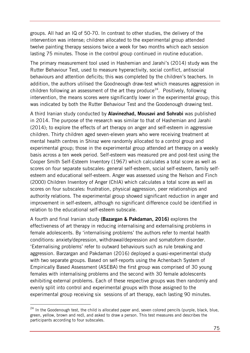groups. All had an IQ of 50-70. In contrast to other studies, the delivery of the intervention was intense; children allocated to the experimental group attended twelve painting therapy sessions twice a week for two months which each session lasting 75 minutes. Those in the control group continued in routine education.

The primary measurement tool used in Hashemian and Jarahi's (2014) study was the Rutter Behaviour Test, used to measure hyperactivity, social conflict, antisocial behaviours and attention deficits; this was completed by the children's teachers. In addition, the authors utilised the Goodneough draw-test which measures aggression in children following an assessment of the art they produce<sup>24</sup>. Positively, following intervention, the means scores were significantly lower in the experimental group; this was indicated by both the Rutter Behaviour Test and the Goodenough drawing test.

A third Iranian study conducted by **Alavinezhad, Mousavi and Sohrabi** was published in 2014. The purpose of the research was similar to that of Hashemian and Jarahi (2014); to explore the effects of art therapy on anger and self-esteem in aggressive children. Thirty children aged seven-eleven years who were receiving treatment at mental health centres in Shiraz were randomly allocated to a control group and experimental group; those in the experimental group attended art therapy on a weekly basis across a ten week period. Self-esteem was measured pre and post-test using the Cooper Smith Self-Esteem Inventory (1967) which calculates a total score as well as scores on four separate subscales: general self-esteem, social self-esteem, family selfesteem and educational self-esteem. Anger was assessed using the Nelson and Finch (2000) Children Inventory of Anger (ChIA) which calculates a total score as well as scores on four subscales: frustration, physical aggression, peer relationships and authority relations. The experimental group showed significant reduction in anger and improvement in self-esteem, although no significant difference could be identified in relation to the educational self-esteem subscale.

A fourth and final Iranian study **(Bazargan & Pakdaman, 2016)** explores the effectiveness of art therapy in reducing internalising and externalising problems in female adolescents. By 'internalising problems' the authors refer to mental health conditions: anxiety/depression, withdrawal/depression and somatoform disorder. 'Externalising problems' refer to outward behaviours such as rule breaking and aggression. Barzargan and Pakdaman (2016) deployed a quasi-experimental study with two separate groups. Based on self-reports using the Achenbach System of Empirically Based Assessment (ASEBA) the first group was comprised of 30 young females with internalising problems and the second with 30 female adolescents exhibiting external problems. Each of these respective groups was then randomly and evenly split into control and experimental groups with those assigned to the experimental group receiving six sessions of art therapy, each lasting 90 minutes.

-

<span id="page-74-0"></span> $24$  In the Goodenough test, the child is allocated paper and, seven colored pencils (purple, black, blue, green, yellow, brown and red), and asked to draw a person. This test measures and describes the participants according to four subscales.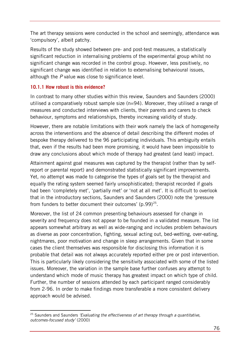The art therapy sessions were conducted in the school and seemingly, attendance was 'compulsory', albeit patchy.

Results of the study showed between pre- and post-test measures, a statistically significant reduction in internalising problems of the experimental group whilst no significant change was recorded in the control group. However, less positively, no significant change was identified in relation to externalising behavioural issues, although the *P* value was close to significance level.

### **10.1.1 How robust is this evidence?**

In contrast to many other studies within this review, Saunders and Saunders (2000) utilised a comparatively robust sample size (n=94). Moreover, they utilised a range of measures and conducted interviews with clients, their parents and carers to check behaviour, symptoms and relationships, thereby increasing validity of study.

However, there are notable limitations with their work namely the lack of homogeneity across the interventions and the absence of detail describing the different modes of bespoke therapy delivered to the 96 participating individuals. This ambiguity entails that, even if the results had been more promising, it would have been impossible to draw any conclusions about which mode of therapy had greatest (and least) impact.

Attainment against goal measures was captured by the therapist (rather than by selfreport or parental report) and demonstrated statistically significant improvements. Yet, no attempt was made to categorise the types of goals set by the therapist and equally the rating system seemed fairly unsophisticated; therapist recorded if goals had been 'completely met', 'partially met' or 'not at all met'. It is difficult to overlook that in the introductory sections, Saunders and Saunders (2000) note the 'pressure from funders to better document their outcomes'  $(p.99)^{25}$ .

Moreover, the list of 24 common presenting behaviours assessed for change in severity and frequency does not appear to be founded in a validated measure. The list appears somewhat arbitrary as well as wide-ranging and includes problem behaviours as diverse as poor concentration, fighting, sexual acting out, bed-wetting, over-eating, nightmares, poor motivation and change in sleep arrangements. Given that in some cases the client themselves was responsible for disclosing this information it is probable that detail was not always accurately reported either pre or post intervention. This is particularly likely considering the sensitivity associated with some of the listed issues. Moreover, the variation in the sample base further confuses any attempt to understand which mode of music therapy has greatest impact on which type of child. Further, the number of sessions attended by each participant ranged considerably from 2-96. In order to make findings more transferable a more consistent delivery approach would be advised.

<span id="page-75-0"></span><sup>-</sup><sup>25</sup> Saunders and Saunders *'Evaluating the effectiveness of art therapy through a quantitative, outcomes-focused study'* (2000)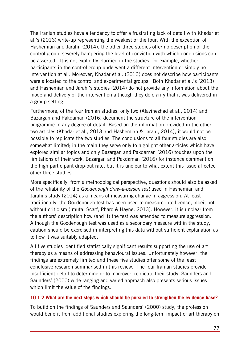The Iranian studies have a tendency to offer a frustrating lack of detail with Khadar et al.'s (2013) write-up representing the weakest of the four. With the exception of Hashemian and Jarahi, (2014), the other three studies offer no description of the control group, severely hampering the level of conviction with which conclusions can be asserted. It is not explicitly clarified in the studies, for example, whether participants in the control group underwent a different intervention or simply no intervention at all. Moreover, Khadar et al. (2013) does not describe how participants were allocated to the control and experimental groups. Both Khadar et al.'s (2013) and Hashemian and Jarahi's studies (2014) do not provide any information about the mode and delivery of the intervention although they do clarify that it was delivered in a group setting.

Furthermore, of the four Iranian studies, only two (Alavinezhad et al., 2014) and Bazargan and Pakdaman (2016) document the structure of the intervention programme in any degree of detail. Based on the information provided in the other two articles (Khadar et al., 2013 and Hashemian & Jarahi, 2014), it would not be possible to replicate the two studies. The conclusions to all four studies are also somewhat limited; in the main they serve only to highlight other articles which have explored similar topics and only Bazargan and Pakdaman (2016) touches upon the limitations of their work. Bazargan and Pakdaman (2016) for instance comment on the high participant drop-out rate, but it is unclear to what extent this issue affected other three studies.

More specifically, from a methodological perspective, questions should also be asked of the reliability of the *Goodenough draw-a-person test* used in Hashemian and Jarahi's study (2014) as a means of measuring change in aggression. At least traditionally, the Goodenough test has been used to measure intelligence, albeit not without criticism (Imuta, Scarf, Pharo & Hayne, 2013). However, it is unclear from the authors' description how (and if) the test was amended to measure aggression. Although the Goodenough test was used as a secondary measure within the study, caution should be exercised in interpreting this data without sufficient explanation as to how it was suitably adapted.

All five studies identified statistically significant results supporting the use of art therapy as a means of addressing behavioural issues. Unfortunately however, the findings are extremely limited and these five studies offer some of the least conclusive research summarised in this review. The four Iranian studies provide insufficient detail to determine or to moreover, replicate their study. Saunders and Saunders' (2000) wide-ranging and varied approach also presents serious issues which limit the value of the findings.

#### **10.1.2 What are the next steps which should be pursued to strengthen the evidence base?**

To build on the findings of Saunders and Saunders' (2000) study, the profession would benefit from additional studies exploring the long-term impact of art therapy on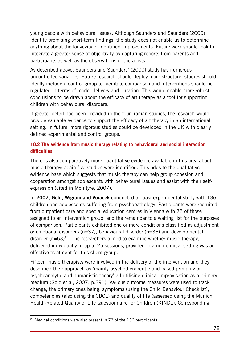young people with behavioural issues. Although Saunders and Saunders (2000) identify promising short-term findings, the study does not enable us to determine anything about the longevity of identified improvements. Future work should look to integrate a greater sense of objectivity by capturing reports from parents and participants as well as the observations of therapists.

As described above, Saunders and Saunders' (2000) study has numerous uncontrolled variables. Future research should deploy more structure; studies should ideally include a control group to facilitate comparison and interventions should be regulated in terms of mode, delivery and duration. This would enable more robust conclusions to be drawn about the efficacy of art therapy as a tool for supporting children with behavioural disorders.

If greater detail had been provided in the four Iranian studies, the research would provide valuable evidence to support the efficacy of art therapy in an international setting. In future, more rigorous studies could be developed in the UK with clearly defined experimental and control groups.

## **10.2 The evidence from music therapy relating to behavioural and social interaction difficulties**

There is also comparatively more quantitative evidence available in this area about music therapy; again five studies were identified. This adds to the qualitative evidence base which suggests that music therapy can help group cohesion and cooperation amongst adolescents with behavioural issues and assist with their selfexpression (cited in McIntyre, 2007).

In **2007, Gold, Wigram and Voracek** conducted a quasi-experimental study with 136 children and adolescents suffering from psychopathology. Participants were recruited from outpatient care and special education centres in Vienna with 75 of those assigned to an intervention group, and the remainder to a waiting list for the purposes of comparison. Participants exhibited one or more conditions classified as adjustment or emotional disorders (n=37), behavioural disorder (n=36) and developmental disorder ( $n=63$ )<sup>[26](#page-77-0)</sup>. The researchers aimed to examine whether music therapy, delivered individually in up to 25 sessions, provided in a non-clinical setting was an effective treatment for this client group.

Fifteen music therapists were involved in the delivery of the intervention and they described their approach as 'mainly psychotherapeutic and based primarily on psychoanalytic and humanistic theory' all utilising clinical improvisation as a primary medium (Gold et al, 2007, p.291). Various outcome measures were used to track change, the primary ones being: symptoms (using the Child Behaviour Checklist), competencies (also using the CBCL) and quality of life (assessed using the Munich Health-Related Quality of Life Questionnaire for Children (KINDL). Corresponding

-

<span id="page-77-0"></span> $26$  Medical conditions were also present in 73 of the 136 participants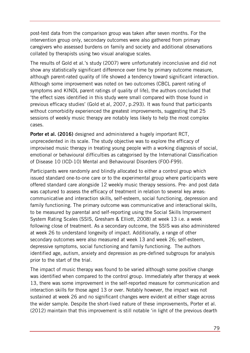post-test data from the comparison group was taken after seven months. For the intervention group only, secondary outcomes were also gathered from primary caregivers who assessed burdens on family and society and additional observations collated by therapists using two visual analogue scales.

The results of Gold et al.'s study (2007) were unfortunately inconclusive and did not show any statistically significant difference over time by primary outcome measure, although parent-rated quality of life showed a tendency toward significant interaction. Although some improvement was noted on two outcomes (CBCL parent rating of symptoms and KINDL parent ratings of quality of life), the authors concluded that 'the effect sizes identified in this study were small compared with those found in previous efficacy studies' (Gold et al, 2007, p.293). It was found that participants without comorbidity experienced the greatest improvements, suggesting that 25 sessions of weekly music therapy are notably less likely to help the most complex cases.

**Porter et al. (2016)** designed and administered a hugely important RCT, unprecedented in its scale. The study objective was to explore the efficacy of improvised music therapy in treating young people with a working diagnosis of social, emotional or behavioural difficulties as categorised by the International Classification of Disease 10 (ICD-10) Mental and Behavioural Disorders (F00-F99).

Participants were randomly and blindly allocated to either a control group which issued standard one-to-one care or to the experimental group where participants were offered standard care alongside 12 weekly music therapy sessions. Pre- and post data was captured to assess the efficacy of treatment in relation to several key areas: communicative and interaction skills, self-esteem, social functioning, depression and family functioning. The primary outcome was communicative and interactional skills, to be measured by parental and self-reporting using the Social Skills Improvement System Rating Scales (SSIS, Gresham & Elliott, 2008) at week 13 i.e. a week following close of treatment. As a secondary outcome, the SSIS was also administered at week 26 to understand longevity of impact. Additionally, a range of other secondary outcomes were also measured at week 13 and week 26; self-esteem, depressive symptoms, social functioning and family functioning. The authors identified age, autism, anxiety and depression as pre-defined subgroups for analysis prior to the start of the trial.

The impact of music therapy was found to be varied although some positive change was identified when compared to the control group. Immediately after therapy at week 13, there was some improvement in the self-reported measure for communication and interaction skills for those aged 13 or over. Notably however, the impact was not sustained at week 26 and no significant changes were evident at either stage across the wider sample. Despite the short-lived nature of these improvements, Porter et al. (2012) maintain that this improvement is still notable 'in light of the previous dearth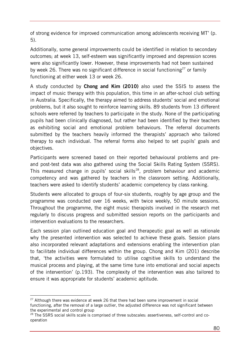of strong evidence for improved communication among adolescents receiving MT' (p. 5).

Additionally, some general improvements could be identified in relation to secondary outcomes; at week 13, self-esteem was significantly improved and depression scores were also significantly lower. However, these improvements had not been sustained by week 26. There was no significant difference in social functioning<sup>[27](#page-79-0)</sup> or family functioning at either week 13 or week 26.

A study conducted by **Chong and Kim (2010)** also used the SSIS to assess the impact of music therapy with this population, this time in an after-school club setting in Australia. Specifically, the therapy aimed to address students' social and emotional problems, but it also sought to reinforce learning skills. 89 students from 13 different schools were referred by teachers to participate in the study. None of the participating pupils had been clinically diagnosed, but rather had been identified by their teachers as exhibiting social and emotional problem behaviours. The referral documents submitted by the teachers heavily informed the therapists' approach who tailored therapy to each individual. The referral forms also helped to set pupils' goals and objectives.

Participants were screened based on their reported behavioural problems and preand post-test data was also gathered using the Social Skills Rating System (SSRS). This measured change in pupils' social skills<sup>[28](#page-79-1)</sup>, problem behaviour and academic competency and was gathered by teachers in the classroom setting. Additionally, teachers were asked to identify students' academic competency by class ranking.

Students were allocated to groups of four-six students, roughly by age group and the programme was conducted over 16 weeks, with twice weekly, 50 minute sessions. Throughout the programme, the eight music therapists involved in the research met regularly to discuss progress and submitted session reports on the participants and intervention evaluations to the researchers.

Each session plan outlined education goal and therapeutic goal as well as rationale why the presented intervention was selected to achieve these goals. Session plans also incorporated relevant adaptations and extensions enabling the intervention plan to facilitate individual differences within the group. Chong and Kim (201) describe that, 'the activities were formulated to utilise cognitive skills to understand the musical process and playing, at the same time tune into emotional and social aspects of the intervention' (p.193). The complexity of the intervention was also tailored to ensure it was appropriate for students' academic aptitude.

-

<span id="page-79-0"></span> $27$  Although there was evidence at week 26 that there had been some improvement in social functioning, after the removal of a large outlier, the adjusted difference was not significant between the experimental and control group

<span id="page-79-1"></span><sup>&</sup>lt;sup>28</sup> The SSRS social skills scale is comprised of three subscales: assertiveness, self-control and cooperation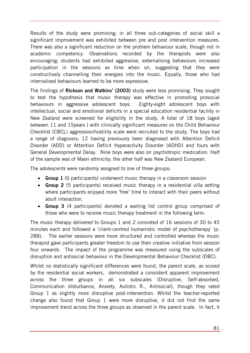Results of the study were promising; in all three sub-categories of social skill a significant improvement was exhibited between pre and post intervention measures. There was also a significant reduction on the problem behaviour scale, though not in academic competency. Observations recorded by the therapists were also encouraging; students had exhibited aggressive, externalising behaviours increased participation in the sessions as time when on, suggesting that they were constructively channelling their energies into the music. Equally, those who had internalised behaviours learned to be more expressive.

The findings of **Rickson and Watkins' (2003)** study were less promising. They sought to test the hypothesis that music therapy was effective in promoting prosocial behaviours in aggressive adolescent boys. Eighty-eight adolescent boys with intellectual, social and emotional deficits in a special education residential facility in New Zealand were screened for eligibility in the study. A total of 18 boys (aged between 11 and 15years ) with clinically significant measures on the Child Behaviour Checklist (CBCL) aggression/hostility scale were recruited to the study. The boys had a range of diagnosis; 12 having previously been diagnosed with Attention Deficit Disorder (ADD) or Attention Deficit Hyperactivity Disorder (ADHD) and fours with General Developmental Delay. Nine boys were also on psychotropic medication. Half of the sample was of Maori ethnicity; the other half was New Zealand European.

The adolescents were randomly assigned to one of three groups:

- **Group 1** (6 participants) underwent music therapy in a classroom session
- **Group 2** (5 participants) received music therapy in a residential villa setting where participants enjoyed more 'free' time to interact with their peers without adult interaction.
- **Group 3** (4 participants) denoted a waiting list control group comprised of those who were to receive music therapy treatment in the following term.

The music therapy delivered to Groups 1 and 2 consisted of 16 sessions of 30 to 45 minutes each and followed a 'client-centred humanistic model of psychotherapy' (p. 288). The earlier sessions were more structured and controlled whereas the music therapist gave participants greater freedom to use their creative initiative from session four onwards. The impact of the programme was measured using the subscales of disruption and antisocial behaviour in the Developmental Behaviour Checklist (DBC).

Whilst no statistically significant differences were found, the parent scale, as scored by the residential social workers, demonstrated a consistent apparent improvement across the three groups in all six subscales (Disruptive, Self-absorbed, Communication disturbance, Anxiety, Autistic R., Antisocial), though they rated Group 1 as slightly more disruptive post-intervention. Whilst the teacher-reported change also found that Group 1 were more disruptive, it did not find the same improvement trend across the three groups as observed in the parent scale. In fact, it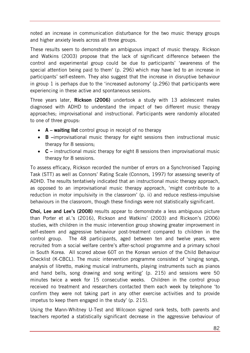noted an increase in communication disturbance for the two music therapy groups and higher anxiety levels across all three groups.

These results seem to demonstrate an ambiguous impact of music therapy. Rickson and Watkins (2003) propose that the lack of significant difference between the control and experimental group could be due to participants' 'awareness of the special attention being paid to them' (p. 296) which may have led to an increase in participants' self-esteem. They also suggest that the increase in disruptive behaviour in group 1 is perhaps due to the 'increased autonomy' (p.296) that participants were experiencing in these active and spontaneous sessions.

Three years later, **Rickson (2006)** undertook a study with 13 adolescent males diagnosed with ADHD to understand the impact of two different music therapy approaches; improvisational and instructional. Participants were randomly allocated to one of three groups:

- **A waiting list** control group in receipt of no therapy
- **B –**improvisational music therapy for eight sessions then instructional music therapy for 8 sessions;
- **C** instructional music therapy for eight 8 sessions then improvisational music therapy for 8 sessions.

To assess efficacy, Rickson recorded the number of errors on a Synchronised Tapping Task (STT) as well as Connors' Rating Scale (Connors, 1997) for assessing severity of ADHD. The results tentatively indicated that an instructional music therapy approach, as opposed to an improvisational music therapy approach, 'might contribute to a reduction in motor impulsivity in the classroom' (p. ii) and reduce restless-impulsive behaviours in the classroom, though these findings were not statistically significant.

**Choi, Lee and Lee's (2008)** results appear to demonstrate a less ambiguous picture than Porter et al.'s (2016), Rickson and Watkins' (2003) and Rickson's (2006) studies, with children in the music intervention group showing greater improvement in self-esteem and aggressive behaviour post-treatment compared to children in the control group. The 48 participants, aged between ten and twelve years, were recruited from a social welfare centre's after-school programme and a primary school in South Korea. All scored above 60T on the Korean version of the Child Behaviour Checklist (K-CBCL). The music intervention programme consisted of 'singing songs, analysis of libretto, making musical instruments, playing instruments such as pianos and hand bells, song drawing and song writing' (p. 215) and sessions were 50 minutes twice a week for 15 consecutive weeks. Children in the control group received no treatment and researchers contacted them each week by telephone 'to confirm they were not taking part in any other exercise activities and to provide impetus to keep them engaged in the study' (p. 215).

Using the Mann-Whitney U-Test and Wilcoxon signed rank tests, both parents and teachers reported a statistically significant decrease in the aggressive behaviour of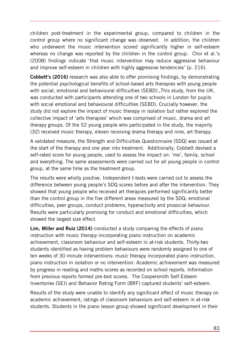children post-treatment in the experimental group, compared to children in the control group where no significant change was observed. In addition, the children who underwent the music intervention scored significantly higher in self-esteem whereas no change was reported by the children in the control group. Choi et al.'s (2008) findings indicate 'that music intervention may reduce aggressive behaviour and improve self-esteem in children with highly aggressive tendencies' (p. 216).

**Cobbett's (2016)** research was also able to offer promising findings, by demonstrating the potential psychological benefits of school-based arts therapies with young people with social, emotional and behavioural difficulties (SEBD).,This study, from the UK, was conducted with participants attending one of two schools in London for pupils with social emotional and behavioural difficulties (SEBD). Crucially however, the study did not explore the impact of music therapy in isolation but rather explored the collective impact of 'arts therapies' which was comprised of music, drama and art therapy groups. Of the 52 young people who participated in the study, the majority (32) received music therapy, eleven receiving drama therapy and nine, art therapy.

A validated measure, the Strength and Difficulties Questionnaire (SDQ) was issued at the start of the therapy and one year into treatment. Additionally, Cobbett devised a self-rated score for young people, used to assess the impact on: 'me', family, school and everything. The same assessments were carried out for all young people in control group, at the same time as the treatment group.

The results were wholly positive. Independent t-tests were carried out to assess the difference between young people's SDQ scores before and after the intervention. They showed that young people who received art therapies performed significantly better than the control group in the five different areas measured by the SDQ: emotional difficulties, peer groups, conduct problems, hyperactivity and prosocial behaviour. Results were particularly promising for conduct and emotional difficulties, which showed the largest size effect.

**Lim, Miller and Ruiz (2014)** conducted a study comparing the effects of piano instruction with music therapy incorporating piano instruction on academic achievement, classroom behaviour and self-esteem in at-risk students. Thirty-two students identified as having problem behaviours were randomly assigned to one of ten weeks of 30 minute interventions: music therapy incorporated piano instruction, piano instruction in isolation or no intervention. Academic achievement was measured by progress in reading and maths scores as recorded on school reports. Information from previous reports formed pre-test scores. The Coopersmith Self-Esteem Inventories (SEI) and Behavior Rating Form (BRF) captured students' self-esteem.

Results of the study were unable to identify any significant effect of music therapy on academic achievement, ratings of classroom behaviours and self-esteem in at-risk students. Students in the piano lesson group showed significant development in their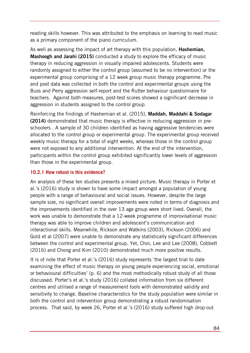reading skills however. This was attributed to the emphasis on learning to read music as a primary component of the piano curriculum.

As well as assessing the impact of art therapy with this population, **Hashemian, Mashoogh and Jarahi (2015)** conducted a study to explore the efficacy of music therapy in reducing aggression in visually impaired adolescents. Students were randomly assigned to either the control group (assumed to be no intervention) or the experimental group comprising of a 12 week group music therapy programme. Pre and post data was collected in both the control and experimental groups using the Buss and Perry aggression self-report and the Rutter behaviour questionnaire for teachers. Against both measures, post-test scores showed a significant decrease in aggression in students assigned to the control group.

Reinforcing the findings of Hashemian et al. (2015), **Maddah, Maddahi & Sodagar (2014)** demonstrated that music therapy is effective in reducing aggression in preschoolers . A sample of 30 children identified as having aggressive tendencies were allocated to the control group or experimental group. The experimental group received weekly music therapy for a total of eight weeks, whereas those in the control group were not exposed to any additional intervention. At the end of the intervention, participants within the control group exhibited significantly lower levels of aggression than those in the experimental group.

### **10.2.1 How robust is this evidence?**

An analysis of these ten studies presents a mixed picture. Music therapy in Porter et al.'s (2016) study is shown to have some impact amongst a population of young people with a range of behavioural and social issues. However, despite the large sample size, no significant overall improvements were noted in terms of diagnosis and the improvements identified in the over 13 age group were short lived. Overall, the work was unable to demonstrate that a 12-week programme of improvisational music therapy was able to improve children and adolescent's communication and interactional skills. Meanwhile, Rickson and Watkins (2003), Rickson (2006) and Gold et al (2007) were unable to demonstrate any statistically significant differences between the control and experimental group. Yet, Choi, Lee and Lee (2008), Cobbett (2016) and Chong and Kim (2010) demonstrated much more positive results.

It is of note that Porter et al.'s (2016) study represents 'the largest trial to date examining the effect of music therapy on young people experiencing social, emotional or behavioural difficulties' (p. 6) and the most methodically robust study of all those discussed. Porter's et al.'s study (2016) collated information from six different centres and utilised a range of measurement tools with demonstrated validity and sensitivity to change. Baseline characteristics for the study population were similar in both the control and intervention group demonstrating a robust randomisation process. That said, by week 26, Porter et al.'s (2016) study suffered high drop-out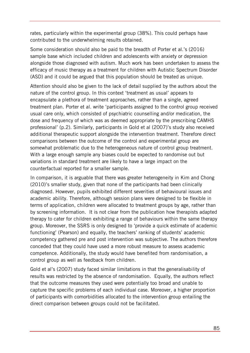rates, particularly within the experimental group (38%). This could perhaps have contributed to the underwhelming results obtained.

Some consideration should also be paid to the breadth of Porter et al.'s (2016) sample base which included children and adolescents with anxiety or depression alongside those diagnosed with autism. Much work has been undertaken to assess the efficacy of music therapy as a treatment for children with Autistic Spectrum Disorder (ASD) and it could be argued that this population should be treated as unique.

Attention should also be given to the lack of detail supplied by the authors about the nature of the control group. In this context 'treatment as usual' appears to encapsulate a plethora of treatment approaches, rather than a single, agreed treatment plan. Porter et al. write 'participants assigned to the control group received usual care only, which consisted of psychiatric counselling and/or medication, the dose and frequency of which was as deemed appropriate by the prescribing CAMHS professional' (p.2). Similarly, participants in Gold et al (2007)'s study also received additional therapeutic support alongside the intervention treatment. Therefore direct comparisons between the outcome of the control and experimental group are somewhat problematic due to the heterogeneous nature of control group treatment. With a large enough sample any biases could be expected to randomise out but variations in standard treatment are likely to have a large impact on the counterfactual reported for a smaller sample.

In comparison, it is arguable that there was greater heterogeneity in Kim and Chong (2010)'s smaller study, given that none of the participants had been clinically diagnosed. However, pupils exhibited different severities of behavioural issues and academic ability. Therefore, although session plans were designed to be flexible in terms of application, children were allocated to treatment groups by age, rather than by screening information. It is not clear from the publication how therapists adapted therapy to cater for children exhibiting a range of behaviours within the same therapy group. Moreover, the SSRS is only designed to 'provide a quick estimate of academic functioning' (Pearson) and equally, the teachers' ranking of students' academic competency gathered pre and post intervention was subjective. The authors therefore conceded that they could have used a more robust measure to assess academic competence. Additionally, the study would have benefited from randomisation, a control group as well as feedback from children.

Gold et al's (2007) study faced similar limitations in that the generalisability of results was restricted by the absence of randomisation. Equally, the authors reflect that the outcome measures they used were potentially too broad and unable to capture the specific problems of each individual case. Moreover, a higher proportion of participants with comorbidities allocated to the intervention group entailing the direct comparison between groups could not be facilitated.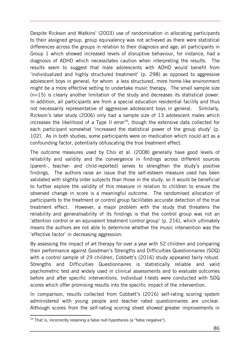Despite Rickson and Watkins' (2003) use of randomisation in allocating participants to their assigned group, group equivalency was not achieved as there were statistical differences across the groups in relation to their diagnosis and age; all participants in Group 1 which showed increased levels of disruptive behaviour, for instance, had a diagnosis of ADHD which necessitates caution when interpreting the results. The results seem to suggest that male adolescents with ADHD would benefit from 'individualized and highly structured treatment' (p. 298) as opposed to aggressive adolescent boys in general, for whom a less structured, more home-like environment might be a more effective setting to undertake music therapy. The small sample size (n=15) is clearly another limitation of the study and decreases its statistical power. In addition, all participants are from a special education residential facility and thus not necessarily representative of aggressive adolescent boys in general. Similarly, Rickson's later study (2006) only had a sample size of 13 adolescent males which increases the likelihood of a Type II error $^{29}$ , though the extensive data collected for each participant somewhat 'increased the statistical power of the group study' (p. 102). As in both studies, some participants were on medication which could act as a confounding factor, potentially obfuscating the true treatment effect.

The outcome measures used by Choi et al. (2008) generally have good levels of reliability and validity and the convergence in findings across different sources (parent-, teacher- and child-reported) serves to strengthen the study's positive findings. The authors raise an issue that the self-esteem measure used has been validated with slightly older subjects than those in the study, so it would be beneficial to further explore the validity of this measure in relation to children to ensure the observed change in score is a meaningful outcome. The randomised allocation of participants to the treatment or control group facilitates accurate detection of the true treatment effect. However, a major problem with the study that threatens the reliability and generalisability of its findings is that the control group was not an 'attention control or an equivalent treatment control group' (p. 216), which ultimately means the authors are not able to determine whether the music intervention was the 'effective factor' in decreasing aggression.

By assessing the impact of art therapy for over a year with 52 children and comparing their performance against Goodman's Strengths and Difficulties Questionnaires (SDQ) with a control sample of 29 children, Cobbett's (2016) study appeared fairly robust. Strengths and Difficulties Questionnaires is statistically reliable and valid psychometric test and widely used in clinical assessments and to evaluate outcomes before and after specific interventions. Individual t-tests were conducted with SDQ scores which offer promising results into the specific impact of the intervention.

In comparison, results collected from Cobbett's (2016) self-rating scoring system administered with young people and teacher rated questionnaires are unclear. Although scores from the self-rating scoring sheet showed greater improvements in

-

<span id="page-85-0"></span> $29$  That is, incorrectly retaining a false null hypothesis (a "false negative").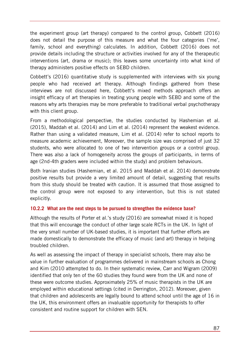the experiment group (art therapy) compared to the control group, Cobbett (2016) does not detail the purpose of this measure and what the four categories ('me', family, school and everything) calculates. In addition, Cobbett (2016) does not provide details including the structure or activities involved for any of the therapeutic interventions (art, drama or music); this leaves some uncertainty into what kind of therapy administers positive effects on SEBD children.

Cobbett's (2016) quantitative study is supplemented with interviews with six young people who had received art therapy. Although findings gathered from these interviews are not discussed here, Cobbett's mixed methods approach offers an insight efficacy of art therapies in treating young people with SEBD and some of the reasons why arts therapies may be more preferable to traditional verbal psychotherapy with this client group.

From a methodological perspective, the studies conducted by Hashemian et al. (2015), Maddah et al. (2014) and Lim et al. (2014) represent the weakest evidence. Rather than using a validated measure, Lim et al. (2014) refer to school reports to measure academic achievement, Moreover, the sample size was comprised of just 32 students, who were allocated to one of two intervention groups or a control group. There was also a lack of homogeneity across the groups of participants, in terms of age (2nd-4th graders were included within the study) and problem behaviours.

Both Iranian studies (Hashemian, et al. 2015 and Maddah et al. 2014) demonstrate positive results but provide a very limited amount of detail, suggesting that results from this study should be treated with caution. It is assumed that those assigned to the control group were not exposed to any intervention, but this is not stated explicitly.

#### **10.2.2 What are the next steps to be pursued to strengthen the evidence base?**

Although the results of Porter et al.'s study (2016) are somewhat mixed it is hoped that this will encourage the conduct of other large scale RCTs in the UK. In light of the very small number of UK-based studies, it is important that further efforts are made domestically to demonstrate the efficacy of music (and art) therapy in helping troubled children.

As well as assessing the impact of therapy in specialist schools, there may also be value in further evaluation of programmes delivered in mainstream schools as Chong and Kim (2010 attempted to do. In their systematic review, Carr and Wigram (2009) identified that only ten of the 60 studies they found were from the UK and none of these were outcome studies. Approximately 25% of music therapists in the UK are employed within educational settings (cited in Derrington, 2012). Moreover, given that children and adolescents are legally bound to attend school until the age of 16 in the UK, this environment offers an invaluable opportunity for therapists to offer consistent and routine support for children with SEN.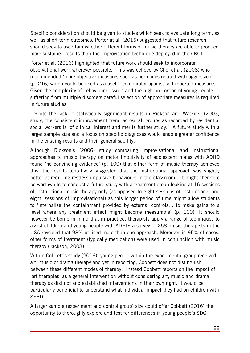Specific consideration should be given to studies which seek to evaluate long term, as well as short-term outcomes. Porter at al. (2016) suggested that future research should seek to ascertain whether different forms of music therapy are able to produce more sustained results than the improvisation technique deployed in their RCT.

Porter et al. (2016) highlighted that future work should seek to incorporate observational work wherever possible. This was echoed by Choi et al. (2008) who recommended 'more objective measures such as hormones related with aggression' (p. 216) which could be used as a useful comparator against self-reported measures. Given the complexity of behavioural issues and the high proportion of young people suffering from multiple disorders careful selection of appropriate measures is required in future studies.

Despite the lack of statistically significant results in Rickson and Watkins' (2003) study, the consistent improvement trend across all groups as recorded by residential social workers is 'of clinical interest and merits further study.' A future study with a larger sample size and a focus on specific diagnoses would enable greater confidence in the ensuing results and their generalisability.

Although Rickson's (2006) study comparing improvisational and instructional approaches to music therapy on motor impulsivity of adolescent males with ADHD found 'no convincing evidence' (p. 100) that either form of music therapy achieved this, the results tentatively suggested that the instructional approach was slightly better at reducing restless-impulsive behaviours in the classroom. It might therefore be worthwhile to conduct a future study with a treatment group looking at 16 sessions of instructional music therapy only (as opposed to eight sessions of instructional and eight sessions of improvisational) as this longer period of time might allow students to 'internalise the containment provided by external controls… to make gains to a level where any treatment effect might become measurable' (p. 100). It should however be borne in mind that in practice, therapists apply a range of techniques to assist children and young people with ADHD; a survey of 268 music therapists in the USA revealed that 98% utilised more than one approach. Moreover in 95% of cases, other forms of treatment (typically medication) were used in conjunction with music therapy (Jackson, 2003).

Within Cobbett's study (2016), young people within the experimental group received art, music or drama therapy and yet in reporting, Cobbett does not distinguish between these different modes of therapy. Instead Cobbett reports on the impact of 'art therapies' as a general intervention without considering art, music and drama therapy as distinct and established interventions in their own right. It would be particularly beneficial to understand what individual impact they had on children with SEBD.

A larger sample (experiment and control group) size could offer Cobbett (2016) the opportunity to thoroughly explore and test for differences in young people's SDQ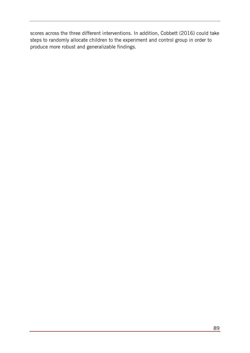scores across the three different interventions. In addition, Cobbett (2016) could take steps to randomly allocate children to the experiment and control group in order to produce more robust and generalizable findings.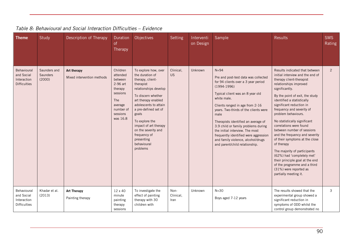| <b>Theme</b>                                                    | Study                              | Description of Therapy                    | Duration<br>of<br>Therapy                                                                                                 | Objectives                                                                                                                                                                                                                                                                                                                          | Setting                   | Interventi<br>on Design | Sample                                                                                                                                                                                                                                                                                                                                                                                                                                                                            | <b>Results</b>                                                                                                                                                                                                                                                                                                                                                                                                                                                                                                                                                                                                                                             | <b>SMS</b><br>Rating |
|-----------------------------------------------------------------|------------------------------------|-------------------------------------------|---------------------------------------------------------------------------------------------------------------------------|-------------------------------------------------------------------------------------------------------------------------------------------------------------------------------------------------------------------------------------------------------------------------------------------------------------------------------------|---------------------------|-------------------------|-----------------------------------------------------------------------------------------------------------------------------------------------------------------------------------------------------------------------------------------------------------------------------------------------------------------------------------------------------------------------------------------------------------------------------------------------------------------------------------|------------------------------------------------------------------------------------------------------------------------------------------------------------------------------------------------------------------------------------------------------------------------------------------------------------------------------------------------------------------------------------------------------------------------------------------------------------------------------------------------------------------------------------------------------------------------------------------------------------------------------------------------------------|----------------------|
| Behavioural<br>and Social<br>Interaction<br><b>Difficulties</b> | Saunders and<br>Saunders<br>(2000) | Art therapy<br>Mixed intervention methods | Children<br>attended<br>between<br>2-96 art<br>therapy<br>sessions<br>The<br>average<br>number of<br>sessions<br>was 16.8 | To explore how, over<br>the duration of<br>therapy, client-<br>therapist<br>relationships develop<br>To discern whether<br>art therapy enabled<br>adolescents to attain<br>a pre-defined set of<br>goals<br>To explore the<br>impact of art therapy<br>on the severity and<br>frequency of<br>presenting<br>behavioural<br>problems | Clinical,<br><b>US</b>    | Unknown                 | $N = 94$<br>Pre and post-test data was collected<br>for 94 clients over a 3 year period<br>$(1994-1996)$<br>Typical client was an 8 year old<br>white male.<br>Clients ranged in age from 2-16<br>years. Two-thirds of the clients were<br>male<br>Therapists identified an average of<br>3.9 child or family problems during<br>the initial interview. The most<br>frequently identified were aggression<br>and family violence, alcohol/drugs<br>and parent/child relationship. | Results indicated that between<br>initial interview and the end of<br>therapy client-therapist<br>relationships improved<br>significantly.<br>By the point of exit, the study<br>identified a statistically<br>significant reduction in<br>frequency and severity of<br>problem behaviours.<br>No statistically significant<br>correlations were found<br>between number of sessions<br>and the frequency and severity<br>of their symptoms at the close<br>of therapy<br>The majority of participants<br>(62%) had 'completely met'<br>their principle goal at the end<br>of the programme and a third<br>(31%) were reported as<br>partially meeting it. | 2                    |
| Behavioural<br>and Social<br>Interaction<br><b>Difficulties</b> | Khadar et al.<br>(2013)            | <b>Art Therapy</b><br>Painting therapy    | 12 x 40<br>minute<br>painting<br>therapy<br>sessions                                                                      | To investigate the<br>effect of painting<br>therapy with 30<br>children with                                                                                                                                                                                                                                                        | Non-<br>Clinical,<br>Iran | Unknown                 | $N = 30$<br>Boys aged 7-12 years                                                                                                                                                                                                                                                                                                                                                                                                                                                  | The results showed that the<br>experimental group showed a<br>significant reduction in<br>symptoms of ODD whilst the<br>control group demonstrated no                                                                                                                                                                                                                                                                                                                                                                                                                                                                                                      | 3                    |

#### *Table 8: Behavioural and Social Interaction Difficulties – Evidence*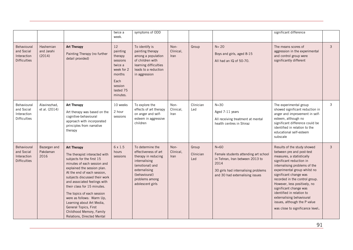|                                                                 |                                   |                                                                                                                                                                                                                                                                                                                                                                                                                                                          | twice a<br>week.                                                                                                     | symptoms of ODD                                                                                                                                                             |                           |                           |                                                                                                                                                                       | significant difference                                                                                                                                                                                                                                                                                                                                                                                                                 |                             |
|-----------------------------------------------------------------|-----------------------------------|----------------------------------------------------------------------------------------------------------------------------------------------------------------------------------------------------------------------------------------------------------------------------------------------------------------------------------------------------------------------------------------------------------------------------------------------------------|----------------------------------------------------------------------------------------------------------------------|-----------------------------------------------------------------------------------------------------------------------------------------------------------------------------|---------------------------|---------------------------|-----------------------------------------------------------------------------------------------------------------------------------------------------------------------|----------------------------------------------------------------------------------------------------------------------------------------------------------------------------------------------------------------------------------------------------------------------------------------------------------------------------------------------------------------------------------------------------------------------------------------|-----------------------------|
| Behavioural<br>and Social<br>Interaction<br><b>Difficulties</b> | Hashemian<br>and Jarahi<br>(2014) | <b>Art Therapy</b><br>Painting Therapy (no further<br>detail provided)                                                                                                                                                                                                                                                                                                                                                                                   | 12<br>painting<br>therapy<br>sessions<br>twice a<br>week for 2<br>months<br>Each<br>session<br>lasted 75<br>minutes. | To identify is<br>painting therapy<br>among a population<br>of children with<br>learning difficulties<br>leads to a reduction<br>in aggression                              | Non-<br>Clinical,<br>Iran | Group                     | $N = 20$<br>Boys and girls, aged 8-15<br>All had an IQ of 50-70.                                                                                                      | The means scores of<br>aggression in the experimental<br>and control group were<br>significantly different                                                                                                                                                                                                                                                                                                                             | $\mathbf{3}$                |
| Behavioural<br>and Social<br>Interaction<br><b>Difficulties</b> | Alavinezhad,<br>et al. (2014)     | <b>Art Therapy</b><br>Art therapy was based on the<br>cognitive-behavioural<br>approach with incorporated<br>principles from narrative<br>therapy                                                                                                                                                                                                                                                                                                        | 10 weeks<br>2 hour<br>sessions                                                                                       | To explore the<br>effects of art therapy<br>on anger and self-<br>esteem in aggressive<br>children                                                                          | Non-<br>Clinical,<br>Iran | Clinician<br>Led          | $N = 30$<br>Aged 7-11 years<br>All receiving treatment at mental<br>health centres in Shiraz                                                                          | The experimental group<br>showed significant reduction in<br>anger and improvement in self-<br>esteem, although no<br>significant difference could be<br>identified in relation to the<br>educational self-esteem<br>subscale                                                                                                                                                                                                          | $\mathcal{S}_{\mathcal{S}}$ |
| Behavioural<br>and Social<br>Interaction<br><b>Difficulties</b> | Bazargan and<br>Pakdaman<br>2016  | <b>Art Therapy</b><br>The therapist interacted with<br>subjects for the first 15<br>minutes of each session and<br>explained the session plan.<br>At the end of each session,<br>subjects discussed their work<br>and associated feelings with<br>their class for 15 minutes.<br>The topics of each session<br>were as follows: Warm Up,<br>Learning about Art Media,<br>General Topics, First<br>Childhood Memory, Family<br>Relations, Directed Mental | 6 x 1.5<br>hours<br>sessions                                                                                         | To determine the<br>effectiveness of art<br>therapy in reducing<br>internalising<br>(emotional) and<br>externalising<br>(behavioural)<br>problems among<br>adolescent girls | Non-<br>Clinical,<br>Iran | Group<br>Clinician<br>Led | $N = 60$<br>Female students attending art school<br>in Tehran, Iran between 2013 to<br>2014<br>30 girls had internalising problems<br>and 30 had externalising issues | Results of the study showed<br>between pre and post-test<br>measures, a statistically<br>significant reduction in<br>internalising problems of the<br>experimental group whilst no<br>significant change was<br>recorded in the control group.<br>However, less positively, no<br>significant change was<br>identified in relation to<br>externalising behavioural<br>issues, although the P value<br>was close to significance level. | $\mathbf{3}$                |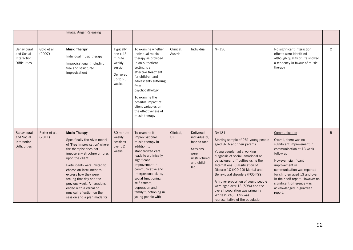|                                                                 |                         | Image, Anger Releasing                                                                                                                                                                                                                                                                                                                                                                                    |                                                                                          |                                                                                                                                                                                                                                                                                                           |                      |                                                                                                            |                                                                                                                                                                                                                                                                                                                                                                                                                                                                             |                                                                                                                                                                                                                                                                                                                                  |   |
|-----------------------------------------------------------------|-------------------------|-----------------------------------------------------------------------------------------------------------------------------------------------------------------------------------------------------------------------------------------------------------------------------------------------------------------------------------------------------------------------------------------------------------|------------------------------------------------------------------------------------------|-----------------------------------------------------------------------------------------------------------------------------------------------------------------------------------------------------------------------------------------------------------------------------------------------------------|----------------------|------------------------------------------------------------------------------------------------------------|-----------------------------------------------------------------------------------------------------------------------------------------------------------------------------------------------------------------------------------------------------------------------------------------------------------------------------------------------------------------------------------------------------------------------------------------------------------------------------|----------------------------------------------------------------------------------------------------------------------------------------------------------------------------------------------------------------------------------------------------------------------------------------------------------------------------------|---|
| Behavioural<br>and Social<br>Interaction<br><b>Difficulties</b> | Gold et al.<br>(2007)   | <b>Music Therapy</b><br>Individual music therapy<br>Improvisational (including<br>free and structured<br>improvisation)                                                                                                                                                                                                                                                                                   | Typically<br>one $x$ 45<br>minute<br>weekly<br>session<br>Delivered<br>up to 25<br>weeks | To examine whether<br>individual music<br>therapy as provided<br>in an outpatient<br>setting is an<br>effective treatment<br>for children and<br>adolescents suffering<br>from<br>psychopathology<br>To examine the<br>possible impact of<br>client variables on<br>the effectiveness of<br>music therapy | Clinical,<br>Austria | Individual                                                                                                 | $N = 136$                                                                                                                                                                                                                                                                                                                                                                                                                                                                   | No significant interaction<br>effects were identified<br>although quality of life showed<br>a tendency in favour of music<br>therapy                                                                                                                                                                                             | 2 |
| Behavioural<br>and Social<br>Interaction<br><b>Difficulties</b> | Porter et al.<br>(2011) | <b>Music Therapy</b><br>Specifically the Alvin model<br>of 'Free Improvisation' where<br>the therapist does not<br>impose any structure or rules<br>upon the client.<br>Participants were invited to<br>choose an instrument to<br>express how they were<br>feeling that day and the<br>previous week. All sessions<br>ended with a verbal or<br>musical reflection on the<br>session and a plan made for | 30 minute<br>weekly<br>sessions<br>over 12<br>weeks                                      | To examine if<br>improvisational<br>music therapy in<br>addition to<br>standardized care<br>leads to a clinically<br>significant<br>improvement in<br>communicative and<br>interpersonal skills,<br>social functioning,<br>self-esteem,<br>depression and<br>family functioning in<br>young people with   | Clinical,<br>UK      | Delivered<br>individually,<br>face-to-face<br><b>Sessions</b><br>were<br>unstructured<br>and child-<br>led | $N = 181$<br>Starting sample of 251 young people<br>aged 8-16 and their parents<br>Young people had a working<br>diagnosis of social, emotional or<br>behavioural difficulties using the<br>International Classification of<br>Disease 10 (ICD-10) Mental and<br>Behavioural disorders (F00-F99)<br>A higher proportion of young people<br>were aged over 13 (59%) and the<br>overall population was primarily<br>White (97%). This was<br>representative of the population | Communication<br>Overall, there was no<br>significant improvement in<br>communication at 13 week<br>follow up.<br>However, significant<br>improvement in<br>communication was reported<br>for children aged 13 and over<br>in their self-report. However no<br>significant difference was<br>acknowledged in guardian<br>report. | 5 |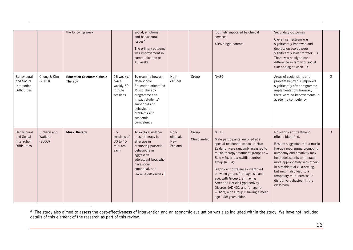<span id="page-92-0"></span>

|                                                                 |                                  | the following week                                  |                                                       | social, emotional<br>and behavioural<br>issues <sup>30</sup><br>The primary outcome<br>was improvement in<br>communication at<br>13 weeks                                                       |                                     |                        | routinely supported by clinical<br>services.<br>40% single parents                                                                                                                                                                                                                                                                                                                                                                                                                      | <b>Secondary Outcomes</b><br>Overall self-esteem was<br>significantly improved and<br>depression scores were<br>significantly lower at week 13.<br>There was no significant<br>difference in family or social<br>functioning at week 13.                                                                                                                    |                |
|-----------------------------------------------------------------|----------------------------------|-----------------------------------------------------|-------------------------------------------------------|-------------------------------------------------------------------------------------------------------------------------------------------------------------------------------------------------|-------------------------------------|------------------------|-----------------------------------------------------------------------------------------------------------------------------------------------------------------------------------------------------------------------------------------------------------------------------------------------------------------------------------------------------------------------------------------------------------------------------------------------------------------------------------------|-------------------------------------------------------------------------------------------------------------------------------------------------------------------------------------------------------------------------------------------------------------------------------------------------------------------------------------------------------------|----------------|
| Behavioural<br>and Social<br>Interaction<br><b>Difficulties</b> | Chong & Kim<br>(2010)            | <b>Education-Orientated Music</b><br><b>Therapy</b> | 16 week x<br>twice<br>weekly 50<br>minute<br>sessions | To examine how an<br>after-school<br>Education-orientated<br>Music Therapy<br>programme can<br>impact students'<br>emotional and<br>behavioural<br>problems and<br>academic<br>competency       | Non-<br>clinical                    | Group                  | $N = 89$                                                                                                                                                                                                                                                                                                                                                                                                                                                                                | Areas of social skills and<br>problem behaviour improved<br>significantly after programme<br>implementation: however,<br>there were no improvements in<br>academic competency                                                                                                                                                                               | $\overline{2}$ |
| Behavioural<br>and Social<br>Interaction<br><b>Difficulties</b> | Rickson and<br>Watkins<br>(2003) | <b>Music therapy</b>                                | 16<br>sessions of<br>30 to 45<br>minutes<br>each      | To explore whether<br>music therapy is<br>effective in<br>promoting prosocial<br>behaviours in<br>aggressive<br>adolescent boys who<br>have social.<br>emotional, and<br>learning difficulties. | Non-<br>clinical,<br>New<br>Zealand | Group<br>Clinician-led | $N=15$<br>Male participants, enrolled at a<br>special residential school in New<br>Zealand, were randomly assigned to<br>music therapy treatment groups ( $n =$<br>6, $n = 5$ ), and a waitlist control<br>group ( $n = 4$ ).<br>Significant differences identified<br>between groups for diagnosis and<br>age, with Group 1 all having<br><b>Attention Deficit Hyperactivity</b><br>Disorder (ADHD), and for age (p<br>$= 0.027$ , with Group 2 having a mean<br>age 1.38 years older. | No significant treatment<br>effects identified.<br>Results suggested that a music<br>therapy programme promoting<br>autonomy and creativity may<br>help adolescents to interact<br>more appropriately with others<br>in a residential villa setting,<br>but might also lead to a<br>temporary mild increase in<br>disruptive behaviour in the<br>classroom. | $\mathbf{3}$   |

l  $30$  The study also aimed to assess the cost-effectiveness of intervention and an economic evaluation was also included within the study. We have not included details of this element of the research as part of this review.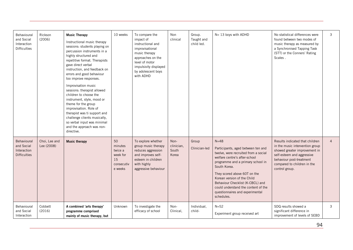| Behavioural<br>and Social<br>Interaction<br><b>Difficulties</b> | Rickson<br>(2006)           | <b>Music Therapy</b><br>Instructional music therapy<br>sessions: students playing on<br>percussion instruments in a<br>highly structured and<br>repetitive format. Therapists<br>gave direct verbal<br>instruction, and feedback on<br>errors and good behaviour<br>too improve responses.<br>Improvisation music<br>sessions: therapist allowed<br>children to choose the<br>instrument, style, mood or<br>theme for the group<br>improvisation. Role of<br>therapist was ti support and<br>challenge clients musically,<br>so verbal input was minimal<br>and the approach was non-<br>directive. | 10 weeks                                                            | To compare the<br>impact of<br>instructional and<br>improvisational<br>music therapy<br>approaches on the<br>level of motor<br>impulsivity displayed<br>by adolescent boys<br>with ADHD | Non<br>clinical                      | Group.<br>Taught and<br>child led. | N= 13 boys with ADHD                                                                                                                                                                                                                                                                                                                                                    | No statistical differences were<br>found between two modes of<br>music therapy as measured by<br>a Synchronised Tapping Task<br>(STT) or the Conners' Rating<br>Scales.                                        | 3              |
|-----------------------------------------------------------------|-----------------------------|-----------------------------------------------------------------------------------------------------------------------------------------------------------------------------------------------------------------------------------------------------------------------------------------------------------------------------------------------------------------------------------------------------------------------------------------------------------------------------------------------------------------------------------------------------------------------------------------------------|---------------------------------------------------------------------|-----------------------------------------------------------------------------------------------------------------------------------------------------------------------------------------|--------------------------------------|------------------------------------|-------------------------------------------------------------------------------------------------------------------------------------------------------------------------------------------------------------------------------------------------------------------------------------------------------------------------------------------------------------------------|----------------------------------------------------------------------------------------------------------------------------------------------------------------------------------------------------------------|----------------|
| Behavioural<br>and Social<br>Interaction<br><b>Difficulties</b> | Choi, Lee and<br>Lee (2008) | <b>Music therapy</b>                                                                                                                                                                                                                                                                                                                                                                                                                                                                                                                                                                                | 50<br>minutes<br>twice a<br>week for<br>15<br>consecutiv<br>e weeks | To explore whether<br>group music therapy<br>reduces aggression<br>and improves self-<br>esteem in children<br>with highly<br>aggressive behaviour                                      | Non-<br>clinician,<br>South<br>Korea | Group<br>Clinician-led             | $N = 48$<br>Participants, aged between ten and<br>twelve, were recruited from a social<br>welfare centre's after-school<br>programme and a primary school in<br>South Korea.<br>They scored above 60T on the<br>Korean version of the Child<br>Behaviour Checklist (K-CBCL) and<br>could understand the content of the<br>questionnaires and experimental<br>schedules. | Results indicated that children<br>in the music intervention group<br>showed greater improvement in<br>self-esteem and aggressive<br>behaviour post-treatment<br>compared to children in the<br>control group. | $\overline{4}$ |
| Behavioural<br>and Social<br>Interaction                        | Cobbett<br>(2016)           | A combined 'arts therapy'<br>programme comprised<br>mainly of music therapy, but                                                                                                                                                                                                                                                                                                                                                                                                                                                                                                                    | Unknown                                                             | To investigate the<br>efficacy of school                                                                                                                                                | Non-<br>Clinical.                    | Individual,<br>child-              | $N=52$<br>Experiment group received art                                                                                                                                                                                                                                                                                                                                 | SDQ results showed a<br>significant difference in<br>improvement of levels of SEBD                                                                                                                             | 3              |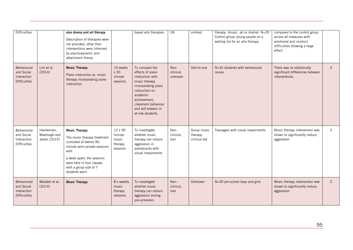| <b>Difficulties</b>                                             |                                             | also drama and art therapy<br>Description of therapies were<br>not provided, other than<br>interventions were informed<br>by psychodynamic and<br>attachment theory.                                                          |                                                   | based arts therapies                                                                                                                                                                                           | $\overline{\mathsf{U}}$ K    | centred                                 | therapy. (music, art or drama) N=29<br>Control group: young people on a<br>waiting list for an arts therapy. | compared to the control group<br>across all measures with<br>emotional and conduct<br>difficulties showing a large<br>effect. |              |
|-----------------------------------------------------------------|---------------------------------------------|-------------------------------------------------------------------------------------------------------------------------------------------------------------------------------------------------------------------------------|---------------------------------------------------|----------------------------------------------------------------------------------------------------------------------------------------------------------------------------------------------------------------|------------------------------|-----------------------------------------|--------------------------------------------------------------------------------------------------------------|-------------------------------------------------------------------------------------------------------------------------------|--------------|
| Behavioural<br>and Social<br>Interaction<br><b>Difficulties</b> | Lim et al.<br>(2014)                        | <b>Music Therapy</b><br>Piano instruction vs. music<br>therapy incorporating piano<br>instruction                                                                                                                             | 10 weeks<br>x 30<br>minute<br>sessions            | To compare the<br>effects of piano<br>instruction with<br>music therapy<br>incorporating piano<br>instruction on<br>academic<br>achievement,<br>classroom behaviour<br>and self-esteem in<br>at-risk students. | Non-<br>clinical,<br>unknown | One-to-one                              | N=32 students with behavioural<br>issues                                                                     | There was no statistically<br>significant differences between<br>interventions.                                               | 3            |
| Behavioural<br>and Social<br>Interaction<br><b>Difficulties</b> | Hashemian,<br>Mashoogh and<br>Jarahi (2015) | <b>Music Therapy</b><br>The music therapy treatment<br>consisted of twelve 90-<br>minute semi-private sessions<br>with<br>a week apart; the sessions<br>were held in four classes<br>with a group size of 7<br>students each. | 12 x 90<br>minute<br>music<br>therapy<br>sessions | To investigate<br>whether music<br>therapy can reduce<br>aggression in<br>adolescents with<br>visual impairments                                                                                               | Non-<br>clinical,<br>Iran    | Group music<br>therapy,<br>clinical led | Teenagers with visual impairments                                                                            | Music therapy intervention was<br>shown to significantly reduce<br>aggression                                                 | 3            |
| Behavioural<br>and Social<br>Interaction<br><b>Difficulties</b> | Maddah et al.<br>(2014)                     | <b>Music Therapy</b>                                                                                                                                                                                                          | 8 x weekly<br>music<br>therapy<br>sessions        | To investigate<br>whether music<br>therapy can reduce<br>aggression among<br>pre-schoolers                                                                                                                     | Non-<br>clinical,<br>Iran    | Unknown                                 | N=30 pre-school boys and girls                                                                               | Music therapy intervention was<br>shown to significantly reduce<br>aggression                                                 | $\mathbf{3}$ |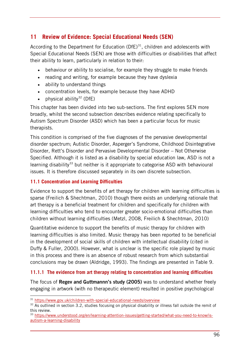# **11 Review of Evidence: Special Educational Needs (SEN)**

According to the Department for Education (DfE) $31$ , children and adolescents with Special Educational Needs (SEN) are those with difficulties or disabilities that affect their ability to learn, particularly in relation to their:

- behaviour or ability to socialise, for example they struggle to make friends
- reading and writing, for example because they have dyslexia
- ability to understand things
- concentration levels, for example because they have ADHD
- physical ability<sup>[32](#page-95-1)</sup> (DfE)

This chapter has been divided into two sub-sections. The first explores SEN more broadly, whilst the second subsection describes evidence relating specifically to Autism Spectrum Disorder (ASD) which has been a particular focus for music therapists.

This condition is comprised of the five diagnoses of the pervasive developmental disorder spectrum; Autistic Disorder, Asperger's Syndrome, Childhood Disintegrative Disorder, Rett's Disorder and Pervasive Developmental Disorder – Not Otherwise Specified. Although it is listed as a disability by special education law, ASD is not a learning disability<sup>33</sup> but neither is it appropriate to categorise ASD with behavioural issues. It is therefore discussed separately in its own discrete subsection.

### **11.1 Concentration and Learning Difficulties**

Evidence to support the benefits of art therapy for children with learning difficulties is sparse (Freilich & Shechtman, 2010) though there exists an underlying rationale that art therapy is a beneficial treatment for children and specifically for children with learning difficulties who tend to encounter greater socio-emotional difficulties than children without learning difficulties (Metzl, 2008, Freilich & Shechtman, 2010)

Quantitative evidence to support the benefits of music therapy for children with learning difficulties is also limited. Music therapy has been reported to be beneficial in the development of social skills of children with intellectual disability (cited in Duffy & Fuller, 2000). However, what is unclear is the specific role played by music in this process and there is an absence of robust research from which substantial conclusions may be drawn [\(Aldridge, 1993\)](http://onlinelibrary.wiley.com/doi/10.1046/j.1468-3148.2000.00011.x/full#b28). The findings are presented in Table 9.

### **11.1.1 The evidence from art therapy relating to concentration and learning difficulties**

The focus of **Regev and Guttmannn's study (2005)** was to understand whether freely engaging in artwork (with no therapeutic element) resulted in positive psychological

-

<span id="page-95-1"></span><span id="page-95-0"></span> $31 \text{ https://www.gov.uk/children-with-special-educational-needs/overview}$ <br> $32 \text{ As outlined in section 3.2, studies focusing on physical disability or illness fall outside the remit of}$ this review.

<span id="page-95-2"></span><sup>&</sup>lt;sup>33</sup> [https://www.understood.org/en/learning-attention-issues/getting-started/what-you-need-to-know/is](https://www.understood.org/en/learning-attention-issues/getting-started/what-you-need-to-know/is-autism-a-learning-disability)[autism-a-learning-disability](https://www.understood.org/en/learning-attention-issues/getting-started/what-you-need-to-know/is-autism-a-learning-disability)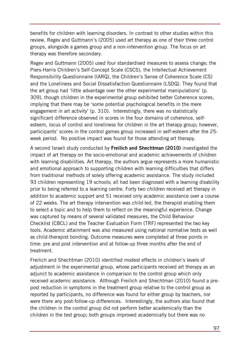benefits for children with learning disorders. In contrast to other studies within this review, Regev and Guttmann's (2005) used art therapy as one of their three control groups, alongside a games group and a non-intervention group. The focus on art therapy was therefore secondary.

Regev and Guttmann (2005) used four standardised measures to assess change; the Piers-Harris Children's Self-Concept Scale (CSCS), the Intellectual Achievement Responsibility Questionnaire (IARQ), the Children's Sense of Coherence Scale (CS) and the Loneliness and Social Dissatisfaction Questionnaire (LSDQ). They found that the art group had 'little advantage over the other experimental manipulations' (p. 309), though children in the experimental group exhibited better Coherence scores, implying that there may be 'some potential psychological benefits in the mere engagement in art activity' (p. 310). Interestingly, there was no statistically significant difference observed in scores in the four domains of coherence, selfesteem, locus of control and loneliness for children in the art therapy group; however, participants' scores in the control games group increased in self-esteem after the 25 week period. No positive impact was found for those attending art therapy.

A second Israeli study conducted by **Freilich and Shechtman (2010)** investigated the impact of art therapy on the socio-emotional and academic achievements of children with learning disabilities. Art therapy, the authors argue represents a more humanistic and emotional approach to supporting children with learning difficulties that differs from traditional methods of solely offering academic assistance. The study included 93 children representing 19 schools; all had been diagnosed with a learning disability prior to being referred to a learning centre. Forty two children received art therapy in addition to academic support and 51 received only academic assistance over a course of 22 weeks. The art therapy intervention was child-led, the therapist enabling them to select a topic and to help them to reflect on the meaningful experience. Change was captured by means of several validated measures, the Child Behaviour Checklist (CBCL) and the Teacher Evaluation Form (TRF) represented the two key tools. Academic attainment was also measured using national normative tests as well as child-therapist bonding. Outcome measures were completed at three points in time: pre and post intervention and at follow-up three months after the end of treatment.

Freilich and Shechtman (2010) identified modest effects in children's levels of adjustment in the experimental group, whose participants received art therapy as an adjunct to academic assistance in comparison to the control group which only received academic assistance. Although Freilich and Shechtman (2010) found a prepost reduction in symptoms in the treatment group relative to the control group as reported by participants, no difference was found for either group by teachers, nor were there any post-follow-up differences. Interestingly, the authors also found that the children in the control group did not perform better academically than the children in the test group; both groups improved academically but there was no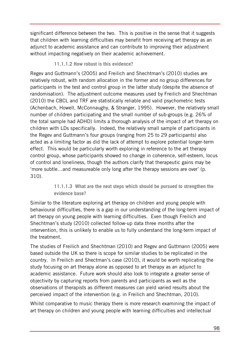significant difference between the two. This is positive in the sense that it suggests that children with learning difficulties may benefit from receiving art therapy as an adjunct to academic assistance and can contribute to improving their adjustment without impacting negatively on their academic achievement.

# **11.1.1.2 How robust is this evidence?**

Regev and Guttmann's (2005) and Freilich and Shechtman's (2010) studies are relatively robust, with random allocation in the former and no group differences for participants in the test and control group in the latter study (despite the absence of randomisation). The adjustment outcome measures used by Freilich and Shechtman (2010) the CBCL and TRF are statistically reliable and valid psychometric tests (Achenbach, Howell, McConnaughy, & Stranger, 1995). However, the relatively small number of children participating and the small number of sub-groups (e.g. 26% of the total sample had ADHD) limits a thorough analysis of the impact of art therapy on children with LDs specifically. Indeed, the relatively small sample of participants in the Regev and Guttmann's four groups (ranging from 25 to 29 participants) also acted as a limiting factor as did the lack of attempt to explore potential longer-term effect. This would be particularly worth exploring in reference to the art therapy control group, whose participants showed no change in coherence, self-esteem, locus of control and loneliness, though the authors clarify that therapeutic gains may be 'more subtle…and measureable only long after the therapy sessions are over' (p. 310).

# **11.1.1.3 What are the next steps which should be pursued to strengthen the evidence base?**

Similar to the literature exploring art therapy on children and young people with behavioural difficulties, there is a gap in our understanding of the long-term impact of art therapy on young people with learning difficulties. Even though Freilich and Shechtman's study (2010) collected follow-up data three months after the intervention, this is unlikely to enable us to fully understand the long-term impact of the treatment.

The studies of Freilich and Shechtman (2010) and Regev and Guttmann (2005) were based outside the UK so there is scope for similar studies to be replicated in the country. In Freilich and Shectman's case (2010), it would be worth replicating the study focusing on art therapy alone as opposed to art therapy as an adjunct to academic assistance. Future work should also look to integrate a greater sense of objectivity by capturing reports from parents and participants as well as the observations of therapists as different measures can yield varied results about the perceived impact of the intervention (e.g. in Freilich and Shechtman, 2010).

Whilst comparative to music therapy there is more research examining the impact of art therapy on children and young people with learning difficulties and intellectual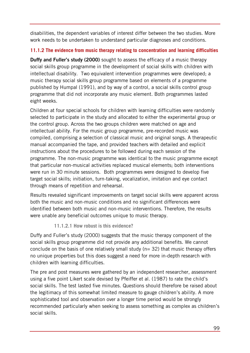disabilities, the dependent variables of interest differ between the two studies. More work needs to be undertaken to understand particular diagnoses and conditions.

# **11.1.2 The evidence from music therapy relating to concentration and learning difficulties**

**Duffy and Fuller's study (2000)** sought to assess the efficacy of a music therapy social skills group programme in the development of social skills with children with intellectual disability. Two equivalent intervention programmes were developed; a music therapy social skills group programme based on elements of a programme published by [Humpal \(1991\),](http://onlinelibrary.wiley.com/doi/10.1046/j.1468-3148.2000.00011.x/full#b10) and by way of a control, a social skills control group programme that did not incorporate any music element. Both programmes lasted eight weeks.

Children at four special schools for children with learning difficulties were randomly selected to participate in the study and allocated to either the experimental group or the control group. Across the two groups children were matched on age and intellectual ability. For the music group programme, pre-recorded music was compiled, comprising a selection of classical music and original songs. A therapeutic manual accompanied the tape, and provided teachers with detailed and explicit instructions about the procedures to be followed during each session of the programme. The non-music programme was identical to the music programme except that particular non-musical activities replaced musical elements; both interventions were run in 30 minute sessions. Both programmes were designed to develop five target social skills; initiation, turn-taking, vocalization, imitation and eye contact through means of repetition and rehearsal.

Results revealed significant improvements on target social skills were apparent across both the music and non-music conditions and no significant differences were identified between both music and non-music interventions. Therefore, the results were unable any beneficial outcomes unique to music therapy.

### **11.1.2.1 How robust is this evidence?**

Duffy and Fuller's study (2000) suggests that the music therapy component of the social skills group programme did not provide any additional benefits. We cannot conclude on the basis of one relatively small study ( $n=$  32) that music therapy offers no unique properties but this does suggest a need for more in-depth research with children with learning difficulties.

The pre and post measures were gathered by an independent researcher, assessment using a five point Likert scale devised by Pfeiffer et al. (1987) to rate the child's social skills. The test lasted five minutes. Questions should therefore be raised about the legitimacy of this somewhat limited measure to gauge children's ability. A more sophisticated tool and observation over a longer time period would be strongly recommended particularly when seeking to assess something as complex as children's social skills.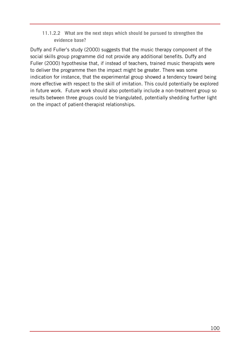**11.1.2.2 What are the next steps which should be pursued to strengthen the evidence base?**

Duffy and Fuller's study (2000) suggests that the music therapy component of the social skills group programme did not provide any additional benefits. Duffy and Fuller (2000) hypothesise that, if instead of teachers, trained music therapists were to deliver the programme then the impact might be greater. There was some indication for instance, that the experimental group showed a tendency toward being more effective with respect to the skill of imitation. This could potentially be explored in future work. Future work should also potentially include a non-treatment group so results between three groups could be triangulated, potentially shedding further light on the impact of patient-therapist relationships.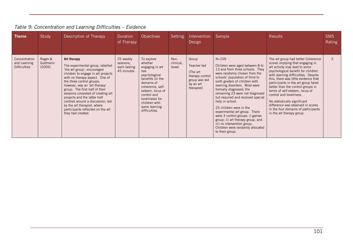| <b>Theme</b>                                         | Study                         | Description of Therapy                                                                                                                                                                                                                                                                                                                                                                                                                                    | Duration<br>of Therapy                               | Objectives                                                                                                                                                                                                                      | Setting                            | Intervention<br>Design                                                                          | Sample                                                                                                                                                                                                                                                                                                                                                                                                                                                                                                                                                                 | <b>Results</b>                                                                                                                                                                                                                                                                                                                                                                                                                                                                                                 | <b>SMS</b><br>Rating |
|------------------------------------------------------|-------------------------------|-----------------------------------------------------------------------------------------------------------------------------------------------------------------------------------------------------------------------------------------------------------------------------------------------------------------------------------------------------------------------------------------------------------------------------------------------------------|------------------------------------------------------|---------------------------------------------------------------------------------------------------------------------------------------------------------------------------------------------------------------------------------|------------------------------------|-------------------------------------------------------------------------------------------------|------------------------------------------------------------------------------------------------------------------------------------------------------------------------------------------------------------------------------------------------------------------------------------------------------------------------------------------------------------------------------------------------------------------------------------------------------------------------------------------------------------------------------------------------------------------------|----------------------------------------------------------------------------------------------------------------------------------------------------------------------------------------------------------------------------------------------------------------------------------------------------------------------------------------------------------------------------------------------------------------------------------------------------------------------------------------------------------------|----------------------|
| Concentration<br>and Learning<br><b>Difficulties</b> | Regev &<br>Guttmann<br>(2005) | Art therapy<br>The experimental group, labelled<br>'the art group', encouraged<br>children to engage in art projects<br>with no therapy aspect. One of<br>the three control groups,<br>however, was an 'art therapy'<br>group. The first half of their<br>sessions consisted of creating art<br>projects and the latter half<br>centred around a discussion, led<br>by the art therapist, where<br>participants reflected on the art<br>they had created. | 25 weekly<br>sessions.<br>each lasting<br>45 minutes | To explore<br>whether<br>engaging in art<br>has<br>psychological<br>benefits (in the<br>domains of<br>coherence, self-<br>esteem, locus of<br>control and<br>loneliness) for<br>children with<br>some learning<br>difficulties. | Non-<br>clinical,<br><b>Israel</b> | Group<br>Teacher-led<br>(The art<br>therapy control<br>group was led<br>by an art<br>therapist) | $N = 109$<br>Children were aged between 8 to<br>13 and from three schools. They<br>were randomly chosen from the<br>schools' population of third to<br>sixth graders of children with<br>learning disorders. Most were<br>formally diagnosed; the<br>remaining 23 were not diagnosed<br>but required and received special<br>help in school.<br>25 children were in the<br>experimental art group. There<br>were 3 control groups: i) games<br>group; ii) art therapy group, and<br>iii) no intervention group.<br>Children were randomly allocated<br>to their group. | The art group had better Coherence<br>scores implying that engaging in<br>art activity may lead to some<br>psychological benefit for children<br>with learning difficulties. Despite<br>this, there was little evidence that<br>participants in the art group fared<br>better than the control groups in<br>terms of self-esteem, locus of<br>control and loneliness.<br>No statistically significant<br>difference was observed in scores<br>in the four domains of participants<br>in the art therapy group. | $\mathcal{B}$        |

# *Table 9: Concentration and Learning Difficulties – Evidence*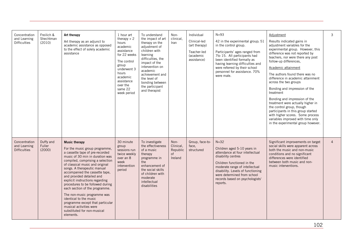| Concentration<br>and Learning<br><b>Difficulties</b> | Freilich &<br>Shechtman<br>(2010) | Art therapy<br>Art therapy as an adjunct to<br>academic assistance as opposed<br>to the effect of solely academic<br>assistance                                                                                                                                                                                                                                                                                                                                                                                                                                                | 1 hour art<br>therapy $+2$<br>hours<br>academic<br>assistance<br>for 22 weeks<br>The control<br>group<br>underwent 3<br>hours<br>academic<br>assistance<br>over the<br>same 22<br>week period | To understand<br>the impact of art<br>therapy on the<br>adjustment of<br>children with<br>learning<br>difficulties, the<br>impact of the<br>intervention on<br>academic<br>achievement and<br>the level of<br>bonding between<br>the participant<br>and therapist | Non-<br>clinical,<br>Iran                      | Individual<br>Clinical-led<br>(art therapy)<br>Teacher-led<br>(academic<br>assistance) | $N = 93$<br>42 in the experimental group; 51<br>in the control group.<br>Participants' ages ranged from<br>7to 15. All participants had<br>been identified formally as<br>having learning difficulties and<br>were referred by their school<br>personnel for assistance. 70%<br>were male. | Adjustment<br>Results indicated gains in<br>adjustment variables for the<br>experimental group. However, this<br>difference was not reported by<br>teachers, nor were there any post<br>follow-up differences,<br>Academic attainment<br>The authors found there was no<br>difference in academic attainment<br>across the two groups<br>Bonding and impression of the<br>treatment<br>Bonding and impression of the<br>treatment were actually higher in<br>the control group, though<br>participants in this group started<br>with higher scores. Some process<br>variables improved with time only<br>in the experimental group however. | 3              |
|------------------------------------------------------|-----------------------------------|--------------------------------------------------------------------------------------------------------------------------------------------------------------------------------------------------------------------------------------------------------------------------------------------------------------------------------------------------------------------------------------------------------------------------------------------------------------------------------------------------------------------------------------------------------------------------------|-----------------------------------------------------------------------------------------------------------------------------------------------------------------------------------------------|-------------------------------------------------------------------------------------------------------------------------------------------------------------------------------------------------------------------------------------------------------------------|------------------------------------------------|----------------------------------------------------------------------------------------|--------------------------------------------------------------------------------------------------------------------------------------------------------------------------------------------------------------------------------------------------------------------------------------------|---------------------------------------------------------------------------------------------------------------------------------------------------------------------------------------------------------------------------------------------------------------------------------------------------------------------------------------------------------------------------------------------------------------------------------------------------------------------------------------------------------------------------------------------------------------------------------------------------------------------------------------------|----------------|
| Concentration<br>and Learning<br><b>Difficulties</b> | Duffy and<br>Fuller<br>(2000)     | <b>Music therapy</b><br>For the music group programme,<br>a cassette tape of pre-recorded<br>music of 30 min in duration was<br>compiled, comprising a selection<br>of classical music and original<br>songs. A therapeutic manual<br>accompanied the cassette tape.<br>and provided detailed and<br>explicit instructions regarding<br>procedures to be followed during<br>each section of the programme.<br>The non-music programme was<br>identical to the music<br>programme except that particular<br>musical activities were<br>substituted for non-musical<br>elements. | 30 minute<br>group<br>sessions run<br>twice weekly<br>over an 8<br>week<br>intervention<br>period                                                                                             | To investigate<br>the effectiveness<br>of a music<br>therapy<br>programme in<br>the<br>enhancement of<br>the social skills<br>of children with<br>moderate<br>intellectual<br>disabilities                                                                        | Non-<br>Clinical,<br>Republic<br>of<br>Ireland | Group, face-to-<br>face,<br>structured                                                 | $N = 32$<br>Children aged 5-10 years in<br>attendance at four intellectual<br>disability centres<br>Children functioned in the<br>moderate range of intellectual<br>disability. Levels of functioning<br>were determined from school<br>records based on psychologists'<br>reports.        | Significant improvements on target<br>social skills were apparent across<br>both the music and non-music<br>conditions and no significant<br>differences were identified<br>between both music and non-<br>music interventions.                                                                                                                                                                                                                                                                                                                                                                                                             | $\overline{4}$ |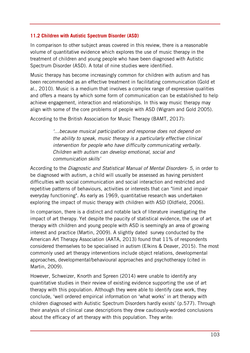#### **11.2 Children with Autistic Spectrum Disorder (ASD)**

In comparison to other subject areas covered in this review, there is a reasonable volume of quantitative evidence which explores the use of music therapy in the treatment of children and young people who have been diagnosed with Autistic Spectrum Disorder (ASD). A total of nine studies were identified.

Music therapy has become increasingly common for children with autism and has been recommended as an effective treatment in facilitating communication (Gold et al., 2010). Music is a medium that involves a complex range of expressive qualities and offers a means by which some form of communication can be established to help achieve engagement, interaction and relationships. In this way music therapy may align with some of the core problems of people with ASD (Wigram and Gold 2005).

According to the British Association for Music Therapy (BAMT, 2017):

*'…because musical participation and response does not depend on the ability to speak, music therapy is a particularly effective clinical intervention for people who have difficulty communicating verbally. Children with autism can develop emotional, social and communication skills'*

According to the *Diagnostic and Statistical Manual of Mental Disorders- 5*, in order to be diagnosed with autism, a child will usually be assessed as having [persistent](http://www.autism.org.uk/about/what-is/asd.aspx##Social)  [difficulties with social communication and social interaction](http://www.autism.org.uk/about/what-is/asd.aspx##Social) and [restricted and](http://www.autism.org.uk/about/what-is/asd.aspx##Interests)  [repetitive patterns of behaviours, activities or interests](http://www.autism.org.uk/about/what-is/asd.aspx##Interests) that can ["limit and impair](http://researchautism.net/conditions/7/autism-%28autism-spectrum-disorder%29/Diagnosis)  [everyday functioning"](http://researchautism.net/conditions/7/autism-%28autism-spectrum-disorder%29/Diagnosis). As early as 1969, quantitative research was undertaken exploring the impact of music therapy with children with ASD (Oldfield, 2006).

In comparison, there is a distinct and notable lack of literature investigating the impact of art therapy. Yet despite the paucity of statistical evidence, the use of art therapy with children and young people with ASD is seemingly an area of growing interest and practice (Martin, 2009). A slightly dated survey conducted by the American Art Therapy Association (AATA, 2013) found that 11% of respondents considered themselves to be specialised in autism (Elkins & Deaver, 2015). The most commonly used art therapy interventions include object relations, developmental approaches, developmental/behavioural approaches and psychotherapy (cited in Martin, 2009).

However, Schweizer, Knorth and Spreen (2014) were unable to identify any quantitative studies in their review of existing evidence supporting the use of art therapy with this population. Although they were able to identify case work, they conclude, 'well ordered empirical information on 'what works' in art therapy with children diagnosed with Autistic Spectrum Disorders hardly exists' (p.577). Through their analysis of clinical case descriptions they drew cautiously-worded conclusions about the efficacy of art therapy with this population. They write: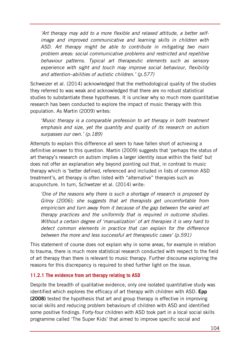*'Art therapy may add to a more flexible and relaxed attitude, a better selfimage and improved communicative and learning skills in children with ASD. Art therapy might be able to contribute in mitigating two main problem areas: social communicative problems and restricted and repetitive behaviour patterns. Typical art therapeutic elements such as sensory experience with sight and touch may improve social behaviour, flexibility and attention–abilities of autistic children.' (p.577)* 

Schweizer et al. (2014) acknowledged that the methodological quality of the studies they referred to was weak and acknowledged that there are no robust statistical studies to substantiate these hypotheses. It is unclear why so much more quantitative research has been conducted to explore the impact of music therapy with this population. As Martin (2009) writes:

*'Music therapy is a comparable profession to art therapy in both treatment emphasis and size, yet the quantity and quality of its research on autism surpasses our own.' (p.189)*

Attempts to explain this difference all seem to have fallen short of achieving a definitive answer to this question. Martin (2009) suggests that 'perhaps the status of art therapy's research on autism implies a larger identity issue within the field' but does not offer an explanation why beyond pointing out that, in contrast to music therapy which is 'better defined, referenced and included in lists of common ASD treatment's, art therapy is often listed with "alternative" therapies such as acupuncture. In turn, Schwetzer et al. (2014) write:

*'One of the reasons why there is such a shortage of research is proposed by Gilroy (2006); she suggests that art therapists get uncomfortable from empiricism and turn away from it because of the gap between the varied art therapy practices and the uniformity that is required in outcome studies. Without a certain degree of 'manualization' of art therapies it is very hard to detect common elements in practice that can explain for the difference between the more and less successful art therapeutic cases' (p.591)* 

This statement of course does not explain why in some areas, for example in relation to trauma, there is much more statistical research conducted with respect to the field of art therapy than there is relevant to music therapy. Further discourse exploring the reasons for this discrepancy is required to shed further light on the issue.

#### **11.2.1 The evidence from art therapy relating to ASD**

Despite the breadth of qualitative evidence, only one isolated quantitative study was identified which explores the efficacy of art therapy with children with ASD. **Epp (2008)** tested the hypothesis that art and group therapy is effective in improving social skills and reducing problem behaviours of children with ASD and identified some positive findings. Forty-four children with ASD took part in a local social skills programme called 'The Super Kids' that aimed to improve specific social and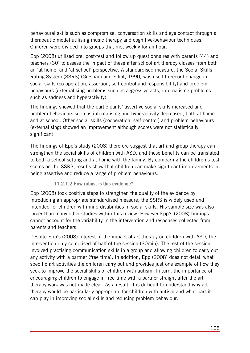behavioural skills such as compromise, conversation skills and eye contact through a therapeutic model utilising music therapy and cognitive-behaviour techniques. Children were divided into groups that met weekly for an hour.

Epp (2008) utilised pre, post-test and follow up questionnaires with parents (44) and teachers (30) to assess the impact of these after school art therapy classes from both an 'at home' and 'at school' perspective. A standardised measure, the Social Skills Rating System (SSRS) (Gresham and Elliot, 1990) was used to record change in social skills (co-operation, assertion, self-control and responsibility) and problem behaviours (externalising problems such as aggressive acts, internalising problems such as sadness and hyperactivity).

The findings showed that the participants' assertive social skills increased and problem behaviours such as internalising and hyperactivity decreased, both at home and at school. Other social skills (cooperation, self-control) and problem behaviours (externalising) showed an improvement although scores were not statistically significant.

The findings of Epp's study (2008) therefore suggest that art and group therapy can strengthen the social skills of children with ASD, and these benefits can be translated to both a school setting and at home with the family. By comparing the children's test scores on the SSRS, results show that children can make significant improvements in being assertive and reduce a range of problem behaviours.

### **11.2.1.2 How robust is this evidence?**

Epp (2008) took positive steps to strengthen the quality of the evidence by introducing an appropriate standardised measure; the SSRS is widely used and intended for children with mild disabilities in social skills. His sample size was also larger than many other studies within this review. However Epp's (2008) findings cannot account for the variability in the intervention and responses collected from parents and teachers.

Despite Epp's (2008) interest in the impact of art therapy on children with ASD, the intervention only comprised of half of the session (30min). The rest of the session involved practising communication skills in a group and allowing children to carry out any activity with a partner (free time). In addition, Epp (2008) does not detail what specific art activities the children carry out and provides just one example of how they seek to improve the social skills of children with autism. In turn, the importance of encouraging children to engage in free time with a partner straight after the art therapy work was not made clear. As a result, it is difficult to understand why art therapy would be particularly appropriate for children with autism and what part it can play in improving social skills and reducing problem behaviour.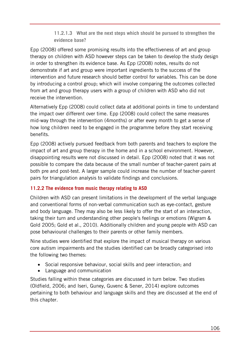#### **11.2.1.3 What are the next steps which should be pursued to strengthen the evidence base?**

Epp (2008) offered some promising results into the effectiveness of art and group therapy on children with ASD however steps can be taken to develop the study design in order to strengthen its evidence base. As Epp (2008) notes, results do not demonstrate if art and group were important ingredients to the success of the intervention and future research should better control for variables. This can be done by introducing a control group; which will involve comparing the outcomes collected from art and group therapy users with a group of children with ASD who did not receive the intervention.

Alternatively Epp (2008) could collect data at additional points in time to understand the impact over different over time. Epp (2008) could collect the same measures mid-way through the intervention (4months) or after every month to get a sense of how long children need to be engaged in the programme before they start receiving benefits.

Epp (2008) actively pursued feedback from both parents and teachers to explore the impact of art and group therapy in the home and in a school environment. However, disappointing results were not discussed in detail. Epp (2008) noted that it was not possible to compare the data because of the small number of teacher-parent pairs at both pre and post-test. A larger sample could increase the number of teacher-parent pairs for triangulation analysis to validate findings and conclusions.

### **11.2.2 The evidence from music therapy relating to ASD**

Children with ASD can present limitations in the development of the verbal language and conventional forms of non-verbal communication such as eye-contact, gesture and body language. They may also be less likely to offer the start of an interaction, taking their turn and understanding other people's feelings or emotions (Wigram & Gold 2005; Gold et al., 2010). Additionally children and young people with ASD can pose behavioural challenges to their parents or other family members.

Nine studies were identified that explore the impact of musical therapy on various core autism impairments and the studies identified can be broadly categorised into the following two themes:

- Social responsive behaviour, social skills and peer interaction; and
- Language and communication

Studies falling within these categories are discussed in turn below. Two studies (Oldfield, 2006; and Iseri, Guney, Guvenc & Sener, 2014) explore outcomes pertaining to both behaviour and language skills and they are discussed at the end of this chapter.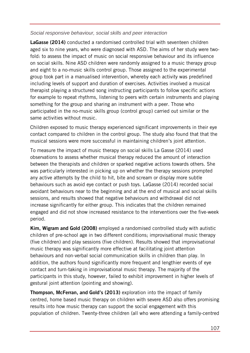#### *Social responsive behaviour, social skills and peer interaction*

**LaGasse (2014)** conducted a randomised controlled trial with seventeen children aged six to nine years, who were diagnosed with ASD. The aims of her study were twofold: to assess the impact of music on social responsive behaviour and its influence on social skills. Nine ASD children were randomly assigned to a music therapy group and eight to a no-music skills control group. Those assigned to the experimental group took part in a manualised intervention, whereby each activity was predefined including levels of support and duration of exercises. Activities involved a musical therapist playing a structured song instructing participants to follow specific actions for example to repeat rhythms, listening to peers with certain instruments and playing something for the group and sharing an instrument with a peer. Those who participated in the no-music skills group (control group) carried out similar or the same activities without music.

Children exposed to music therapy experienced significant improvements in their eye contact compared to children in the control group. The study also found that that the musical sessions were more successful in maintaining children's joint attention.

To measure the impact of music therapy on social skills La Gasse (2014) used observations to assess whether musical therapy reduced the amount of interaction between the therapists and children or sparked negative actions towards others. She was particularly interested in picking up on whether the therapy sessions prompted any active attempts by the child to hit, bite and scream or display more subtle behaviours such as avoid eye contact or push toys. LaGasse (2014) recorded social avoidant behaviours near to the beginning and at the end of musical and social skills sessions, and results showed that negative behaviours and withdrawal did not increase significantly for either group. This indicates that the children remained engaged and did not show increased resistance to the interventions over the five-week period.

**Kim, Wigram and Gold (2008)** employed a randomised controlled study with autistic children of pre-school age in two different conditions; improvisational music therapy (five children) and play sessions (five children). Results showed that improvisational music therapy was significantly more effective at facilitating joint attention behaviours and non-verbal social communication skills in children than play. In addition, the authors found significantly more frequent and lengthier events of eye contact and turn-taking in improvisational music therapy. The majority of the participants in this study, however, failed to exhibit improvement in higher levels of gestural joint attention (pointing and showing).

**Thompson, McFerran, and Gold's (2013)** exploration into the impact of family centred, home based music therapy on children with severe ASD also offers promising results into how music therapy can support the social engagement with this population of children. Twenty-three children (all who were attending a family-centred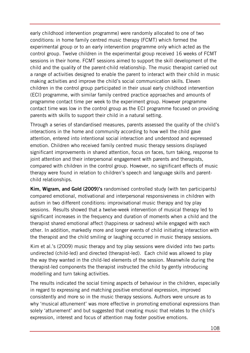early childhood intervention programme) were randomly allocated to one of two conditions: in home family centred music therapy (FCMT) which formed the experimental group or to an early intervention programme only which acted as the control group. Twelve children in the experimental group received 16 weeks of FCMT sessions in their home. FCMT sessions aimed to support the skill development of the child and the quality of the parent-child relationship. The music therapist carried out a range of activities designed to enable the parent to interact with their child in music making activities and improve the child's social communication skills. Eleven children in the control group participated in their usual early childhood intervention (ECI) programme, with similar family centred practice approaches and amounts of programme contact time per week to the experiment group. However programme contact time was low in the control group as the ECI programme focused on providing parents with skills to support their child in a natural setting.

Through a series of standardised measures, parents assessed the quality of the child's interactions in the home and community according to how well the child gave attention, entered into intentional social interaction and understood and expressed emotion. Children who received family centred music therapy sessions displayed significant improvements in shared attention, focus on faces, turn taking, response to joint attention and their interpersonal engagement with parents and therapists, compared with children in the control group. However, no significant effects of music therapy were found in relation to children's speech and language skills and parentchild relationships.

**Kim, Wigram, and Gold (2009)'s** randomised controlled study (with ten participants) compared emotional, motivational and interpersonal responsiveness in children with autism in two different conditions: improvisational music therapy and toy play sessions. Results showed that a twelve-week intervention of musical therapy led to significant increases in the frequency and duration of moments when a child and the therapist shared emotional affect (happiness or sadness) while engaged with each other. In addition, markedly more and longer events of child initiating interaction with the therapist and the child smiling or laughing occurred in music therapy sessions.

Kim et al.'s (2009) music therapy and toy play sessions were divided into two parts: undirected (child-led) and directed (therapist-led). Each child was allowed to play the way they wanted in the child-led elements of the session. Meanwhile during the therapist-led components the therapist instructed the child by gently introducing modelling and turn taking activities.

The results indicated the social timing aspects of behaviour in the children, especially in regard to expressing and matching positive emotional expression, improved consistently and more so in the music therapy sessions. Authors were unsure as to why 'musical attunement' was more effective in promoting emotional expressions than solely 'attunement' and but suggested that creating music that relates to the child's expression, interest and focus of attention may foster positive emotions.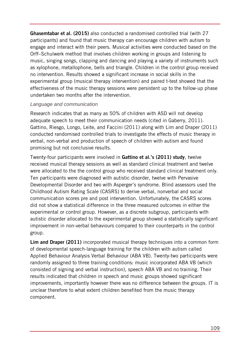**Ghasemtabar et al. (2015)** also conducted a randomised controlled trial (with 27 participants) and found that music therapy can encourage children with autism to engage and interact with their peers. Musical activities were conducted based on the Orff–Schulwerk method that involves children working in groups and listening to music, singing songs, clapping and dancing and playing a variety of instruments such as xylophone, metallophone, bells and triangle. Children in the control group received no intervention. Results showed a significant increase in social skills in the experimental group (musical therapy intervention) and paired t-test showed that the effectiveness of the music therapy sessions were persistent up to the follow-up phase undertaken two months after the intervention.

#### *Language and communication*

Research indicates that as many as 50% of children with ASD will not develop adequate speech to meet their communication needs (cited in Gaberry, 2011). Gattino, Riesgo, Longo, Leite, and Faccini (2011) along with Lim and Draper (2011) conducted randomised controlled trials to investigate the effects of music therapy in verbal, non-verbal and production of speech of children with autism and found promising but not conclusive results.

Twenty-four participants were involved in **Gattino et al.'s (2011) study**, twelve received musical therapy sessions as well as standard clinical treatment and twelve were allocated to the the control group who received standard clinical treatment only. Ten participants were diagnosed with autistic disorder, twelve with Pervasive Developmental Disorder and two with Asperger's syndrome. Blind assessors used the Childhood Autism Rating Scale (CASRS) to derive verbal, nonverbal and social communication scores pre and post intervention. Unfortunately, the CASRS scores did not show a statistical difference in the three measured outcomes in either the experimental or control group. However, as a discrete subgroup, participants with autistic disorder allocated to the experimental group showed a statistically significant improvement in non-verbal behaviours compared to their counterparts in the control group.

**Lim and Draper (2011)** incorporated musical therapy techniques into a common form of developmental speech-language training for the children with autism called Applied Behaviour Analysis Verbal Behaviour (ABA VB). Twenty-two participants were randomly assigned to three training conditions: music incorporated ABA VB (which consisted of signing and verbal instruction), speech ABA VB and no training. Their results indicated that children in speech and music groups showed significant improvements, importantly however there was no difference between the groups. IT is unclear therefore to what extent children benefited from the music therapy component.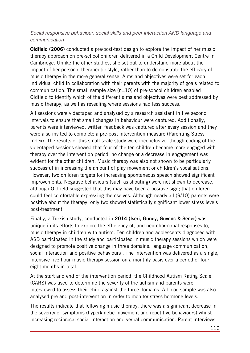#### *Social responsive behaviour, social skills and peer interaction AND language and communication*

**Oldfield (2006)** conducted a pre/post-test design to explore the impact of her music therapy approach on pre-school children delivered in a Child Development Centre in Cambridge. Unlike the other studies, she set out to understand more about the impact of her personal therapeutic style, rather than to demonstrate the efficacy of music therapy in the more general sense. Aims and objectives were set for each individual child in collaboration with their parents with the majority of goals related to communication. The small sample size  $(n=10)$  of pre-school children enabled Oldfield to identify which of the different aims and objectives were best addressed by music therapy, as well as revealing where sessions had less success.

All sessions were videotaped and analysed by a research assistant in five second intervals to ensure that small changes in behaviour were captured. Additionally, parents were interviewed, written feedback was captured after every session and they were also invited to complete a pre-post intervention measure (Parenting Stress Index). The results of this small-scale study were inconclusive; though coding of the videotaped sessions showed that four of the ten children became more engaged with therapy over the intervention period, no change or a decrease in engagement was evident for the other children. Music therapy was also not shown to be particularly successful in increasing the amount of play movement or children's vocalisations. However, two children targets for increasing spontaneous speech showed significant improvements. Negative behaviours (such as shouting) were not shown to decrease, although Oldfield suggested that this may have been a positive sign; that children could feel comfortable expressing themselves. Although nearly all (9/10) parents were positive about the therapy, only two showed statistically significant lower stress levels post-treatment.

Finally, a Turkish study, conducted in **2014 (Iseri, Guney, Guvenc & Sener)** was unique in its efforts to explore the efficiency of, and neurohormanal responses to, music therapy in children with autism. Ten children and adolescents diagnosed with ASD participated in the study and participated in music therapy sessions which were designed to promote positive change in three domains: language communication, social interaction and positive behaviours . The intervention was delivered as a single, intensive five-hour music therapy session on a monthly basis over a period of foureight months in total.

At the start and end of the intervention period, the Childhood Autism Rating Scale (CARS) was used to determine the severity of the autism and parents were interviewed to assess their child against the three domains. A blood sample was also analysed pre and post-intervention in order to monitor stress hormone levels.

The results indicate that following music therapy, there was a significant decrease in the severity of symptoms (hyperkinetic movement and repetitive behaviours) whilst increasing reciprocal social interaction and verbal communication. Parent interviews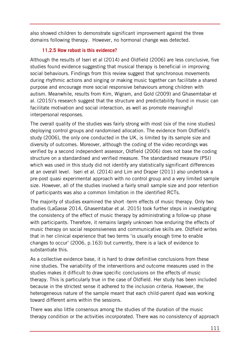also showed children to demonstrate significant improvement against the three domains following therapy. However, no hormonal change was detected.

## **11.2.5 How robust is this evidence?**

Although the results of Iseri et al (2014) and Oldfield (2006) are less conclusive, five studies found evidence suggesting that musical therapy is beneficial in improving social behaviours. Findings from this review suggest that synchronous movements during rhythmic actions and singing or making music together can facilitate a shared purpose and encourage more social responsive behaviours among children with autism. Meanwhile, results from Kim, Wigram, and Gold (2009) and Ghasemtabar et al. (2015)'s research suggest that the structure and predictability found in music can facilitate motivation and social interaction, as well as promote meaningful interpersonal responses.

The overall quality of the studies was fairly strong with most (six of the nine studies) deploying control groups and randomised allocation. The evidence from Oldfield's study (2006), the only one conducted in the UK, is limited by its sample size and diversity of outcomes. Moreover, although the coding of the video recordings was verified by a second independent assessor, Oldfield (2006) does not base the coding structure on a standardised and verified measure. The standardised measure (PSI) which was used in this study did not identify any statistically significant differences at an overall level. Iseri et al. (2014) and Lim and Draper (2011) also undertook a pre-post quasi experimental approach with no control group and a very limited sample size. However, all of the studies involved a fairly small sample size and poor retention of participants was also a common limitation in the identified RCTs.

The majority of studies examined the short -term effects of music therapy. Only two studies (LaGasse 2014, Ghasemtabar et al. 2015) took further steps in investigating the consistency of the effect of music therapy by administrating a follow-up phase with participants. Therefore, it remains largely unknown how enduring the effects of music therapy on social responsiveness and communicative skills are. Oldfield writes that in her clinical experience that two terms 'is usually enough time to enable changes to occur' (2006, p.163) but currently, there is a lack of evidence to substantiate this.

As a collective evidence base, it is hard to draw definitive conclusions from these nine studies. The variability of the interventions and outcome measures used in the studies makes it difficult to draw specific conclusions on the effects of music therapy. This is particularly true in the case of Oldfield. Her study has been included because in the strictest sense it adhered to the inclusion criteria. However, the heterogeneous nature of the sample meant that each child-parent dyad was working toward different aims within the sessions.

There was also little consensus among the studies of the duration of the music therapy condition or the activities incorporated. There was no consistency of approach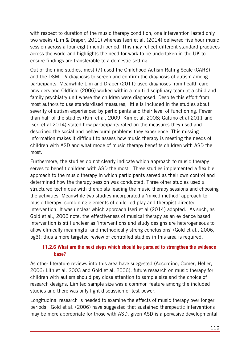with respect to duration of the music therapy condition; one intervention lasted only two weeks (Lim & Draper, 2011) whereas Iseri et al. (2014) delivered five hour music session across a four-eight month period. This may reflect different standard practices across the world and highlights the need for work to be undertaken in the UK to ensure findings are transferable to a domestic setting.

Out of the nine studies, most (7) used the Childhood Autism Rating Scale (CARS) and the DSM –IV diagnosis to screen and confirm the diagnosis of autism among participants. Meanwhile Lim and Draper (2011) used diagnoses from health care providers and Oldfield (2006) worked within a multi-disciplinary team at a child and family psychiatry unit where the children were diagnosed. Despite this effort from most authors to use standardised measures, little is included in the studies about severity of autism experienced by participants and their level of functioning. Fewer than half of the studies (Kim et al, 2009; Kim et al, 2008; Gattino et al 2011 and Iseri et al 2014) stated how participants rated on the measures they used and described the social and behavioural problems they experience*.* This missing information makes it difficult to assess how music therapy is meeting the needs of children with ASD and what mode of music therapy benefits children with ASD the most.

Furthermore, the studies do not clearly indicate which approach to music therapy serves to benefit children with ASD the most. Three studies implemented a flexible approach to the music therapy in which participants served as their own control and determined how the therapy session was conducted. Three other studies used a structured technique with therapists leading the music therapy sessions and choosing the activities. Meanwhile two studies incorporated a 'mixed method' approach to music therapy, combining elements of child-led play and therapist directed intervention. It was unclear which approach Iseri et al (2014) adopted. As such, as Gold et al., 2006 note, the effectiveness of musical therapy as an evidence based intervention is still unclear as 'interventions and study designs are heterogeneous to allow clinically meaningful and methodically strong conclusions' (Gold et al., 2006, pg3); thus a more targeted review of controlled studies in this area is required.

## **11.2.6 What are the next steps which should be pursued to strengthen the evidence base?**

As other literature reviews into this area have suggested (Accordino, Comer, Heller, 2006; Lith et al. 2003 and Gold et al. 2006), future research on music therapy for children with autism should pay close attention to sample size and the choice of research designs. Limited sample size was a common feature among the included studies and there was only light discussion of test power.

Longitudinal research is needed to examine the effects of music therapy over longer periods. Gold et al. (2006) have suggested that sustained therapeutic interventions may be more appropriate for those with ASD, given ASD is a pervasive developmental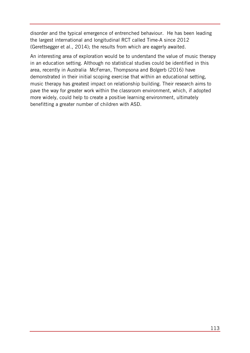disorder and the typical emergence of entrenched behaviour. He has been leading the largest international and longitudinal RCT called Time-A since 2012 (Gerettsegger et al., 2014); the results from which are eagerly awaited.

An interesting area of exploration would be to understand the value of music therapy in an education setting. Although no statistical studies could be identified in this area, recently in Australia McFerran, Thompsona and Bolgerb (2016) have demonstrated in their initial scoping exercise that within an educational setting, music therapy has greatest impact on relationship building. Their research aims to pave the way for greater work within the classroom environment, which, if adopted more widely, could help to create a positive learning environment, ultimately benefitting a greater number of children with ASD.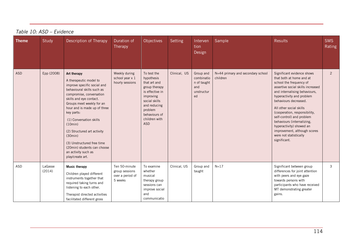| <b>Theme</b> | Study             | Description of Therapy                                                                                                                                                                                                                                                                                                                                                                                                       | Duration of<br>Therapy                                         | Objectives                                                                                                                                                                             | Setting      | Interven<br>tion<br>Design                                        | Sample                                        | <b>Results</b>                                                                                                                                                                                                                                                                                                                                                                                                                             | <b>SMS</b><br><b>Rating</b> |
|--------------|-------------------|------------------------------------------------------------------------------------------------------------------------------------------------------------------------------------------------------------------------------------------------------------------------------------------------------------------------------------------------------------------------------------------------------------------------------|----------------------------------------------------------------|----------------------------------------------------------------------------------------------------------------------------------------------------------------------------------------|--------------|-------------------------------------------------------------------|-----------------------------------------------|--------------------------------------------------------------------------------------------------------------------------------------------------------------------------------------------------------------------------------------------------------------------------------------------------------------------------------------------------------------------------------------------------------------------------------------------|-----------------------------|
| <b>ASD</b>   | Epp (2008)        | Art therapy<br>A therapeutic model to<br>improve specific social and<br>behavioural skills such as<br>compromise, conversation<br>skills and eye contact.<br>Groups meet weekly for an<br>hour and is made up of three<br>key parts:<br>(1) Conversation skills<br>(10min)<br>(2) Structured art activity<br>(30min)<br>(3) Unstructured free time<br>(20min) students can choose<br>an activity such as<br>play/create art. | Weekly during<br>school year x 1<br>hourly sessions            | To test the<br>hypothesis<br>that art and<br>group therapy<br>is effective in<br>improving<br>social skills<br>and reducing<br>problem<br>behaviours of<br>children with<br><b>ASD</b> | Clinical, US | Group and<br>combinatio<br>n of taught<br>and<br>unstructur<br>ed | N=44 primary and secondary school<br>children | Significant evidence shows<br>that both at home and at<br>school the frequency of<br>assertive social skills increased<br>and internalising behaviours,<br>hyperactivity and problem<br>behaviours decreased.<br>All other social skills<br>(cooperation, responsibility,<br>self-control) and problem<br>behaviours (internalizing,<br>hyperactivity) showed an<br>improvement, although scores<br>were not statistically<br>significant. | $\overline{2}$              |
| <b>ASD</b>   | LaGasse<br>(2014) | <b>Music therapy</b><br>Children played different<br>instruments together that<br>required taking turns and<br>listening to each other.<br>Therapist directed activities<br>facilitated different gross                                                                                                                                                                                                                      | Ten 50-minute<br>group sessions<br>over a period of<br>5 weeks | To examine<br>whether<br>musical<br>therapy group<br>sessions can<br>improve social<br>and<br>communicatio                                                                             | Clinical, US | Group and<br>taught                                               | $N = 17$                                      | Significant between group<br>differences for joint attention<br>with peers and eye gaze<br>towards persons with<br>participants who have received<br>MT demonstrating greater<br>gains.                                                                                                                                                                                                                                                    | 3                           |

# *Table 10: ASD – Evidence*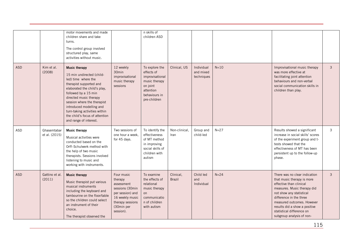|            |                              | motor movements and made<br>children share and take<br>turns.<br>The control group involved<br>structured play, same<br>activities without music.                                                                                                                                                                                             |                                                                                                                                              | n skills of<br>children ASD                                                                                                |                            |                                       |          |                                                                                                                                                                                                                                                                                                       |               |
|------------|------------------------------|-----------------------------------------------------------------------------------------------------------------------------------------------------------------------------------------------------------------------------------------------------------------------------------------------------------------------------------------------|----------------------------------------------------------------------------------------------------------------------------------------------|----------------------------------------------------------------------------------------------------------------------------|----------------------------|---------------------------------------|----------|-------------------------------------------------------------------------------------------------------------------------------------------------------------------------------------------------------------------------------------------------------------------------------------------------------|---------------|
| <b>ASD</b> | Kim et al.<br>(2008)         | <b>Music therapy</b><br>15 min undirected (child-<br>led) time where the<br>therapist supported and<br>elaborated the child's play,<br>followed by a 15 min<br>directed music therapy<br>session where the therapist<br>introduced modelling and<br>turn-taking activities within<br>the child's focus of attention<br>and range of interest. | 12 weekly<br>30min<br>improvisational<br>music therapy<br>sessions                                                                           | To explore the<br>effects of<br>improvisational<br>music therapy<br>on joint<br>attention<br>behaviours in<br>pre-children | Clinical, US               | Individual<br>and mixed<br>techniques | $N=10$   | Improvisational music therapy<br>was more effective at<br>facilitating joint attention<br>behaviours and non-verbal<br>social communication skills in<br>children than play.                                                                                                                          | $\mathbf{3}$  |
| ASD        | Ghasemtabar<br>et al. (2015) | <b>Music therapy</b><br>Musical activities were<br>conducted based on the<br>Orff-Schulwerk method with<br>the help of two music<br>therapists. Sessions involved<br>listening to music and<br>working with instruments.                                                                                                                      | Two sessions of<br>one hour a week,<br>for 45 days.                                                                                          | To identify the<br>effectiveness<br>of MT method<br>in improving<br>social skills of<br>children with<br>autism            | Non-clinical,<br>Iran      | Group and<br>child-led                | $N=27$   | Results showed a significant<br>increase in social skills' scores<br>of the experiment group and t-<br>tests showed that the<br>effectiveness of MT has been<br>persistent up to the follow-up<br>phase.                                                                                              | $\mathbf{3}$  |
| <b>ASD</b> | Gattino et al.<br>(2011)     | <b>Music therapy</b><br>Music therapist put various<br>musical instruments<br>including the keyboard and<br>tambourine on the floor/table<br>so the children could select<br>an instrument of their<br>choice.<br>The therapist observed the                                                                                                  | Four music<br>therapy<br>assessment<br>sessions (30min<br>per session) and<br>16 weekly music<br>therapy sessions<br>(30min per<br>session). | To examine<br>the effects of<br>relational<br>music therapy<br>on<br>communicatio<br>n of children<br>with autism          | Clinical,<br><b>Brazil</b> | Child led<br>and<br>Individual        | $N = 24$ | There was no clear indication<br>that music therapy is more<br>effective than clinical<br>measures. Music therapy did<br>not show any statistical<br>difference in the three<br>measured outcomes. However<br>results did a show a positive<br>statistical difference on<br>subgroup analysis of non- | $\mathcal{E}$ |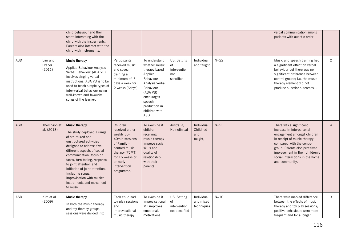|            |                             | child behaviour and then<br>starts interacting with the<br>child with the instruments.<br>Parents also interact with the<br>child with instruments.                                                                                                                                                                                                                             |                                                                                                                                                                            |                                                                                                                                                                                             |                                                        |                                            |        | verbal communication among<br>patients with autistic order                                                                                                                                                                                                               |                |
|------------|-----------------------------|---------------------------------------------------------------------------------------------------------------------------------------------------------------------------------------------------------------------------------------------------------------------------------------------------------------------------------------------------------------------------------|----------------------------------------------------------------------------------------------------------------------------------------------------------------------------|---------------------------------------------------------------------------------------------------------------------------------------------------------------------------------------------|--------------------------------------------------------|--------------------------------------------|--------|--------------------------------------------------------------------------------------------------------------------------------------------------------------------------------------------------------------------------------------------------------------------------|----------------|
| ASD        | Lim and<br>Draper<br>(2011) | <b>Music therapy</b><br>Applied Behaviour Analysis<br>Verbal Behaviour (ABA VB)<br>involves singing verbal<br>instructions. ABA VB is to be<br>used to teach simple types of<br>inter-verbal behaviour using<br>well-known and favourite<br>songs of the learner.                                                                                                               | Participants<br>received music<br>and speech<br>training a<br>minimum of 3<br>days a week for<br>2 weeks (6days).                                                          | To understand<br>whether music<br>therapy based<br>Applied<br>Behaviour<br>Analysis Verbal<br>Behaviour<br>(ABA VB)<br>encourages<br>speech<br>production in<br>children with<br><b>ASD</b> | US, Setting<br>of<br>intervention<br>not<br>specified. | Individual<br>and taught                   | $N=22$ | Music and speech training had<br>a significant effect on verbal<br>behaviour but there was no<br>significant difference between<br>control groups; i.e. the music<br>therapy element did not<br>produce superior outcomes                                                | 2              |
| <b>ASD</b> | Thompson et<br>al. (2013)   | <b>Music therapy</b><br>The study deployed a range<br>of structured and<br>unstructured activities<br>designed to address five<br>different aspects of social<br>communication: focus on<br>faces, turn taking, response<br>to joint attention and<br>initiation of joint attention.<br>Including songs,<br>improvisation with musical<br>instruments and movement<br>to music. | Children<br>received either<br>weekly 30-<br>40min sessions<br>of Family -<br>centred music<br>therapy (FCMT)<br>for 16 weeks or<br>an early<br>intervention<br>programme. | To examine if<br>children<br>receiving<br>music therapy<br>improve social<br>skills and<br>quality of<br>relationship<br>with their<br>parents.                                             | Australia,<br>Non-clinical                             | Individual,<br>Child led<br>and<br>taught, | $N=23$ | There was a significant<br>increase in interpersonal<br>engagement amongst children<br>in receipt of music therapy<br>compared with the control<br>group. Parents also perceived<br>improvement in their children's<br>social interactions in the home<br>and community. | $\overline{4}$ |
| ASD        | Kim et al.<br>(2009)        | <b>Music therapy</b><br>In both the music therapy<br>and toy therapy groups<br>sessions were divided into                                                                                                                                                                                                                                                                       | Each child had<br>toy play sessions<br>and<br>improvisational<br>music therapy                                                                                             | To examine if<br>improvisational<br>MT improves<br>emotional,<br>motivational                                                                                                               | US, Setting<br>οf<br>intervention<br>not specified     | Individual<br>and mixed<br>techniques      | $N=10$ | There were marked difference<br>between the effects of music<br>therapy and toy play sessions;<br>positive behaviours were more<br>frequent and for a longer                                                                                                             | $\mathbf{3}$   |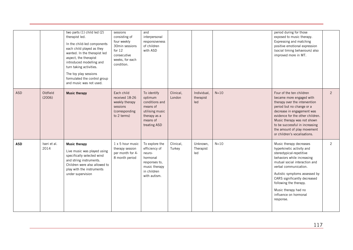|            |                      | two parts (1) child led (2)<br>therapist led.<br>In the child-led components<br>each child played as they<br>wanted. In the therapist led<br>aspect, the therapist<br>introduced modelling and<br>turn taking activities.<br>The toy play sessions<br>formulated the control group<br>and music was not used. | sessions<br>consisting of<br>four weekly<br>30min sessions<br>for $12$<br>consecutive<br>weeks, for each<br>condition. | and<br>interpersonal<br>responsiveness<br>of children<br>with ASD                                                      |                     |                                 |        | period during for those<br>exposed to music therapy.<br>Expressing and matching<br>positive emotional expression<br>(social timing behaviours) also<br>improved more in MT.                                                                                                                                                       |                |
|------------|----------------------|---------------------------------------------------------------------------------------------------------------------------------------------------------------------------------------------------------------------------------------------------------------------------------------------------------------|------------------------------------------------------------------------------------------------------------------------|------------------------------------------------------------------------------------------------------------------------|---------------------|---------------------------------|--------|-----------------------------------------------------------------------------------------------------------------------------------------------------------------------------------------------------------------------------------------------------------------------------------------------------------------------------------|----------------|
| <b>ASD</b> | Oldfield<br>(2006)   | <b>Music therapy</b>                                                                                                                                                                                                                                                                                          | Each child<br>received 18-26<br>weekly therapy<br>sessions<br>(corresponding<br>to 2 terms)                            | To identify<br>optimum<br>conditions and<br>means of<br>utilising music<br>therapy as a<br>means of<br>treating ASD    | Clinical,<br>London | Individual,<br>therapist<br>led | $N=10$ | Four of the ten children<br>became more engaged with<br>therapy over the intervention<br>period but no change or a<br>decrease in engagement was<br>evidence for the other children.<br>Music therapy was not shown<br>to be successful in increasing<br>the amount of play movement<br>or children's vocalisations.              | $\overline{2}$ |
| <b>ASD</b> | Iseri et al.<br>2014 | <b>Music therapy</b><br>Live music was played using<br>specifically selected wind<br>and string instruments.<br>Children were also allowed to<br>play with the instruments<br>under supervision                                                                                                               | 1 x 5 hour music<br>therapy session<br>per month for 4-<br>8 month period                                              | To explore the<br>efficiency of<br>neuro-<br>hormonal<br>responses to,<br>music therapy<br>in children<br>with autism. | Clinical,<br>Turkey | Unknown,<br>Therapist<br>led    | $N=10$ | Music therapy decreases<br>hyperkinetic activity and<br>stereotypical-repetitive<br>behaviors while increasing<br>mutual social interaction and<br>verbal communication.<br>Autistic symptoms assessed by<br>CARS significantly decreased<br>following the therapy.<br>Music therapy had no<br>influence on hormonal<br>response. | $\overline{2}$ |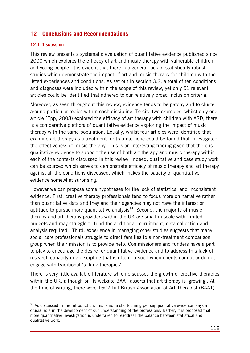# **12 Conclusions and Recommendations**

#### **12.1 Discussion**

This review presents a systematic evaluation of quantitative evidence published since 2000 which explores the efficacy of art and music therapy with vulnerable children and young people. It is evident that there is a general lack of statistically robust studies which demonstrate the impact of art and music therapy for children with the listed experiences and conditions. As set out in section 3.2, a total of ten conditions and diagnoses were included within the scope of this review, yet only 51 relevant articles could be identified that adhered to our relatively broad inclusion criteria.

Moreover, as seen throughout this review, evidence tends to be patchy and to cluster around particular topics within each discipline. To cite two examples: whilst only one article (Epp, 2008) explored the efficacy of art therapy with children with ASD, there is a comparative plethora of quantitative evidence exploring the impact of music therapy with the same population. Equally, whilst four articles were identified that examine art therapy as a treatment for trauma, none could be found that investigated the effectiveness of music therapy. This is an interesting finding given that there is qualitative evidence to support the use of both art therapy and music therapy within each of the contexts discussed in this review. Indeed, qualitative and case study work can be sourced which serves to demonstrate efficacy of music therapy and art therapy against all the conditions discussed, which makes the paucity of quantitative evidence somewhat surprising.

However we can propose some hypotheses for the lack of statistical and inconsistent evidence. First, creative therapy professionals tend to focus more on narrative rather than quantitative data and they and their agencies may not have the interest or aptitude to pursue more quantitative analysis<sup>[34](#page-117-0)</sup>. Second, the majority of music therapy and art therapy providers within the UK are small in scale with limited budgets and may struggle to fund the additional recruitment, data collection and analysis required. Third, experience in managing other studies suggests that many social care professionals struggle to direct families to a non-treatment comparison group when their mission is to provide help. Commissioners and funders have a part to play to encourage the desire for quantitative evidence and to address this lack of research capacity in a discipline that is often pursued when clients cannot or do not engage with traditional 'talking therapies'.

There is very little available literature which discusses the growth of creative therapies within the UK; although on its website BAAT asserts that art therapy is 'growing'. At the time of writing, there were 1607 full British Association of Art Therapist (BAAT)

<span id="page-117-0"></span><sup>-</sup> $34$  As discussed in the Introduction, this is not a shortcoming per se; qualitative evidence plays a crucial role in the development of our understanding of the professions. Rather, it is proposed that more quantitative investigation is undertaken to readdress the balance between statistical and qualitative work.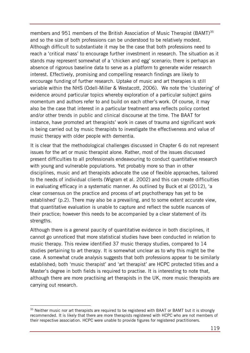members and 951 members of the British Association of Music Therapist (BAMT)<sup>[35](#page-118-0)</sup> and so the size of both professions can be understood to be relatively modest. Although difficult to substantiate it may be the case that both professions need to reach a 'critical mass' to encourage further investment in research. The situation as it stands may represent somewhat of a 'chicken and egg' scenario; there is perhaps an absence of rigorous baseline data to serve as a platform to generate wider research interest. Effectively, promising and compelling research findings are likely to encourage funding of further research. Uptake of music and art therapies is still variable within the NHS (Odell-Miller & Westacott, 2006). We note the 'clustering' of evidence around particular topics whereby exploration of a particular subject gains momentum and authors refer to and build on each other's work. Of course, it may also be the case that interest in a particular treatment area reflects policy context and/or other trends in public and clinical discourse at the time. The BAAT for instance, have promoted art therapists' work in cases of trauma and significant work is being carried out by music therapists to investigate the effectiveness and value of music therapy with older people with dementia.

It is clear that the methodological challenges discussed in Chapter 6 do not represent issues for the art or music therapist alone. Rather, most of the issues discussed present difficulties to all professionals endeavouring to conduct quantitative research with young and vulnerable populations. Yet probably more so than in other disciplines, music and art therapists advocate the use of flexible approaches, tailored to the needs of individual clients (Wigram et al. 2002) and this can create difficulties in evaluating efficacy in a systematic manner. As outlined by Buck et al (2012), 'a clear consensus on the practice and process of art psychotherapy has yet to be established' (p.2). There may also be a prevailing, and to some extent accurate view, that quantitative evaluation is unable to capture and reflect the subtle nuances of their practice; however this needs to be accompanied by a clear statement of its strengths.

Although there is a general paucity of quantitative evidence in both disciplines, it cannot go unnoticed that more statistical studies have been conducted in relation to music therapy. This review identified 37 music therapy studies, compared to 14 studies pertaining to art therapy. It is somewhat unclear as to why this might be the case. A somewhat crude analysis suggests that both professions appear to be similarly established; both 'music therapist' and 'art therapist' are HCPC protected titles and a Master's degree in both fields is required to practise. It is interesting to note that, although there are more practising art therapists in the UK, more music therapists are carrying out research.

-

<span id="page-118-0"></span><sup>&</sup>lt;sup>35</sup> Neither music nor art therapists are required to be registered with BAAT or BAMT but it is strongly recommended. It is likely that there are more therapists registered with HCPC who are not members of their respective association. HCPC were unable to provide figures for registered practitioners.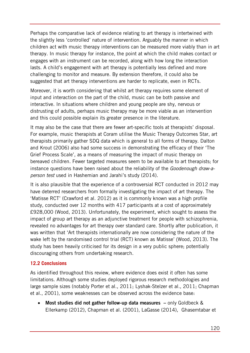Perhaps the comparative lack of evidence relating to art therapy is intertwined with the slightly less 'controlled' nature of intervention. Arguably the manner in which children act with music therapy interventions can be measured more viably than in art therapy. In music therapy for instance, the point at which the child makes contact or engages with an instrument can be recorded, along with how long the interaction lasts. A child's engagement with art therapy is potentially less defined and more challenging to monitor and measure. By extension therefore, it could also be suggested that art therapy interventions are harder to replicate, even in RCTs.

Moreover, it is worth considering that whilst art therapy requires some element of input and interaction on the part of the child, music can be both passive and interactive. In situations where children and young people are shy, nervous or distrusting of adults, perhaps music therapy may be more viable as an intervention and this could possible explain its greater presence in the literature.

It may also be the case that there are fewer art-specific tools at therapists' disposal. For example, music therapists at Coram utilise the Music Therapy Outcomes Star, art therapists primarily gather SDQ data which is general to all forms of therapy. Dalton and Krout (2006) also had some success in demonstrating the efficacy of their 'The Grief Process Scale', as a means of measuring the impact of music therapy on bereaved children. Fewer targeted measures seem to be available to art therapists; for instance questions have been raised about the reliability of the *Goodenough draw-aperson test* used in Hashemian and Jarahi's study (2014).

It is also plausible that the experience of a controversial RCT conducted in 2012 may have deterred researchers from formally investigating the impact of art therapy. The 'Matisse RCT' (Crawford et al. 2012) as it is commonly known was a high profile study, conducted over 12 months with 417 participants at a cost of approximately £928,000 (Wood, 2013). Unfortunately, the experiment, which sought to assess the impact of group art therapy as an adjunctive treatment for people with schizophrenia, revealed no advantages for art therapy over standard care. Shortly after publication, it was written that 'Art therapists internationally are now considering the nature of the wake left by the randomised control trial (RCT) known as Matisse' (Wood, 2013). The study has been heavily criticised for its design in a very public sphere; potentially discouraging others from undertaking research.

## **12.2 Conclusions**

As identified throughout this review, where evidence does exist it often has some limitations. Although some studies deployed rigorous research methodologies and large sample sizes (notably Porter et al., 2011; Lyshak-Stelzer et al., 2011; Chapman et al., 2001), some weaknesses can be observed across the evidence base:

• **Most studies did not gather follow-up data measures –** only Goldbeck & Ellerkamp (2012), Chapman et al. (2001), LaGasse (2014), Ghasemtabar et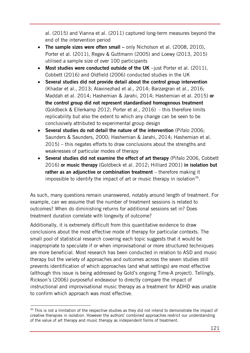al. (2015) and Vianna et al. (2011) captured long-term measures beyond the end of the intervention period

- **The sample sizes were often small** only Nicholson et al. (2008, 2010), Porter et al. (2011), Regev & Guttmann (2005) and Loewy (2013, 2015) utilised a sample size of over 100 participants
- **Most studies were conducted outside of the UK** –just Porter et al. (2011), Cobbett (2016) and Oldfield (2006) conducted studies in the UK
- **Several studies did not provide detail about the control group intervention** (Khadar et al., 2013; Alavinezhad et al., 2014; Barzargran et al., 2016; Maddah et al. 2014; Hashemian & Jarahi, 2014; Hashemian et al. 2015) **or the control group did not represent standardised homogenous treatment**  (Goldbeck & Ellerkamp 2012; Porter et al., 2016) - this therefore limits replicability but also the extent to which any change can be seen to be conclusively attributed to experimental group design
- **Several studies do not detail the nature of the intervention** (Pifalo 2006; Saunders & Saunders, 2000; Hashemian & Jarahi, 2014; Hashemian et al. 2015) – this negates efforts to draw conclusions about the strengths and weaknesses of particular modes of therapy
- **Several studies did not examine the effect of art therapy** (Pifalo 2006, Cobbett 2016) **or music therapy** (Goldbeck et al. 2012; Hilliard 2001) **in isolation but rather as an adjunctive or combination treatment** – therefore making it impossible to identify the impact of art or music therapy in isolation<sup>[36](#page-120-0)</sup>.

As such, many questions remain unanswered, notably around length of treatment. For example, can we assume that the number of treatment sessions is related to outcomes? When do diminishing returns for additional sessions set in? Does treatment duration correlate with longevity of outcome?

Additionally, it is extremely difficult from this quantitative evidence to draw conclusions about the most effective mode of therapy for particular contexts. The small pool of statistical research covering each topic suggests that it would be inappropriate to speculate if or when improvisational or more structured techniques are more beneficial. Most research has been conducted in relation to ASD and music therapy but the variety of approaches and outcomes across the seven studies still prevents identification of which approaches (and what settings) are most effective (although this issue is being addressed by Gold's ongoing Time-A project). Tellingly, Rickson's (2006) purposeful endeavour to directly compare the impact of instructional and improvisational music therapy as a treatment for ADHD was unable to confirm which approach was most effective.

<span id="page-120-0"></span><sup>-</sup><sup>36</sup> This is not a limitation of the respective studies as they did not intend to demonstrate the impact of creative therapies in isolation. However the authors' combined approaches restrict our understanding of the value of art therapy and music therapy as independent forms of treatment.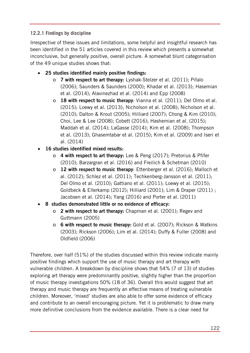## **12.2.1 Findings by discipline**

Irrespective of these issues and limitations, some helpful and insightful research has been identified in the 51 articles covered in this review which presents a somewhat inconclusive, but generally positive, overall picture. A somewhat blunt categorisation of the 49 unique studies shows that:

- **25 studies identified mainly positive findings:**
	- o **7 with respect to art therapy:** Lyshak-Stelzer et al. (2011); Pifalo (2006); Saunders & Saunders (2000); Khadar et al. (2013); Hasemian et al. (2014); Alavinezhad et al. (2014) and Epp (2008)
	- o **18 with respect to music therapy**: Vianna et al. (2011); Del Olmo et al. (2015); Loewy et al. (2013); Nicholson et al. (2008); Nicholson et al. (2010); Dalton & Krout (2005); Hilliard (2007); Chong & Kim (2010); Choi, Lee & Lee (2008); Cobett (2016); Hashemian et al. (2015); Maddah et al. (2014); LaGasse (2014); Kim et al. (2008); Thompson et al. (2013); Ghasemtabar et al. (2015); Kim et al. (2009) and Iseri et al. (2014)
- **16 studies identified mixed results:**
	- o **4 with respect to art therapy:** Lee & Peng (2017); Pretorius & Pfifer (2010); Barzargran et al. (2016) and Freilich & Schetman (2010)
	- o **12 with respect to music therapy**: Ettenberger et al. (2016); Malloch et al. (2012); Schlez et al. (2011); Techkenberg-Jansson et al. (2011); Del Olmo et al. (2010); Gattiano et al. (2011); Loewy et al. (2015); Goldbeck & Ellerkamp (2012); Hilliard (2001); Lim & Draper (2011) ; Jacobsen et al. (2014); Yang (2016) and Porter et al. (2011)
- **8 studies demonstrated little or no evidence of efficacy:** 
	- o **2 with respect to art therapy:** Chapman et al. (2001); Regev and Guttmann (2005)
	- o **6 with respect to music therapy:** Gold et al. (2007); Rickson & Watkins (2003); Rickson (2006); Lim et al. (2014); Duffy & Fuller (2008) and Oldfield (2006)

Therefore, over half (51%) of the studies discussed within this review indicate mainly positive findings which support the use of music therapy and art therapy with vulnerable children. A breakdown by discipline shows that 54% (7 of 13) of studies exploring art therapy were predominantly positive, slightly higher than the proportion of music therapy investigations 50% (18 of 36). Overall this would suggest that art therapy and music therapy are frequently an effective means of treating vulnerable children. Moreover, 'mixed' studies are also able to offer some evidence of efficacy and contribute to an overall encouraging picture. Yet it is problematic to draw many more definitive conclusions from the evidence available. There is a clear need for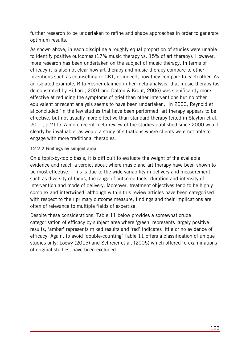further research to be undertaken to refine and shape approaches in order to generate optimum results.

As shown above, in each discipline a roughly equal proportion of studies were unable to identify positive outcomes (17% music therapy vs. 15% of art therapy). However, more research has been undertaken on the subject of music therapy. In terms of efficacy it is also not clear how art therapy and music therapy compare to other inventions such as counselling or CBT, or indeed, how they compare to each other. As an isolated example, Rita Rosner claimed in her meta-analysis, that music therapy (as demonstrated by Hilliard, 2001 and Dalton & Krout, 2006) was significantly more effective at reducing the symptoms of grief than other interventions but no other equivalent or recent analysis seems to have been undertaken. In 2000, Reynold et al.concluded 'in the few studies that have been performed, art therapy appears to be effective, but not usually more effective than standard therapy (cited in Slayton et al. 2011, p.211). A more recent meta-review of the studies published since 2000 would clearly be invaluable, as would a study of situations where clients were not able to engage with more traditional therapies.

#### **12.2.2 Findings by subject area**

On a topic-by-topic basis, it is difficult to evaluate the weight of the available evidence and reach a verdict about where music and art therapy have been shown to be most effective. This is due to the wide variability in delivery and measurement such as diversity of focus, the range of outcome tools, duration and intensity of intervention and mode of delivery. Moreover, treatment objectives tend to be highly complex and intertwined; although within this review articles have been categorised with respect to their primary outcome measure, findings and their implications are often of relevance to multiple fields of expertise.

Despite these considerations, Table 11 below provides a somewhat crude categorisation of efficacy by subject area where 'green' represents largely positive results, 'amber' represents mixed results and 'red' indicates little or no evidence of efficacy. Again, to avoid 'double-counting' Table 11 offers a classification of unique studies only; Loewy (2015) and Schreier et al. (2005) which offered re-examinations of original studies, have been excluded.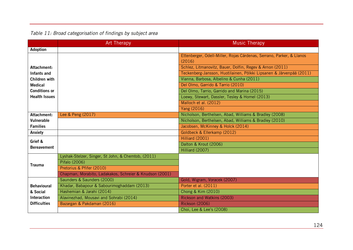|                      | <b>Art Therapy</b>                                      | <b>Music Therapy</b>                                                 |
|----------------------|---------------------------------------------------------|----------------------------------------------------------------------|
| Adoption             |                                                         |                                                                      |
|                      |                                                         | Ettenberger, Odell-Miller, Rojas Cárdenas, Serrano, Parker, & Llanos |
|                      |                                                         | (2016)                                                               |
| Attachment:          |                                                         | Schlez, Litmanovitz, Bauer, Dolfin, Regev & Arnon (2011)             |
| Infants and          |                                                         | Teckenberg-Jansson, Huotilainen, Pölkki Lipsanen & Järvenpää (2011)  |
| Children with        |                                                         | Vianna, Barbosa, Albelino & Cunha (2011)                             |
| <b>Medical</b>       |                                                         | Del Olmo, Garrido & Tarrio (2010)                                    |
| <b>Conditions or</b> |                                                         | Del Olmo, Tarrio, Garrido and Marina (2015)                          |
| <b>Health Issues</b> |                                                         | Loewy, Stewart, Dassler, Tesley & Homel (2013)                       |
|                      |                                                         | Malloch et al. (2012)                                                |
|                      |                                                         | Yang (2016)                                                          |
| Attachment:          | Lee & Peng (2017)                                       | Nicholson, Berthelsen, Abad, Williams & Bradley (2008)               |
| <b>Vulnerable</b>    |                                                         | Nicholson, Berthelsen, Abad, Williams & Bradley (2010)               |
| <b>Families</b>      |                                                         | Jacobsen, McKinney & Holck (2014)                                    |
| Anxiety              |                                                         | Goldbeck & Ellerkamp (2012)                                          |
| Grief &              |                                                         | Hilliard (2001)                                                      |
| <b>Bereavement</b>   |                                                         | Dalton & Krout (2006)                                                |
|                      |                                                         | Hilliard (2007)                                                      |
|                      | Lyshak-Stelzer, Singer, St John, & Chemtob, (2011)      |                                                                      |
| <b>Trauma</b>        | Pifalo (2006)                                           |                                                                      |
|                      | Pretorius & Pfifer (2010)                               |                                                                      |
|                      | Chapman, Morabito, Ladakakos, Schreier & Knudson (2001) |                                                                      |
|                      | Saunders & Saunders (2000)                              | Gold, Wigram, Voracek (2007)                                         |
| <b>Behavioural</b>   | Khadar, Babapour & Sabourimoghaddam (2013)              | Porter et al. (2011)                                                 |
| & Social             | Hashemian & Jarahi (2014)                               | Chong & Kim (2010)                                                   |
| <b>Interaction</b>   | Alavinezhad, Mousavi and Sohrabi (2014)                 | Rickson and Watkins (2003)                                           |
| <b>Difficulties</b>  | Bazargan & Pakdaman (2016)                              | <b>Rickson (2006)</b>                                                |
|                      |                                                         | Choi, Lee & Lee's (2008)                                             |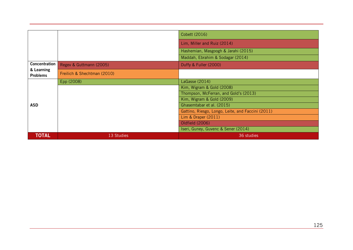|                               |                             | Cobett (2016)                                     |  |
|-------------------------------|-----------------------------|---------------------------------------------------|--|
|                               |                             | Lim, Miller and Ruiz (2014)                       |  |
|                               |                             | Hashemian, Masgoogh & Jarahi (2015)               |  |
|                               |                             | Maddah, Ebrahim & Sodagar (2014)                  |  |
| Concentration                 | Regev & Guttmann (2005)     | Duffy & Fuller (2000)                             |  |
| & Learning<br><b>Problems</b> | Freilich & Shechtman (2010) |                                                   |  |
|                               | Epp (2008)                  | LaGasse (2014)                                    |  |
|                               |                             | Kim, Wigram & Gold (2008)                         |  |
|                               |                             | Thompson, McFerran, and Gold's (2013)             |  |
|                               |                             | Kim, Wigram & Gold (2009)                         |  |
| <b>ASD</b>                    |                             | Ghasemtabar et al. (2015)                         |  |
|                               |                             | Gattino, Riesgo, Longo, Leite, and Faccini (2011) |  |
|                               |                             | Lim & Draper $(2011)$                             |  |
|                               |                             | Oldfield (2006)                                   |  |
|                               |                             | Iseri, Guney, Guvenc & Sener (2014)               |  |
| <b>TOTAL</b>                  | 13 Studies                  | 36 studies                                        |  |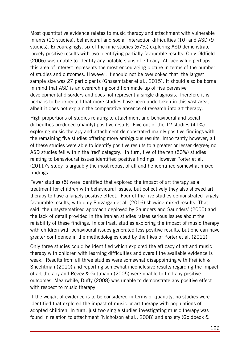Most quantitative evidence relates to music therapy and attachment with vulnerable infants (10 studies), behavioural and social interaction difficulties (10) and ASD (9 studies). Encouragingly, six of the nine studies (67%) exploring ASD demonstrate largely positive results with two identifying partially favourable results. Only Oldfield (2006) was unable to identify any notable signs of efficacy. At face value perhaps this area of interest represents the most encouraging picture in terms of the number of studies and outcomes. However, it should not be overlooked that the largest sample size was 27 participants (Ghasemtabar et al., 2015). It should also be borne in mind that ASD is an overarching condition made up of five pervasive developmental disorders and does not represent a single diagnosis. Therefore it is perhaps to be expected that more studies have been undertaken in this vast area, albeit it does not explain the comparative absence of research into art therapy.

High proportions of studies relating to attachment and behavioural and social difficulties produced (mainly) positive results. Five out of the 12 studies (41%) exploring music therapy and attachment demonstrated mainly positive findings with the remaining five studies offering more ambiguous results. Importantly however, all of these studies were able to identify positive results to a greater or lesser degree; no ASD studies fell within the 'red' category. In turn, five of the ten (50%) studies relating to behavioural issues identified positive findings. However Porter et al. (2011)'s study is arguably the most robust of all and he identified somewhat mixed findings.

Fewer studies (5) were identified that explored the impact of art therapy as a treatment for children with behavioural issues, but collectively they also showed art therapy to have a largely positive effect. Four of the five studies demonstrated largely favourable results, with only Barzargan et al. (2016) showing mixed results. That said, the unsystematised approach deployed by Saunders and Saunders' (2000) and the lack of detail provided in the Iranian studies raises serious issues about the reliability of these findings. In contrast, studies exploring the impact of music therapy with children with behavioural issues generated less positive results, but one can have greater confidence in the methodologies used by the likes of Porter et al. (2011).

Only three studies could be identified which explored the efficacy of art and music therapy with children with learning difficulties and overall the available evidence is weak. Results from all three studies were somewhat disappointing with Freilich & Shechtman (2010) and reporting somewhat inconclusive results regarding the impact of art therapy and Regev & Guttmann (2005) were unable to find any positive outcomes. Meanwhile, Duffy (2008) was unable to demonstrate any positive effect with respect to music therapy.

If the weight of evidence is to be considered in terms of quantity, no studies were identified that explored the impact of music or art therapy with populations of adopted children. In turn, just two single studies investigating music therapy was found in relation to attachment (Nicholson et al., 2008) and anxiety (Goldbeck &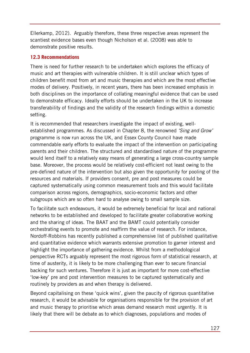Ellerkamp, 2012). Arguably therefore, these three respective areas represent the scantiest evidence bases even though Nicholson et al. (2008) was able to demonstrate positive results.

### **12.3 Recommendations**

There is need for further research to be undertaken which explores the efficacy of music and art therapies with vulnerable children. It is still unclear which types of children benefit most from art and music therapies and which are the most effective modes of delivery. Positively, in recent years, there has been increased emphasis in both disciplines on the importance of collating meaningful evidence that can be used to demonstrate efficacy. Ideally efforts should be undertaken in the UK to increase transferability of findings and the validity of the research findings within a domestic setting.

It is recommended that researchers investigate the impact of existing, wellestablished programmes. As discussed in Chapter 8, the renowned *'Sing and Grow'* programme is now run across the UK, and Essex County Council have made commendable early efforts to evaluate the impact of the intervention on participating parents and their children. The structured and standardised nature of the programme would lend itself to a relatively easy means of generating a large cross-country sample base. Moreover, the process would be relatively cost-efficient not least owing to the pre-defined nature of the intervention but also given the opportunity for pooling of the resources and materials. If providers consent, pre and post measures could be captured systematically using common measurement tools and this would facilitate comparison across regions, demographics, socio-economic factors and other subgroups which are so often hard to analyse owing to small sample size.

To facilitate such endeavours, it would be extremely beneficial for local and national networks to be established and developed to facilitate greater collaborative working and the sharing of ideas. The BAAT and the BAMT could potentially consider orchestrating events to promote and reaffirm the value of research. For instance, Nordoff-Robbins has recently published a comprehensive list of published qualitative and quantitative evidence which warrants extensive promotion to garner interest and highlight the importance of gathering evidence. Whilst from a methodological perspective RCTs arguably represent the most rigorous form of statistical research, at time of austerity, it is likely to be more challenging than ever to secure financial backing for such ventures. Therefore it is just as important for more cost-effective 'low-key' pre and post intervention measures to be captured systematically and routinely by providers as and when therapy is delivered.

Beyond capitalising on these 'quick wins', given the paucity of rigorous quantitative research, it would be advisable for organisations responsible for the provision of art and music therapy to prioritise which areas demand research most urgently. It is likely that there will be debate as to which diagnoses, populations and modes of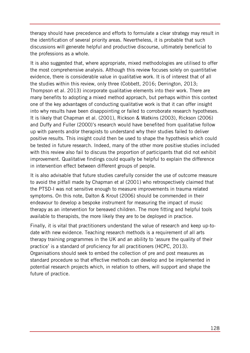therapy should have precedence and efforts to formulate a clear strategy may result in the identification of several priority areas. Nevertheless, it is probable that such discussions will generate helpful and productive discourse, ultimately beneficial to the professions as a whole.

It is also suggested that, where appropriate, mixed methodologies are utilised to offer the most comprehensive analysis. Although this review focuses solely on quantitative evidence, there is considerable value in qualitative work. It is of interest that of all the studies within this review, only three (Cobbett, 2016; Derrington, 2013; Thompson et al. 2013) incorporate qualitative elements into their work. There are many benefits to adopting a mixed method approach, but perhaps within this context one of the key advantages of conducting qualitative work is that it can offer insight into why results have been disappointing or failed to corroborate research hypotheses. It is likely that Chapman et al. (2001), Rickson & Watkins (2003), Rickson (2006) and Duffy and Fuller (2000)'s research would have benefited from qualitative follow up with parents and/or therapists to understand why their studies failed to deliver positive results. This insight could then be used to shape the hypothesis which could be tested in future research. Indeed, many of the other more positive studies included with this review also fail to discuss the proportion of participants that did not exhibit improvement. Qualitative findings could equally be helpful to explain the difference in intervention effect between different groups of people.

It is also advisable that future studies carefully consider the use of outcome measure to avoid the pitfall made by Chapman et al (2001) who retrospectively claimed that the PTSD-I was not sensitive enough to measure improvements in trauma related symptoms. On this note, Dalton & Krout (2006) should be commended in their endeavour to develop a bespoke instrument for measuring the impact of music therapy as an intervention for bereaved children. The more fitting and helpful tools available to therapists, the more likely they are to be deployed in practice.

Finally, it is vital that practitioners understand the value of research and keep up-todate with new evidence. Teaching research methods is a requirement of all arts therapy training programmes in the UK and an ability to 'assure the quality of their practice' is a standard of proficiency for all practitioners (HCPC, 2013). Organisations should seek to embed the collection of pre and post measures as standard procedure so that effective methods can develop and be implemented in potential research projects which, in relation to others, will support and shape the future of practice.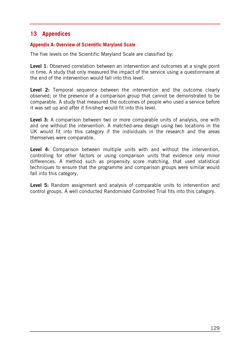# **13 Appendices**

#### **Appendix A: Overview of Scientific Maryland Scale**

The five levels on the Scientific Maryland Scale are classified by:

**Level 1**: Observed correlation between an intervention and outcomes at a single point in time. A study that only measured the impact of the service using a questionnaire at the end of the intervention would fall into this level.

**Level 2:** Temporal sequence between the intervention and the outcome clearly observed; or the presence of a comparison group that cannot be demonstrated to be comparable. A study that measured the outcomes of people who used a service before it was set up and after it finished would fit into this level.

**Level 3:** A comparison between two or more comparable units of analysis, one with and one without the intervention. A matched-area design using two locations in the UK would fit into this category if the individuals in the research and the areas themselves were comparable.

**Level 4:** Comparison between multiple units with and without the intervention, controlling for other factors or using comparison units that evidence only minor differences. A method such as propensity score matching, that used statistical techniques to ensure that the programme and comparison groups were similar would fall into this category.

**Level 5:** Random assignment and analysis of comparable units to intervention and control groups. A well conducted Randomised Controlled Trial fits into this category.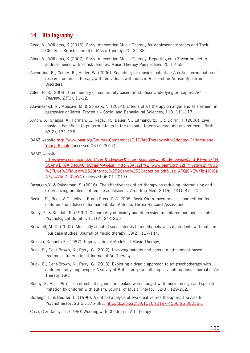# **14 Bibliography**

- Abad, V., Williams, K (2016). Early Intervention Music Therapy for Adolescent Mothers and Their Children. British Journal of Music Therapy, 20, 31-38
- Abad, V., Williams, K (2007). Early Intervention Music Therapy: Reporting on a 3 year project to address needs with at-risk families. Music Therapy Perspectives 25. 52-58
- Accordino, R., Comer, R., Heller, W. (2006). Searching for music's potential: A critical examination of research on music therapy with individuals with autism. Research in Autism Spectrum **Disorders**
- Allen, P. B. (2008). Commentary on community-based art studios: Underlying principles. *Art Therapy*, *25*(1), 11-12.
- Alavinezhad, R., Mousavi, M. & Sohrabi, N. (2014). Effects of art therapy on anger and self-esteem in aggressive children. Procedia – Social and Behavioural Sciences, 113, 111-117
- Arnon, S., Shapsa, A., Forman, L., Regev, R., Bauer, S., Litmanovitz, I., & Dolfin, T. (2006). Live music is beneficial to preterm infants in the neonatal intensive care unit environment. Birth, 33(2), 131-136.
- BAAT website [http://www.baat.org/Courses-Conferences/119/Art-Therapy-with-Adopted-Children-and-](http://www.baat.org/Courses-Conferences/119/Art-Therapy-with-Adopted-Children-and-Young-People)[Young-People](http://www.baat.org/Courses-Conferences/119/Art-Therapy-with-Adopted-Children-and-Young-People) (accessed 06.01.2017)
- BAMT website

[http://www.google.co.uk/url?sa=t&rct=j&q=&esrc=s&source=web&cd=1&ved=0ahUKEwiijJz4l4](http://www.google.co.uk/url?sa=t&rct=j&q=&esrc=s&source=web&cd=1&ved=0ahUKEwiijJz4l43SAhWEK8AKHc8XCTsQFggiMAA&url=http%3A%2F%2Fwww.bamt.org%2FPrivate%2F4965%2FLive%2FMusic%2520therapy%2520and%2520adoption.pdf&usg=AFQjCNEWYib-H0JCj-A7ypwVbif7nIGcWA) [3SAhWEK8AKHc8XCTsQFggiMAA&url=http%3A%2F%2Fwww.bamt.org%2FPrivate%2F4965](http://www.google.co.uk/url?sa=t&rct=j&q=&esrc=s&source=web&cd=1&ved=0ahUKEwiijJz4l43SAhWEK8AKHc8XCTsQFggiMAA&url=http%3A%2F%2Fwww.bamt.org%2FPrivate%2F4965%2FLive%2FMusic%2520therapy%2520and%2520adoption.pdf&usg=AFQjCNEWYib-H0JCj-A7ypwVbif7nIGcWA) %2FLive%2FMusic%2520therapy%2520and%2520adoption.pdf&usg=AFQjCNEWYib-HOJCj-[A7ypwVbif7nIGcWA](http://www.google.co.uk/url?sa=t&rct=j&q=&esrc=s&source=web&cd=1&ved=0ahUKEwiijJz4l43SAhWEK8AKHc8XCTsQFggiMAA&url=http%3A%2F%2Fwww.bamt.org%2FPrivate%2F4965%2FLive%2FMusic%2520therapy%2520and%2520adoption.pdf&usg=AFQjCNEWYib-H0JCj-A7ypwVbif7nIGcWA) (accessed 06.01.2017)

- Bazargan,Y. & Pakdaman, S. (2016). The effectiveness of art therapy on reducing internalizing and externalizing problems of female adolescents. Arch Iran Med.  $2016: 19(1): 37 - 42$ .
- Beck, J.S., Beck, A.T., Jolly, J.B and Steer, R.A. 2005. Beck Youth Inventories second edition for children and adolescents: manual. San Antonio, Texas: Harcourt Assessment
- Brady, E. & Kendall, P. (1992). Comorbidity of anxiety and depression in children and adolescents. Psychological Bulletin, 111(2), 244-255
- Brownell, M. D. (2002). Musically adapted social stories to modify behaviors in students with autism: Four case studies. Journal of music therapy, 39(2), 117-144.
- Bruscia, Kenneth E, (1987), Improvisational Models of Music Therapy,
- Buck, E., Dent-Brown, K., Parry, G. (2012). Involving parents and carers in attachment-based treatment. International Journal of Art Therapy.
- Buck, E., Dent-Brown, K., Parry, G. (2013). Exploring a dyadic approach to art psychotherapy with children and young people: A survey of British art psychotherapists. International Journal of Art Therapy 18(1)
- Buday, E. M. (1995). The effects of signed and spoken words taught with music on sign and speech imitation by children with autism. Journal of Music Therapy, 32(3), 189-202.
- Burleigh, L. & Beutler, L. (1996). A critical analysis of two creative arts therapies. The Arts In Psychotherapy, 23(5), 375-381. [http://dx.doi.org/10.1016/s0197-4556\(96\)00056-1](http://dx.doi.org/10.1016/s0197-4556(96)00056-1)
- Case, C & Dalley, T., (1990) Working with Children in Art Therapy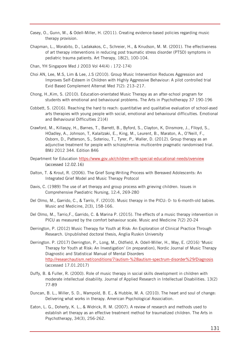- Casey, O., Gunn, M., & Odell-Miller, H. (2011). Creating evidence-based policies regarding music therapy provision.
- Chapman, L., Morabito, D., Ladakakos, C., Schreier, H., & Knudson, M. M. (2001). The effectiveness of art therapy interventions in reducing post traumatic stress disorder (PTSD) symptoms in pediatric trauma patients. Art Therapy, 18(2), 100-104.
- Chan, YH Singapore Med J 2003 Vol 44(4) : 172-174)
- Choi AN, Lee, M.S, Lim & Lee, J.S (2010). Group Music Intervention Reduces Aggression and Improves Self-Esteem in Children with Highly Aggressive Behaviour: A pilot controlled trial [Evid Based Complement Alternat Med](https://www.ncbi.nlm.nih.gov/pmc/articles/PMC2862931/) 7(2): 213–217.
- Chong, H.,Kim, S. (2010). Education-orientated Music Therapy as an after-school program for students with emotional and behavioural problems. The Arts in Psychotherapy 37 190-196
- Cobbett, S. (2016). Reaching the hard to reach: quantitative and qualitative evaluation of school-ased arts therapies with young people with social, emotional and behavioural difficulties. Emotional and Behavioural Difficulties 21(4)
- Crawford, M., Killaspy, H., Barnes, T., Barrett, B., Byford, S., Clayton, K, Dinsmore, J., Flloyd, S., HOadley, A., Johnson, T, Kalaitzaki, E., King, M., Leurent, B., Maraton, A., O'Neill, F., Osborn, D., Patterson, S., Soteriou, T., Tyrer, P,. Waller, D. (2012). Group therapy as an adjunctive treatment for people with schizophrenia: multicentre pragmatic randomised trial. BMJ 2012 344. Edition 846
- Department for Education<https://www.gov.uk/children-with-special-educational-needs/overview> (accessed 12.02.16)
- Dalton, T. & Krout, R. (2006). The Grief Song-Writing Process with Bereaved Adolescents: An Integrated Grief Model and Music Therapy Protocol
- Davis, C. (1989) The use of art therapy and group process with grieving children. Issues in Comprehensive Paediatric Nursing, 12:4, 269-280
- Del Olmo, M., Garrido, C., & Tarrío, F. (2010). Music therapy in the PICU: 0- to 6-month-old babies. Music and Medicine, 2(3), 158-166.
- Del Olmo, M., Tarrio,F., Garrido, C. & Marina P. (2015). The effects of a music therapy intervention in PICU as measured by the comfort behaviour scale. Music and Medicine 7(2) 20-24
- Derrington, P. (2012) Music Therapy for Youth at Risk: An Exploration of Clinical Practice Through Research. Unpublished doctoral thesis, Anglia Ruskin University
- Derrington. P. (2017) Derrington, P., Long, M., Oldfield, A. Odell-Miller, H., May, E. (2016) 'Music Therapy for Youth at Risk: An Investigation' (in preparation), Nordic Journal of Music Therapy Diagnostic and Statistical Manual of Mental Disorders <http://researchautism.net/conditions/7/autism-%28autism-spectrum-disorder%29/Diagnosis> (accessed 17.01.2017)
- Duffy, B. & Fuller, R. (2000). Role of music therapy in social skills development in children with moderate intellectual disability. Journal of Applied Research in Intellectual Disabilities. 13(2) 77-89
- Duncan, B. L., Miller, S. D., Wampold, B. E., & Hubble, M. A. (2010). The heart and soul of change: Delivering what works in therapy. American Psychological Association.
- Eaton, L. G., Doherty, K. L., & Widrick, R. M. (2007). A review of research and methods used to establish art therapy as an effective treatment method for traumatized children. The Arts in Psychotherapy, 34(3), 256-262.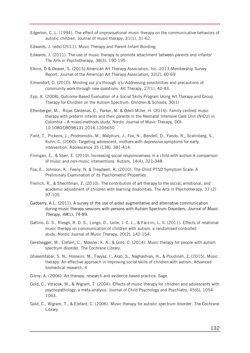- Edgerton, C. L. (1994). The effect of improvisational music therapy on the communicative behaviors of autistic children. Journal of music therapy, 31(1), 31-62.
- Edwards, J. (eds) (2011). Music Therapy and Parent-Infant Bonding.
- Edwards, J. (2011). The use of music therapy to promote attachment between parents and infants/ The Arts in Psychotherapy, 38(3), 190-195
- Elkins, D & Deaver, S. (2015) American Art Therapy Association, Inc.:2013 Membership Survey Report. Journal of the American Art Therapy Association, 32(2), 60-69
- Elmendorf, D. (2010). Minding our p's through q's: Addressing possibilities and precautions of community work through new questions. Art Therapy, 27(1), 40-43.
- Epp, K. (2008). Outcome-Based Evaluation of a Social Skills Program Using Art Therapy and Group Therapy for Children on the Autism Spectrum. Children & Schools, 30(1)
- Ettenberger, M., Rojas Cárdenas, C., Parker, M. & Odell-Miller, H. (2016): Family-centred music therapy with preterm infants and their parents in the Neonatal Intensive Care Unit (NICU) in Colombia – A mixed-methods study, Nordic Journal of Music Therapy, DOI: 10.1080/08098131.2016.1205650
- Field, T., Pickens, J., Prodromidis, M., Malphurs, J., Fox, N., Bendell, D., Yando, R., Scahnberg, S., Kuhn, C. (2000) Targeting adolescent, mothers with depressive symptoms for early intervention. Adolescence 35 (138). 381-414.
- Finnigan, E., & Starr, E. (2010). Increasing social responsiveness in a child with autism A comparison of music and non-music interventions. Autism, 14(4), 321-348.
- Foa, E., Johnson, K., Feeny, N. & Treadwell, K. (2010). The Child PTSD Symptom Scale: A Preliminary Examination of its Psychometric Properties
- Freilich, R., & Shechtman, Z. (2010). The contribution of art therapy to the social, emotional, and academic adjustment of children with learning disabilities. The Arts in Psychotherapy, 37 (2) 97-105
- Gadberry, A.L. (2011). A survey of the use of aided augmentative and alternative communication during music therapy sessions with persons with Autism Spectrum Disorders. *Journal of Music Therapy, 48*(1), 74-89.
- Gattino, G. S., Riesgo, R. D. S., Longo, D., Leite, J. C. L., & Faccini, L. S. (2011). Effects of relational music therapy on communication of children with autism: a randomised controlled study. Nordic Journal of Music Therapy, 20(2), 142-154.
- Geretsegger, M., Elefant, C., Mössler, K. A., & Gold, C. (2014). Music therapy for people with autism spectrum disorder. The Cochrane Library.
- Ghasemtabar, S. N., Hosseini, M., Fayyaz, I., Arab, S., Naghashian, H., & Poudineh, Z. (2015). Music therapy: An effective approach in improving social skills of children with autism. Advanced biomedical research, 4
- Gilroy, A. (2006). Art therapy, research and evidence-based practice. Sage.
- Gold, C., Voracek, M., & Wigram, T. (2004). Effects of music therapy for children and adolescents with psychopathology: a meta‐analysis. Journal of Child Psychology and Psychiatry, 45(6), 1054- 1063.
- Gold, C., Wigram, T., & Elefant, C. (2006). Music therapy for autistic spectrum disorder. The Cochrane Library.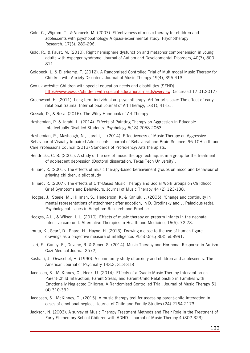- Gold, C., Wigram, T., & Voracek, M. (2007). Effectiveness of music therapy for children and adolescents with psychopathology: A quasi-experimental study. Psychotherapy Research, 17(3), 289-296.
- Gold, R., & Faust, M. (2010). Right hemisphere dysfunction and metaphor comprehension in young adults with Asperger syndrome. Journal of Autism and Developmental Disorders, 40(7), 800- 811.
- Goldbeck, L. & Ellerkamp, T. (2012). A Randomised Controlled Trial of Multimodal Music Therapy for Children with Anxiety Disorders. Journal of Music Therapy 49(4), 395-413
- Gov.uk website: Children with special education needs and disabilities (SEND) <https://www.gov.uk/children-with-special-educational-needs/overview>(accessed 17.01.2017)
- Greenwood, H. (2011). Long term individual art psychotherapy. Art for art's sake: The effect of early relational trauma. International Journal of Art Therapy, 16(1), 41-51.
- Gussak, D., & Rosal (2016). The Wiley Handbook of Art Therapy
- Hashemian, P. & Jarahi, L. (2014). Effects of Painting Therapy on Aggression in Educable Intellectually Disabled Students. Psychology 5(18) 2058-2063

Hashemian, P., Mashoogh, N., Jarahi, L. (2014). Effectiveness of Music Therapy on Aggressive Behaviour of Visually Impaired Adolescents. Journal of Behavioral and Brain Science. 96-10Health and Care Professions Council (2013) Standards of Proficiency: Arts therapists.

- Hendricks, C. B. (2001). A study of the use of music therapy techniques in a group for the treatment of adolescent depression (Doctoral dissertation, Texas Tech University).
- Hilliard, R. (2001). The effects of music therapy-based bereavement groups on mood and behaviour of grieving children: a pilot study
- Hilliard, R. (2007). The effects of Orff-Based Music Therapy and Social Work Groups on Childhood Grief Symptoms and Behaviours. Journal of Music Therapy 44 (2) 123-138.
- Hodges, J., Steele, M., Hillman, S., Henderson, K. & Kaniuk, J. (2005), 'Change and continuity in mental representations of attachment after adoption, in D. Brodinsky and J. Palacious (eds), Psychological Issues in Adoption: Research and Practice.
- Hodges, A.L., & Wilson, L.L. (2010). Effects of music therapy on preterm infants in the neonatal intensive care unit. Alternative Therapies in Health and Medicine, 16(5), 72-73.
- Imuta, K., Scarf, D., Pharo, H., Hayne, H. (2013). Drawing a close to the use of human figure drawings as a projective measure of intelligence. [PLoS One.](https://www.ncbi.nlm.nih.gov/pmc/articles/PMC3597590/); 8(3): e58991.
- Iseri, E., Guney, E., Guvenc, R. & Sener, S. (2014). Music Therapy and Hormonal Response in Autism. Gazi Medical Journal 25 (2)
- Kashani, J., Orvaschel, H. (1990). A community study of anxiety and children and adolescents. The American Journal of Psychiatry 143.3, 313-318
- Jacobsen, S., McKinney, C., Hock, U. (2014). Effects of a Dyadic Music Therapy Intervention on Parent-Child Interaction, Parent Stress, and Parent-Child Relationship in Families with Emotionally Neglected Children: A Randomised Controlled Trial. Journal of Music Therapy 51 (4) 310-332.
- Jacobsen, S., McKinney, C., (2015). A music therapy tool for assessing parent-child interaction in cases of emotional neglect. Journal of Child and Family Studies (24) 2164-2173
- Jackson, N. (2003). A survey of Music Therapy Treatment Methods and Their Role in the Treatment of Early Elementary School Children with ADHD. Journal of Music Therapy 4 (302-323).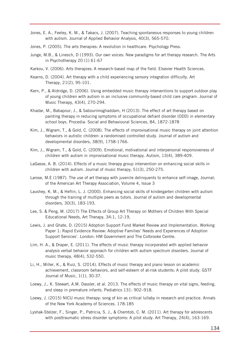- Jones, E. A., Feeley, K. M., & Takacs, J. (2007). Teaching spontaneous responses to young children with autism. Journal of Applied Behavior Analysis, 40(3), 565-570.
- Jones, P. (2005). The arts therapies: A revolution in healthcare. Psychology Press.
- Junge, M.B., & Linesch, D (1993). Our own voices: New paradigms for art therapy research. The Arts in Psychotherapy 20 (1) 61-67
- Karkou, V. (2006). Arts therapies: A research-based map of the field. Elsevier Health Sciences.
- Kearns, D. (2004). Art therapy with a child experiencing sensory integration difficulty. Art Therapy, 21(2), 95-101.
- Kern, P., & Aldridge, D. (2006). Using embedded music therapy interventions to support outdoor play of young children with autism in an inclusive community-based child care program. Journal of Music Therapy, 43(4), 270-294.
- Khadar, M., Babapour, J., & Sabourimoghaddam, H (2013). The effect of art therapy based on painting therapy in reducing symptoms of occupational defiant disorder (ODD) in elementary school boys. Procedia- Social and Behavioural Sciences, 84, 1872-1878
- Kim, J., Wigram, T., & Gold, C. (2008). The effects of improvisational music therapy on joint attention behaviors in autistic children: a randomised controlled study. Journal of autism and developmental disorders, 38(9), 1758-1766.
- Kim, J., Wigram, T., & Gold, C. (2009). Emotional, motivational and interpersonal responsiveness of children with autism in improvisational music therapy. Autism, 13(4), 389-409.
- LaGasse, A. B. (2014). Effects of a music therapy group intervention on enhancing social skills in children with autism. Journal of music therapy, 51(3), 250-275.
- Larose, M.E (1987). The use of art therapy with juvenile delinquents to enhance self-image, Journal; of the American Art Therapy Association, Volume 4, Issue 3
- Laushey, K. M., & Heflin, L. J. (2000). Enhancing social skills of kindergarten children with autism through the training of multiple peers as tutors. Journal of autism and developmental disorders, 30(3), 183-193.
- Lee, S. & Peng, M. (2017) The Effects of Group Art Therapy on Mothers of Children With Special Educational Needs, Art Therapy, 34:1, 12-19,
- Lewis, J. and Ghate, D. (2015) Adoption Support Fund Market Review and Implementation. Working Paper 1: Rapid Evidence Review: Adoptive Families' Needs and Experiences of Adoption Support Services'. London: HM Government and The Colbrooke Centre.
- Lim, H. A., & Draper, E. (2011). The effects of music therapy incorporated with applied behavior analysis verbal behavior approach for children with autism spectrum disorders. Journal of music therapy, 48(4), 532-550.
- Li, H., Miller, K., & Ruiz, S. (2014). Effects of music therapy and piano lesson on academic achievement, classroom behaviors, and self-esteem of at-risk students: A pilot study. GSTF Journal of Music, 1(1), 30-37.
- Loewy, J., K. Stewart, A.M. Dassler, et al. 2013. The effects of music therapy on vital signs, feeding, and sleep in premature infants. Pediatrics 131: 902–918.
- Loewy, J. (2015) NICU music therapy: song of kin as critical lullaby in research and practice. Annals of the New York Academy of Sciences. 178-185
- Lyshak-Stelzer, F., Singer, P., Patricia, S. J., & Chemtob, C. M. (2011). Art therapy for adolescents with posttraumatic stress disorder symptoms: A pilot study. Art Therapy, 24(4), 163-169.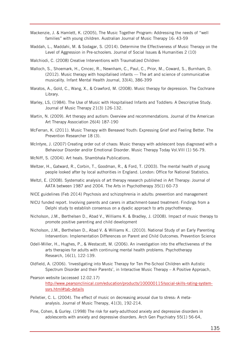- Mackenzie, J. & Hamlett, K. (2005), The Music Together Program: Addressing the needs of "well families" with young children. Australian Journal of Music Therapy 16: 43-59
- Maddah, L., Maddahi, M. & Sodagar, S. (2014). Determine the Effectiveness of Music Therapy on the Level of Aggression in Pre-schoolers. Journal of Social Issues & Humanities 2 (10)
- Malchiodi, C. (2008) Creative Interventions with Traumatized Children
- Malloch, S., Shoemark, H., Crncec, R., Newnham, C., Paul, C., Prior, M., Coward, S., Burnham, D. (2012). Music therapy with hospitalised infants — The art and science of communicative musicality. Infant Mental Health Journal, 33(4), 386-399
- Maratos, A., Gold, C., Wang, X., & Crawford, M. (2008). Music therapy for depression. The Cochrane Library.
- Marley, LS, (1984). The Use of Music with Hospitalised Infants and Toddlers: A Descriptive Study. Journal of Music Therapy 21(3) 126-132.
- Martin, N. (2009). Art therapy and autism: Overview and recommendations. Journal of the American Art Therapy Association 26(4) 187-190
- McFerran, K. (2011). Music Therapy with Bereaved Youth: Expressing Grief and Feeling Better. The Prevention Researcher 18 (3).
- McIntyre, J. (2007) Creating order out of chaos: Music therapy with adolescent boys diagnosed with a Behaviour Disorder and/or Emotional Disorder. Music Therapy Today Vol.VIII (1) 56-79.
- McNiff, S. (2004). Art heals. Shambhala Publications.
- Meltzer, H., Gatward, R., Corbin, T., Goodman, R., & Ford, T. (2003). The mental health of young people looked after by local authorities in England. London: Office for National Statistics.
- Meltzl, E. (2008). Systematic analysis of art therapy research published in Art Therapy: Journal of AATA between 1987 and 2004. The Arts in Psychotherapy 35(1) 60-73
- NICE guidelines (Feb 2014) Psychosis and schizophrenia in adults: prevention and management
- NICU funded report. Involving parents and carers in attachment-based treatment: Findings from a Delphi study to establish consensus on a dyadic approach to arts psychotherapy.
- Nicholson, J.M., Berthelsen D., Abad V., Williams K. & Bradley, J. (2008). Impact of music therapy to promote positive parenting and child development
- Nicholson, J.M., Berthelsen D., Abad V. & Williams K.. (2010). National Study of an Early Parenting Intervention: Implementation Differences on Parent and Child Outcomes. Prevention Science
- Odell-Miller, H., Hughes, P., & Westacott, M. (2006). An investigation into the effectiveness of the arts therapies for adults with continuing mental health problems. Psychotherapy Research, 16(1), 122-139.
- Oldfield, A. (2006). 'Investigating into Music Therapy for Ten Pre-School Children with Autistic Spectrum Disorder and their Parents', in Interactive Music Therapy – A Positive Approach,
- Pearson website (accessed 12.02.17) [http://www.pearsonclinical.com/education/products/100000115/social-skills-rating-system](http://www.pearsonclinical.com/education/products/100000115/social-skills-rating-system-ssrs.html#tab-details)[ssrs.html#tab-details](http://www.pearsonclinical.com/education/products/100000115/social-skills-rating-system-ssrs.html#tab-details)
- Pelletier, C. L. (2004). The effect of music on decreasing arousal due to stress: A metaanalysis. Journal of Music Therapy, 41(3), 192-214.
- Pine, Cohen, & Gurley. (1998) The risk for early-adulthood anxiety and depressive disorders in adolescents with anxiety and depressive disorders. Arch Gen Psychiatry 55(1) 56-64,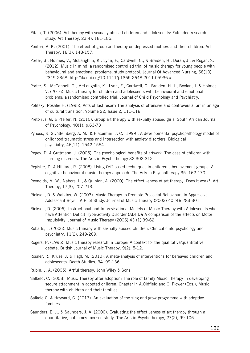- Pifalo, T. (2006). Art therapy with sexually abused children and adolescents: Extended research study. Art Therapy, 23(4), 181-185.
- Ponteri, A. K. (2001). The effect of group art therapy on depressed mothers and their children. Art Therapy, 18(3), 148-157.
- Porter, S., Holmes, V., McLaughlin, K., Lynn, F., Cardwell, C., & Braiden, H., Doran, J., & Rogan, S. (2012). Music in mind, a randomised controlled trial of music therapy for young people with behavioural and emotional problems: study protocol. Journal Of Advanced Nursing, 68(10), 2349-2358.<http://dx.doi.org/10.1111/j.1365-2648.2011.05936.x>
- Porter, S., McConnell, T., McLaughlin, K., Lynn, F., Cardwell, C., Braiden, H. J., Boylan, J. & Holmes, V. (2016). Music therapy for children and adolescents with behavioural and emotional problems: a randomised controlled trial. Journal of Child Psychology and Psychiatry.
- Politsky, Rosalie H. (1995), Acts of last resort: The analysis of offensive and controversial art in an age of cultural transition, Volume 22, Issue 2, 111-118
- Pretorius, G. & Pfeifer, N. (2010). Group art therapy with sexually abused girls. South African Journal of Psychology, 40(1), p.63-73
- Pynoos, R. S., Steinberg, A. M., & Piacentini, J. C. (1999). A developmental psychopathology model of childhood traumatic stress and intersection with anxiety disorders. Biological psychiatry, 46(11), 1542-1554.
- Regev, D. & Guttmann, J. (2005). The psychological benefits of artwork: The case of children with learning disorders. The Arts in Psychotherapy 32 302-312
- Register, D. & Hilliard, R. (2008). Using Orff-based techniques in children's bereavement groups: A cognitive-behavioural music therapy approach. The Arts in Psychotherapy 35. 162-170
- Reynolds, M. W., Nabors, L., & Quinlan, A. (2000). The effectiveness of art therapy: Does it work?. Art Therapy, 17(3), 207-213.
- Rickson, D. & Watkins, W. (2003). Music Therapy to Promote Prosocial Behaviours in Aggressive Adolescent Boys – A Pilot Study. Journal of Music Therapy (2003) 40 (4): 283-301
- Rickson, D. (2006). Instructional and Improvisational Models of Music Therapy with Adolescents who have Attention Deficit Hyperactivity Disorder (ADHD): A comparison of the effects on Motor Impulsivity. Journal of Music Therapy (2006) 43 (1) 39-62
- Robarts, J. (2006). Music therapy with sexually abused children. Clinical child psychology and psychiatry, 11(2), 249-269.
- Rogers, P. (1995). Music therapy research in Europe: A context for the qualitative/quantitative debate. British Journal of Music Therapy, 9(2), 5-12.
- Rosner, R., Kruse, J. & Hagl, M. (2010). A meta-analysis of interventions for bereaved children and adolescents. Death Studies, 34: 99-136
- Rubin, J. A. (2005). Artful therapy. John Wiley & Sons.
- Salkeld, C. (2008). Music Therapy after adoption: The role of family Music Therapy in developing secure attachment in adopted children. Chapter in A.Oldfield and C. Flower (Eds.), Music therapy with children and their families.
- Salkeld C. & Hayward, G. (2013). An evaluation of the sing and grow programme with adoptive families
- Saunders, E. J., & Saunders, J. A. (2000). Evaluating the effectiveness of art therapy through a quantitative, outcomes-focused study. The Arts in Psychotherapy, 27(2), 99-106.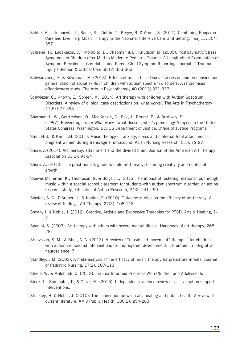- Schlez, A., Litmanovitz, I., Bauer, S., Dolfin, T., Regev, R. & Arnon, S. (2011). Combining Kangaroo Care and Live Harp Music Therapy in the Neonatal Intensive Care Unit Setting. Imaj 13. 354- 357.
- Schreier, H., Ladakakos, C., Morabito, D., Chapman & L., Knudson, M. (2005). Posttraumatic Stress Symptoms in Children after Mild to Moderate Pediatric Trauma: A Longitudinal Examination of Symptom Prevalence, Correlates, and Parent-Child Symptom Reporting. Journal of Trauma-Injury Infection & Critical Care 58 (2) 353-363
- Schwartzberg, E. & Silverman, M. (2013). Effects of music-based social stories on comprehension and generalization of social skills in children with autism spectrum disorders: A randomised effectiveness study. The Arts in Psychotherapy 40 (2013) 331-337
- Schwiezer, C., Knorth, E., Spreen, M. (2014). Art therapy with children with Autism Spectrum Disorders: A review of clinical case descriptions on 'what works'. The Arts in Psychotherpay 41(5) 577-593
- Sherman, L. W., Gottfredson, D., MacKenzie, D., Eck, J., Reuter, P., & Bushway, S. (1997). Preventing crime: What works, what doesn't, what's promising: A report to the United States Congress. Washington, DC: US Department of Justice, Office of Justice Programs.
- Shin, H.S., & Kim, J.H. (2011). Music therapy on anxiety, stress and maternal-fetal attachment in pregnant women during transvaginal ultrasound. Asian Nursing Research, 5(1), 19-27.
- Shore, A (2014). Art therapy, attachment and the divided brain. Journal of the American Art Therapy Association 31(2), 91-94
- Shore, A. (2013). The practitioner's guide to child art therapy: fostering creativity and relational growth.
- Skewes McFerran, K., Thompson, G. & Bolger, L. (2016) The impact of fostering relationships through music within a special school classroom for students with autism spectrum disorder: an action research study, Educational Action Research, 24:2, 241-259
- Slayton, S. C., D'Archer, J., & Kaplan, F. (2010). Outcome studies on the efficacy of art therapy: A review of findings. Art Therapy, 27(3), 108-118.
- Smyth, J. & Noble, J. (2012). Creative, Artistic and Expressive Therapies for PTSD. Arts & Healing, 1- 7.
- Spaniol, S. (2003). Art therapy with adults with severe mental illness. Handbook of art therapy, 268- 281
- Srinivasan, S. M., & Bhat, A. N. (2013). A review of "music and movement" therapies for children with autism: embodied interventions for multisystem development,". Frontiers in integrative neuroscience, 7.
- Standley, J.M. (2002). A meta-analysis of the efficacy of music therapy for premature infants. Journal of Pediatric Nursing, 17(2), 107-113.
- Steele, W. & Malchiodi, C. (2012). Trauma-Informed Practices With Children and Adolescents
- Stock, L., Spielhofer, T., & Gieve, M. (2016). Independent evidence review of post-adoption support interventions.
- Stuckley, H. & Nobel, J. (2010). The connection between art, healing and public health: A review of current literature. AM J Public Health, 100(2), 254-263